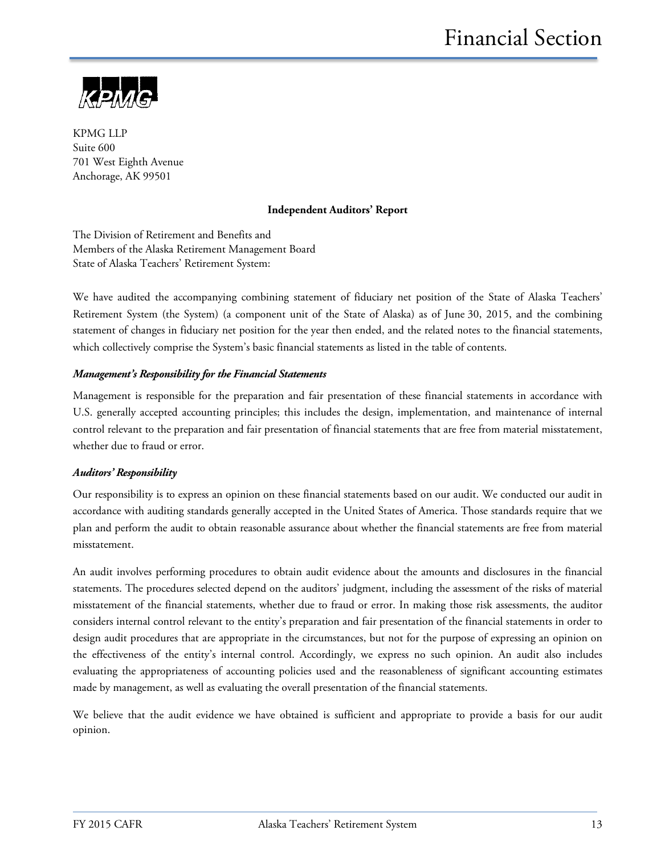

KPMG LLP Suite 600 701 West Eighth Avenue Anchorage, AK 99501

#### **Independent Auditors' Report**

The Division of Retirement and Benefits and Members of the Alaska Retirement Management Board State of Alaska Teachers' Retirement System:

We have audited the accompanying combining statement of fiduciary net position of the State of Alaska Teachers' Retirement System (the System) (a component unit of the State of Alaska) as of June 30, 2015, and the combining statement of changes in fiduciary net position for the year then ended, and the related notes to the financial statements, which collectively comprise the System's basic financial statements as listed in the table of contents.

#### *Management's Responsibility for the Financial Statements*

Management is responsible for the preparation and fair presentation of these financial statements in accordance with U.S. generally accepted accounting principles; this includes the design, implementation, and maintenance of internal control relevant to the preparation and fair presentation of financial statements that are free from material misstatement, whether due to fraud or error.

#### *Auditors' Responsibility*

Our responsibility is to express an opinion on these financial statements based on our audit. We conducted our audit in accordance with auditing standards generally accepted in the United States of America. Those standards require that we plan and perform the audit to obtain reasonable assurance about whether the financial statements are free from material misstatement.

An audit involves performing procedures to obtain audit evidence about the amounts and disclosures in the financial statements. The procedures selected depend on the auditors' judgment, including the assessment of the risks of material misstatement of the financial statements, whether due to fraud or error. In making those risk assessments, the auditor considers internal control relevant to the entity's preparation and fair presentation of the financial statements in order to design audit procedures that are appropriate in the circumstances, but not for the purpose of expressing an opinion on the effectiveness of the entity's internal control. Accordingly, we express no such opinion. An audit also includes evaluating the appropriateness of accounting policies used and the reasonableness of significant accounting estimates made by management, as well as evaluating the overall presentation of the financial statements.

We believe that the audit evidence we have obtained is sufficient and appropriate to provide a basis for our audit opinion.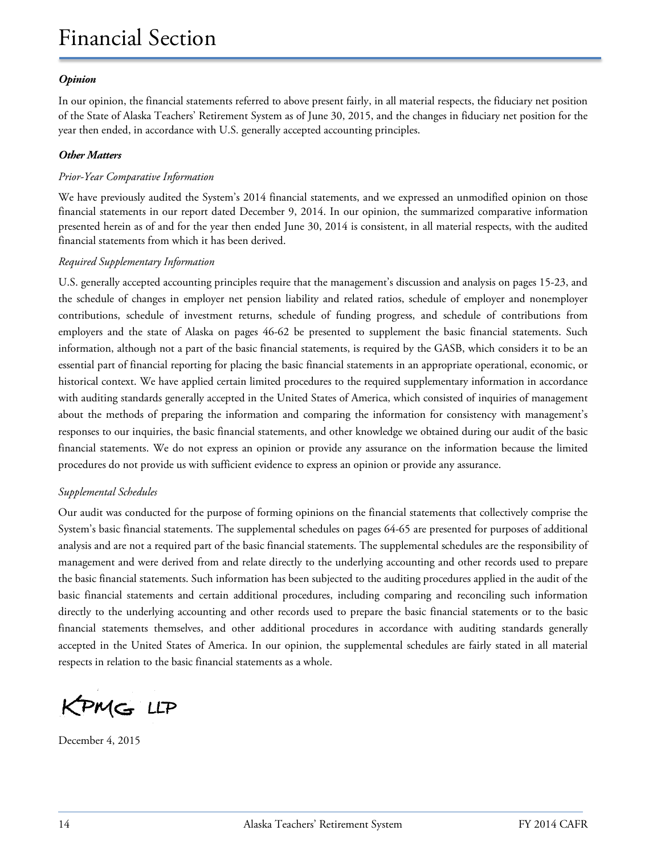#### *Opinion*

In our opinion, the financial statements referred to above present fairly, in all material respects, the fiduciary net position of the State of Alaska Teachers' Retirement System as of June 30, 2015, and the changes in fiduciary net position for the year then ended, in accordance with U.S. generally accepted accounting principles.

#### *Other Matters*

#### *Prior-Year Comparative Information*

We have previously audited the System's 2014 financial statements, and we expressed an unmodified opinion on those financial statements in our report dated December 9, 2014. In our opinion, the summarized comparative information presented herein as of and for the year then ended June 30, 2014 is consistent, in all material respects, with the audited financial statements from which it has been derived.

#### *Required Supplementary Information*

U.S. generally accepted accounting principles require that the management's discussion and analysis on pages 15-23, and the schedule of changes in employer net pension liability and related ratios, schedule of employer and nonemployer contributions, schedule of investment returns, schedule of funding progress, and schedule of contributions from employers and the state of Alaska on pages 46-62 be presented to supplement the basic financial statements. Such information, although not a part of the basic financial statements, is required by the GASB, which considers it to be an essential part of financial reporting for placing the basic financial statements in an appropriate operational, economic, or historical context. We have applied certain limited procedures to the required supplementary information in accordance with auditing standards generally accepted in the United States of America, which consisted of inquiries of management about the methods of preparing the information and comparing the information for consistency with management's responses to our inquiries, the basic financial statements, and other knowledge we obtained during our audit of the basic financial statements. We do not express an opinion or provide any assurance on the information because the limited procedures do not provide us with sufficient evidence to express an opinion or provide any assurance.

#### *Supplemental Schedules*

Our audit was conducted for the purpose of forming opinions on the financial statements that collectively comprise the System's basic financial statements. The supplemental schedules on pages 64-65 are presented for purposes of additional analysis and are not a required part of the basic financial statements. The supplemental schedules are the responsibility of management and were derived from and relate directly to the underlying accounting and other records used to prepare the basic financial statements. Such information has been subjected to the auditing procedures applied in the audit of the basic financial statements and certain additional procedures, including comparing and reconciling such information directly to the underlying accounting and other records used to prepare the basic financial statements or to the basic financial statements themselves, and other additional procedures in accordance with auditing standards generally accepted in the United States of America. In our opinion, the supplemental schedules are fairly stated in all material respects in relation to the basic financial statements as a whole.

KPMG LLP

December 4, 2015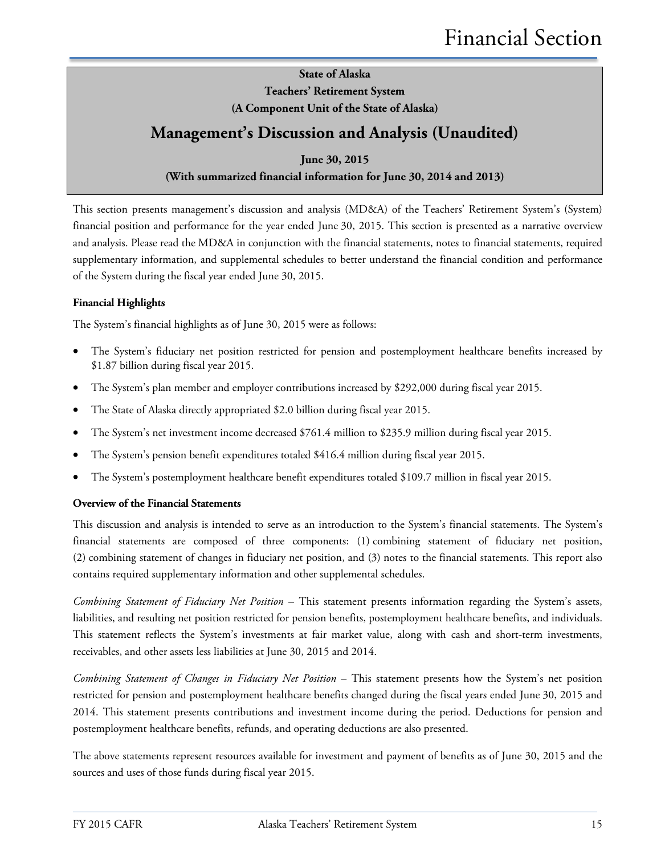# **Management's Discussion and Analysis (Unaudited)**

**June 30, 2015**

#### **(With summarized financial information for June 30, 2014 and 2013)**

This section presents management's discussion and analysis (MD&A) of the Teachers' Retirement System's (System) financial position and performance for the year ended June 30, 2015. This section is presented as a narrative overview and analysis. Please read the MD&A in conjunction with the financial statements, notes to financial statements, required supplementary information, and supplemental schedules to better understand the financial condition and performance of the System during the fiscal year ended June 30, 2015.

#### **Financial Highlights**

The System's financial highlights as of June 30, 2015 were as follows:

- The System's fiduciary net position restricted for pension and postemployment healthcare benefits increased by \$1.87 billion during fiscal year 2015.
- The System's plan member and employer contributions increased by \$292,000 during fiscal year 2015.
- The State of Alaska directly appropriated \$2.0 billion during fiscal year 2015.
- The System's net investment income decreased \$761.4 million to \$235.9 million during fiscal year 2015.
- The System's pension benefit expenditures totaled \$416.4 million during fiscal year 2015.
- The System's postemployment healthcare benefit expenditures totaled \$109.7 million in fiscal year 2015.

#### **Overview of the Financial Statements**

This discussion and analysis is intended to serve as an introduction to the System's financial statements. The System's financial statements are composed of three components: (1) combining statement of fiduciary net position, (2) combining statement of changes in fiduciary net position, and (3) notes to the financial statements. This report also contains required supplementary information and other supplemental schedules.

*Combining Statement of Fiduciary Net Position* – This statement presents information regarding the System's assets, liabilities, and resulting net position restricted for pension benefits, postemployment healthcare benefits, and individuals. This statement reflects the System's investments at fair market value, along with cash and short-term investments, receivables, and other assets less liabilities at June 30, 2015 and 2014.

*Combining Statement of Changes in Fiduciary Net Position - This statement presents how the System's net position* restricted for pension and postemployment healthcare benefits changed during the fiscal years ended June 30, 2015 and 2014. This statement presents contributions and investment income during the period. Deductions for pension and postemployment healthcare benefits, refunds, and operating deductions are also presented.

The above statements represent resources available for investment and payment of benefits as of June 30, 2015 and the sources and uses of those funds during fiscal year 2015.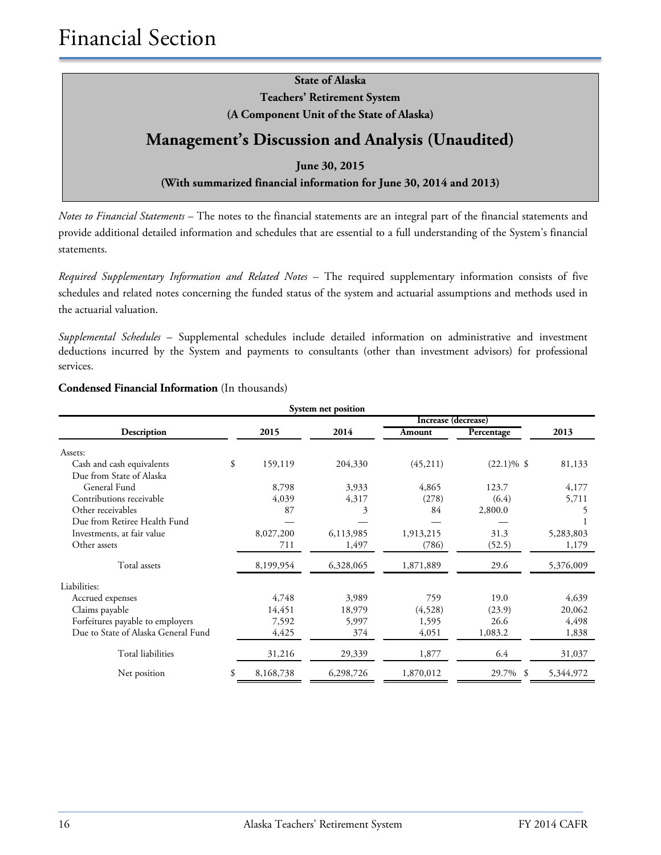# **Management's Discussion and Analysis (Unaudited)**

**June 30, 2015**

**(With summarized financial information for June 30, 2014 and 2013)**

*Notes to Financial Statements* – The notes to the financial statements are an integral part of the financial statements and provide additional detailed information and schedules that are essential to a full understanding of the System's financial statements.

*Required Supplementary Information and Related Notes* – The required supplementary information consists of five schedules and related notes concerning the funded status of the system and actuarial assumptions and methods used in the actuarial valuation.

*Supplemental Schedules* – Supplemental schedules include detailed information on administrative and investment deductions incurred by the System and payments to consultants (other than investment advisors) for professional services.

#### **Condensed Financial Information** (In thousands)

| System net position                 |    |           |           |           |               |           |  |  |  |
|-------------------------------------|----|-----------|-----------|-----------|---------------|-----------|--|--|--|
| Increase (decrease)                 |    |           |           |           |               |           |  |  |  |
| Description                         |    | 2015      | 2014      | Amount    | Percentage    | 2013      |  |  |  |
| Assets:                             |    |           |           |           |               |           |  |  |  |
| Cash and cash equivalents           | \$ | 159,119   | 204,330   | (45,211)  | $(22.1)\%$ \$ | 81,133    |  |  |  |
| Due from State of Alaska            |    |           |           |           |               |           |  |  |  |
| General Fund                        |    | 8,798     | 3,933     | 4,865     | 123.7         | 4,177     |  |  |  |
| Contributions receivable            |    | 4,039     | 4,317     | (278)     | (6.4)         | 5,711     |  |  |  |
| Other receivables                   |    | 87        | 3         | 84        | 2,800.0       |           |  |  |  |
| Due from Retiree Health Fund        |    |           |           |           |               |           |  |  |  |
| Investments, at fair value          |    | 8,027,200 | 6,113,985 | 1,913,215 | 31.3          | 5,283,803 |  |  |  |
| Other assets                        |    | 711       | 1,497     | (786)     | (52.5)        | 1,179     |  |  |  |
| Total assets                        |    | 8,199,954 | 6,328,065 | 1,871,889 | 29.6          | 5,376,009 |  |  |  |
| Liabilities:                        |    |           |           |           |               |           |  |  |  |
| Accrued expenses                    |    | 4,748     | 3,989     | 759       | 19.0          | 4,639     |  |  |  |
| Claims payable                      |    | 14,451    | 18,979    | (4,528)   | (23.9)        | 20,062    |  |  |  |
| Forfeitures payable to employers    |    | 7,592     | 5,997     | 1,595     | 26.6          | 4,498     |  |  |  |
| Due to State of Alaska General Fund |    | 4,425     | 374       | 4,051     | 1,083.2       | 1,838     |  |  |  |
| <b>Total liabilities</b>            |    | 31,216    | 29,339    | 1,877     | 6.4           | 31,037    |  |  |  |
| Net position                        | \$ | 8,168,738 | 6,298,726 | 1,870,012 | 29.7%<br>- \$ | 5,344,972 |  |  |  |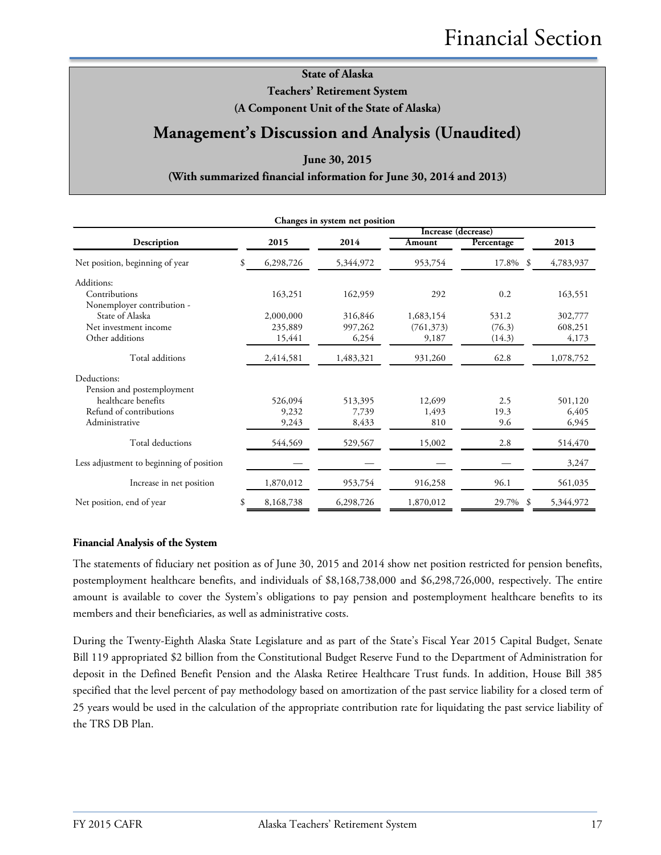**State of Alaska**

**Teachers' Retirement System**

**(A Component Unit of the State of Alaska)**

# **Management's Discussion and Analysis (Unaudited)**

**June 30, 2015**

**(With summarized financial information for June 30, 2014 and 2013)**

| Changes in system net position           |                     |           |           |            |             |           |  |  |  |  |
|------------------------------------------|---------------------|-----------|-----------|------------|-------------|-----------|--|--|--|--|
|                                          | Increase (decrease) |           |           |            |             |           |  |  |  |  |
| Description                              |                     | 2015      | 2014      | Amount     | Percentage  | 2013      |  |  |  |  |
| Net position, beginning of year          | \$.                 | 6,298,726 | 5,344,972 | 953,754    | 17.8% \$    | 4,783,937 |  |  |  |  |
| Additions:                               |                     |           |           |            |             |           |  |  |  |  |
| Contributions                            |                     | 163,251   | 162,959   | 292        | 0.2         | 163,551   |  |  |  |  |
| Nonemployer contribution -               |                     |           |           |            |             |           |  |  |  |  |
| State of Alaska                          |                     | 2,000,000 | 316,846   | 1,683,154  | 531.2       | 302,777   |  |  |  |  |
| Net investment income                    |                     | 235,889   | 997,262   | (761, 373) | (76.3)      | 608,251   |  |  |  |  |
| Other additions                          |                     | 15,441    | 6,254     | 9,187      | (14.3)      | 4,173     |  |  |  |  |
| Total additions                          |                     | 2,414,581 | 1,483,321 | 931,260    | 62.8        | 1,078,752 |  |  |  |  |
| Deductions:                              |                     |           |           |            |             |           |  |  |  |  |
| Pension and postemployment               |                     |           |           |            |             |           |  |  |  |  |
| healthcare benefits                      |                     | 526,094   | 513,395   | 12,699     | 2.5         | 501,120   |  |  |  |  |
| Refund of contributions                  |                     | 9,232     | 7,739     | 1,493      | 19.3        | 6,405     |  |  |  |  |
| Administrative                           |                     | 9,243     | 8,433     | 810        | 9.6         | 6,945     |  |  |  |  |
| Total deductions                         |                     | 544,569   | 529,567   | 15,002     | 2.8         | 514,470   |  |  |  |  |
| Less adjustment to beginning of position |                     |           |           |            |             | 3,247     |  |  |  |  |
| Increase in net position                 |                     | 1,870,012 | 953,754   | 916,258    | 96.1        | 561,035   |  |  |  |  |
| Net position, end of year                | S                   | 8,168,738 | 6,298,726 | 1,870,012  | 29.7%<br>\$ | 5,344,972 |  |  |  |  |

#### **Financial Analysis of the System**

The statements of fiduciary net position as of June 30, 2015 and 2014 show net position restricted for pension benefits, postemployment healthcare benefits, and individuals of \$8,168,738,000 and \$6,298,726,000, respectively. The entire amount is available to cover the System's obligations to pay pension and postemployment healthcare benefits to its members and their beneficiaries, as well as administrative costs.

During the Twenty-Eighth Alaska State Legislature and as part of the State's Fiscal Year 2015 Capital Budget, Senate Bill 119 appropriated \$2 billion from the Constitutional Budget Reserve Fund to the Department of Administration for deposit in the Defined Benefit Pension and the Alaska Retiree Healthcare Trust funds. In addition, House Bill 385 specified that the level percent of pay methodology based on amortization of the past service liability for a closed term of 25 years would be used in the calculation of the appropriate contribution rate for liquidating the past service liability of the TRS DB Plan.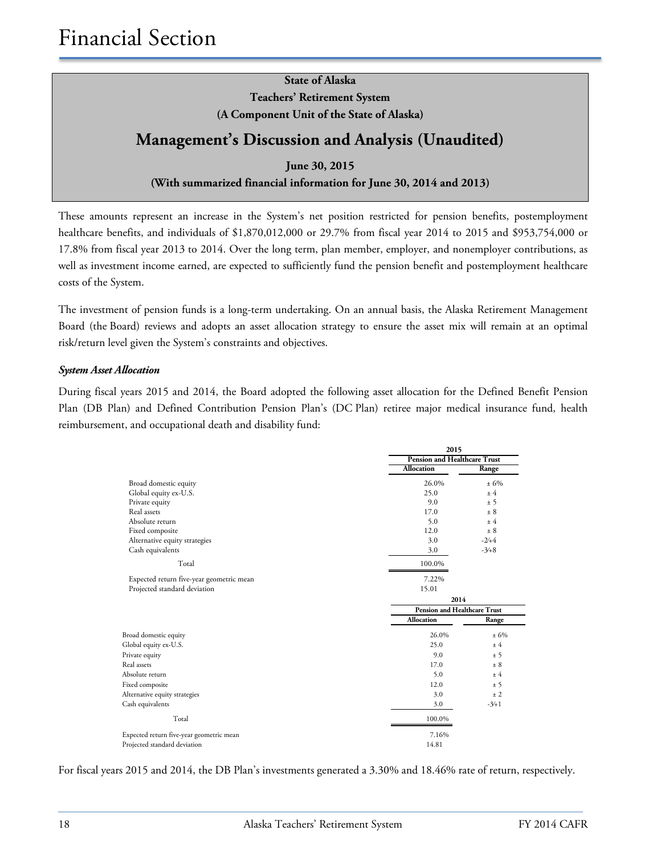# **Management's Discussion and Analysis (Unaudited)**

**June 30, 2015**

#### **(With summarized financial information for June 30, 2014 and 2013)**

These amounts represent an increase in the System's net position restricted for pension benefits, postemployment healthcare benefits, and individuals of \$1,870,012,000 or 29.7% from fiscal year 2014 to 2015 and \$953,754,000 or 17.8% from fiscal year 2013 to 2014. Over the long term, plan member, employer, and nonemployer contributions, as well as investment income earned, are expected to sufficiently fund the pension benefit and postemployment healthcare costs of the System.

The investment of pension funds is a long-term undertaking. On an annual basis, the Alaska Retirement Management Board (the Board) reviews and adopts an asset allocation strategy to ensure the asset mix will remain at an optimal risk/return level given the System's constraints and objectives.

#### *System Asset Allocation*

During fiscal years 2015 and 2014, the Board adopted the following asset allocation for the Defined Benefit Pension Plan (DB Plan) and Defined Contribution Pension Plan's (DC Plan) retiree major medical insurance fund, health reimbursement, and occupational death and disability fund:

|                                          | 2015                                |         |  |  |
|------------------------------------------|-------------------------------------|---------|--|--|
|                                          | <b>Pension and Healthcare Trust</b> |         |  |  |
|                                          | <b>Allocation</b>                   | Range   |  |  |
| Broad domestic equity                    | 26.0%                               | ± 6%    |  |  |
| Global equity ex-U.S.                    | 25.0                                | ± 4     |  |  |
| Private equity                           | 9.0                                 | ± 5     |  |  |
| Real assets                              | 17.0                                | $+8$    |  |  |
| Absolute return                          | 5.0                                 | $+4$    |  |  |
| Fixed composite                          | 12.0                                | ± 8     |  |  |
| Alternative equity strategies            | 3.0                                 | $-2/44$ |  |  |
| Cash equivalents                         | 3.0                                 | $-3/18$ |  |  |
| Total                                    | 100.0%                              |         |  |  |
| Expected return five-year geometric mean | 7.22%                               |         |  |  |
| Projected standard deviation             | 15.01                               |         |  |  |
|                                          | 2014                                |         |  |  |
|                                          | <b>Pension and Healthcare Trust</b> |         |  |  |
|                                          | <b>Allocation</b>                   | Range   |  |  |
| Broad domestic equity                    | 26.0%                               | $± 6\%$ |  |  |
| Global equity ex-U.S.                    | 25.0                                | $+4$    |  |  |
| Private equity                           | 9.0                                 | ± 5     |  |  |
| Real assets                              | 17.0                                | $+8$    |  |  |
| Absolute return                          | 5.0                                 | ± 4     |  |  |
| Fixed composite                          | 12.0                                | ± 5     |  |  |
| Alternative equity strategies            | 3.0                                 | ± 2     |  |  |
| Cash equivalents                         | 3.0                                 | $-3/1$  |  |  |
| Total                                    | 100.0%                              |         |  |  |
| Expected return five-year geometric mean | 7.16%                               |         |  |  |
| Projected standard deviation             | 14.81                               |         |  |  |

For fiscal years 2015 and 2014, the DB Plan's investments generated a 3.30% and 18.46% rate of return, respectively.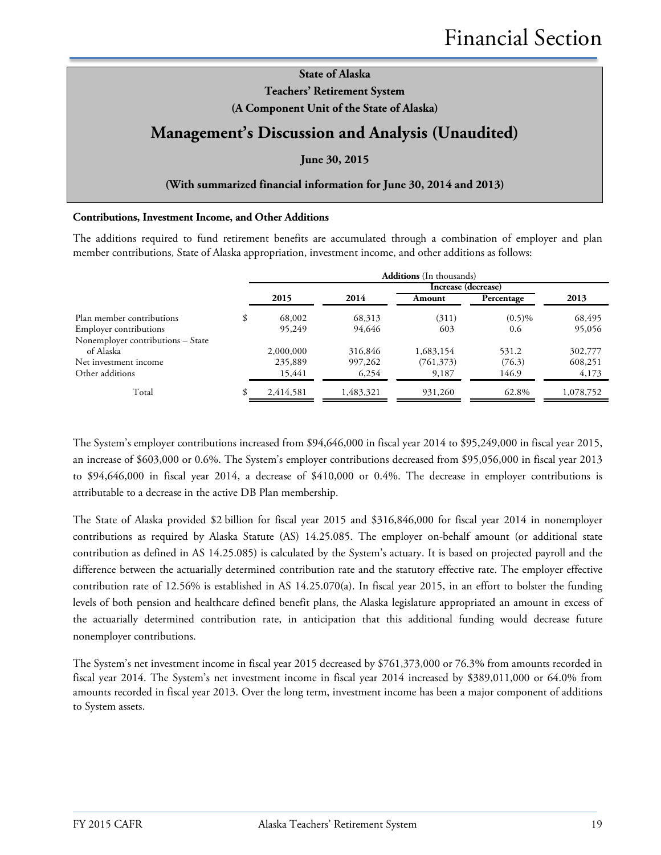# **Management's Discussion and Analysis (Unaudited)**

**June 30, 2015**

#### **(With summarized financial information for June 30, 2014 and 2013)**

#### **Contributions, Investment Income, and Other Additions**

The additions required to fund retirement benefits are accumulated through a combination of employer and plan member contributions, State of Alaska appropriation, investment income, and other additions as follows:

|                                   | <b>Additions</b> (In thousands) |           |           |                     |            |           |  |  |
|-----------------------------------|---------------------------------|-----------|-----------|---------------------|------------|-----------|--|--|
|                                   |                                 |           |           | Increase (decrease) |            |           |  |  |
|                                   |                                 | 2015      | 2014      | Amount              | Percentage | 2013      |  |  |
| Plan member contributions         | \$                              | 68,002    | 68,313    | (311)               | (0.5)%     | 68,495    |  |  |
| <b>Employer contributions</b>     |                                 | 95,249    | 94,646    | 603                 | 0.6        | 95,056    |  |  |
| Nonemployer contributions - State |                                 |           |           |                     |            |           |  |  |
| of Alaska                         |                                 | 2,000,000 | 316,846   | 1,683,154           | 531.2      | 302,777   |  |  |
| Net investment income             |                                 | 235,889   | 997,262   | (761, 373)          | (76.3)     | 608,251   |  |  |
| Other additions                   |                                 | 15,441    | 6,254     | 9,187               | 146.9      | 4,173     |  |  |
| Total                             |                                 | 2,414,581 | 1,483,321 | 931,260             | 62.8%      | 1,078,752 |  |  |

The System's employer contributions increased from \$94,646,000 in fiscal year 2014 to \$95,249,000 in fiscal year 2015, an increase of \$603,000 or 0.6%. The System's employer contributions decreased from \$95,056,000 in fiscal year 2013 to \$94,646,000 in fiscal year 2014, a decrease of \$410,000 or 0.4%. The decrease in employer contributions is attributable to a decrease in the active DB Plan membership.

The State of Alaska provided \$2 billion for fiscal year 2015 and \$316,846,000 for fiscal year 2014 in nonemployer contributions as required by Alaska Statute (AS) 14.25.085. The employer on-behalf amount (or additional state contribution as defined in AS 14.25.085) is calculated by the System's actuary. It is based on projected payroll and the difference between the actuarially determined contribution rate and the statutory effective rate. The employer effective contribution rate of 12.56% is established in AS 14.25.070(a). In fiscal year 2015, in an effort to bolster the funding levels of both pension and healthcare defined benefit plans, the Alaska legislature appropriated an amount in excess of the actuarially determined contribution rate, in anticipation that this additional funding would decrease future nonemployer contributions.

The System's net investment income in fiscal year 2015 decreased by \$761,373,000 or 76.3% from amounts recorded in fiscal year 2014. The System's net investment income in fiscal year 2014 increased by \$389,011,000 or 64.0% from amounts recorded in fiscal year 2013. Over the long term, investment income has been a major component of additions to System assets.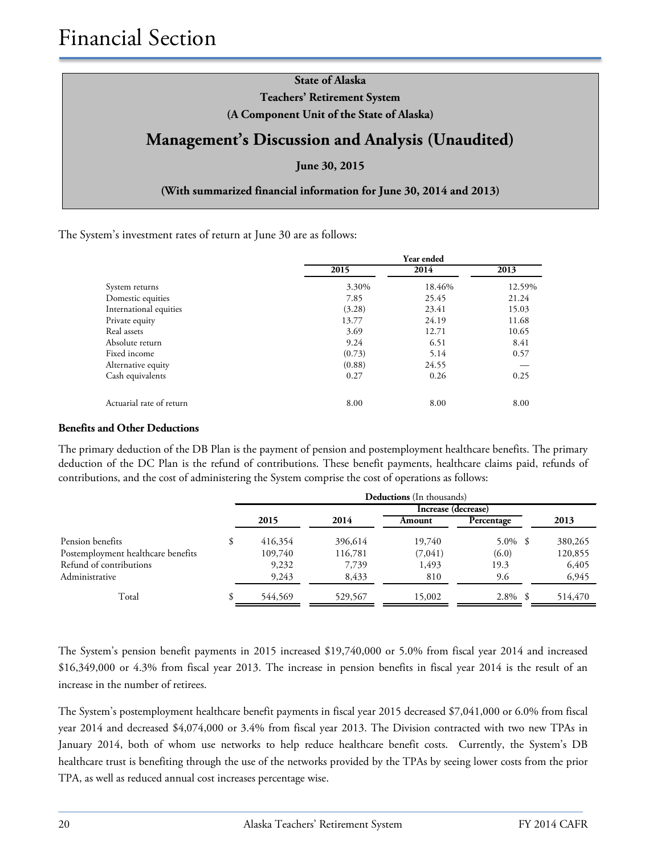# **Management's Discussion and Analysis (Unaudited)**

**June 30, 2015**

**(With summarized financial information for June 30, 2014 and 2013)**

The System's investment rates of return at June 30 are as follows:

|                          | Year ended |        |        |  |  |
|--------------------------|------------|--------|--------|--|--|
|                          | 2015       | 2014   | 2013   |  |  |
| System returns           | 3.30%      | 18.46% | 12.59% |  |  |
| Domestic equities        | 7.85       | 25.45  | 21.24  |  |  |
| International equities   | (3.28)     | 23.41  | 15.03  |  |  |
| Private equity           | 13.77      | 24.19  | 11.68  |  |  |
| Real assets              | 3.69       | 12.71  | 10.65  |  |  |
| Absolute return          | 9.24       | 6.51   | 8.41   |  |  |
| Fixed income             | (0.73)     | 5.14   | 0.57   |  |  |
| Alternative equity       | (0.88)     | 24.55  |        |  |  |
| Cash equivalents         | 0.27       | 0.26   | 0.25   |  |  |
| Actuarial rate of return | 8.00       | 8.00   | 8.00   |  |  |

#### **Benefits and Other Deductions**

The primary deduction of the DB Plan is the payment of pension and postemployment healthcare benefits. The primary deduction of the DC Plan is the refund of contributions. These benefit payments, healthcare claims paid, refunds of contributions, and the cost of administering the System comprise the cost of operations as follows:

|                                    |   | <b>Deductions</b> (In thousands) |         |                     |            |         |  |  |  |
|------------------------------------|---|----------------------------------|---------|---------------------|------------|---------|--|--|--|
|                                    |   |                                  |         | Increase (decrease) |            |         |  |  |  |
|                                    |   | 2015                             | 2014    | Amount              | Percentage | 2013    |  |  |  |
| Pension benefits                   | D | 416,354                          | 396,614 | 19,740              | $5.0\%$ \$ | 380,265 |  |  |  |
| Postemployment healthcare benefits |   | 109,740                          | 116,781 | (7,041)             | (6.0)      | 120,855 |  |  |  |
| Refund of contributions            |   | 9,232                            | 7,739   | 1,493               | 19.3       | 6,405   |  |  |  |
| Administrative                     |   | 9,243                            | 8,433   | 810                 | 9.6        | 6,945   |  |  |  |
| Total                              |   | 544,569                          | 529,567 | 15,002              | 2.8%       | 514,470 |  |  |  |

The System's pension benefit payments in 2015 increased \$19,740,000 or 5.0% from fiscal year 2014 and increased \$16,349,000 or 4.3% from fiscal year 2013. The increase in pension benefits in fiscal year 2014 is the result of an increase in the number of retirees.

The System's postemployment healthcare benefit payments in fiscal year 2015 decreased \$7,041,000 or 6.0% from fiscal year 2014 and decreased \$4,074,000 or 3.4% from fiscal year 2013. The Division contracted with two new TPAs in January 2014, both of whom use networks to help reduce healthcare benefit costs. Currently, the System's DB healthcare trust is benefiting through the use of the networks provided by the TPAs by seeing lower costs from the prior TPA, as well as reduced annual cost increases percentage wise.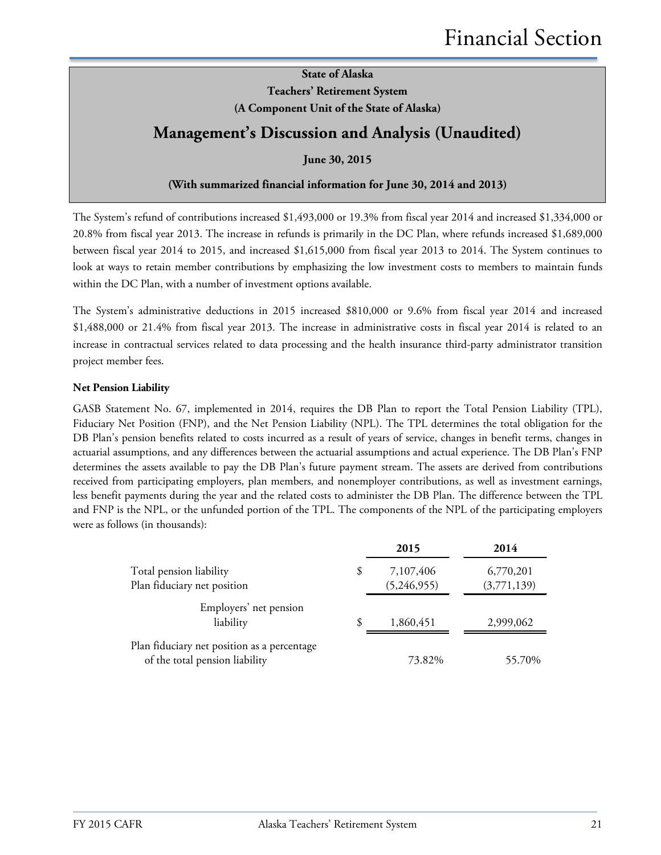# **Management's Discussion and Analysis (Unaudited)**

**June 30, 2015**

#### **(With summarized financial information for June 30, 2014 and 2013)**

The System's refund of contributions increased \$1,493,000 or 19.3% from fiscal year 2014 and increased \$1,334,000 or 20.8% from fiscal year 2013. The increase in refunds is primarily in the DC Plan, where refunds increased \$1,689,000 between fiscal year 2014 to 2015, and increased \$1,615,000 from fiscal year 2013 to 2014. The System continues to look at ways to retain member contributions by emphasizing the low investment costs to members to maintain funds within the DC Plan, with a number of investment options available.

The System's administrative deductions in 2015 increased \$810,000 or 9.6% from fiscal year 2014 and increased \$1,488,000 or 21.4% from fiscal year 2013. The increase in administrative costs in fiscal year 2014 is related to an increase in contractual services related to data processing and the health insurance third-party administrator transition project member fees.

#### **Net Pension Liability**

GASB Statement No. 67, implemented in 2014, requires the DB Plan to report the Total Pension Liability (TPL), Fiduciary Net Position (FNP), and the Net Pension Liability (NPL). The TPL determines the total obligation for the DB Plan's pension benefits related to costs incurred as a result of years of service, changes in benefit terms, changes in actuarial assumptions, and any differences between the actuarial assumptions and actual experience. The DB Plan's FNP determines the assets available to pay the DB Plan's future payment stream. The assets are derived from contributions received from participating employers, plan members, and nonemployer contributions, as well as investment earnings, less benefit payments during the year and the related costs to administer the DB Plan. The difference between the TPL and FNP is the NPL, or the unfunded portion of the TPL. The components of the NPL of the participating employers were as follows (in thousands):

|                                             |    | 2015        | 2014        |
|---------------------------------------------|----|-------------|-------------|
| Total pension liability                     | \$ | 7,107,406   | 6,770,201   |
| Plan fiduciary net position                 |    | (5,246,955) | (3,771,139) |
| Employers' net pension                      |    |             |             |
| liability                                   | S  | 1,860,451   | 2,999,062   |
| Plan fiduciary net position as a percentage |    |             |             |
| of the total pension liability              |    | 73.82%      | 55.70%      |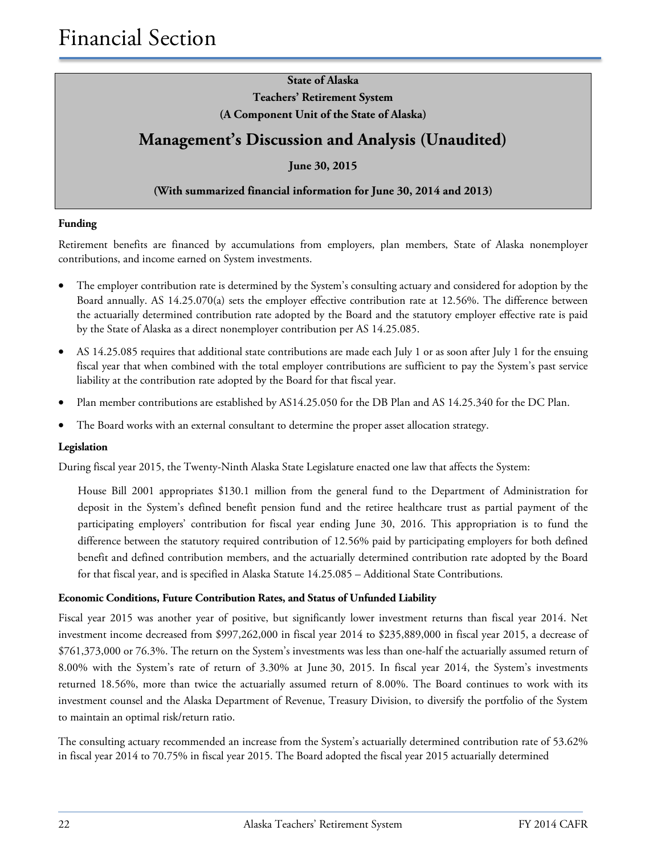# **Management's Discussion and Analysis (Unaudited)**

#### **June 30, 2015**

#### **(With summarized financial information for June 30, 2014 and 2013)**

#### **Funding**

Retirement benefits are financed by accumulations from employers, plan members, State of Alaska nonemployer contributions, and income earned on System investments.

- The employer contribution rate is determined by the System's consulting actuary and considered for adoption by the Board annually. AS 14.25.070(a) sets the employer effective contribution rate at 12.56%. The difference between the actuarially determined contribution rate adopted by the Board and the statutory employer effective rate is paid by the State of Alaska as a direct nonemployer contribution per AS 14.25.085.
- AS 14.25.085 requires that additional state contributions are made each July 1 or as soon after July 1 for the ensuing fiscal year that when combined with the total employer contributions are sufficient to pay the System's past service liability at the contribution rate adopted by the Board for that fiscal year.
- Plan member contributions are established by AS14.25.050 for the DB Plan and AS 14.25.340 for the DC Plan.
- The Board works with an external consultant to determine the proper asset allocation strategy.

#### **Legislation**

During fiscal year 2015, the Twenty-Ninth Alaska State Legislature enacted one law that affects the System:

House Bill 2001 appropriates \$130.1 million from the general fund to the Department of Administration for deposit in the System's defined benefit pension fund and the retiree healthcare trust as partial payment of the participating employers' contribution for fiscal year ending June 30, 2016. This appropriation is to fund the difference between the statutory required contribution of 12.56% paid by participating employers for both defined benefit and defined contribution members, and the actuarially determined contribution rate adopted by the Board for that fiscal year, and is specified in Alaska Statute 14.25.085 – Additional State Contributions.

#### **Economic Conditions, Future Contribution Rates, and Status of Unfunded Liability**

Fiscal year 2015 was another year of positive, but significantly lower investment returns than fiscal year 2014. Net investment income decreased from \$997,262,000 in fiscal year 2014 to \$235,889,000 in fiscal year 2015, a decrease of \$761,373,000 or 76.3%. The return on the System's investments was less than one-half the actuarially assumed return of 8.00% with the System's rate of return of 3.30% at June 30, 2015. In fiscal year 2014, the System's investments returned 18.56%, more than twice the actuarially assumed return of 8.00%. The Board continues to work with its investment counsel and the Alaska Department of Revenue, Treasury Division, to diversify the portfolio of the System to maintain an optimal risk/return ratio.

The consulting actuary recommended an increase from the System's actuarially determined contribution rate of 53.62% in fiscal year 2014 to 70.75% in fiscal year 2015. The Board adopted the fiscal year 2015 actuarially determined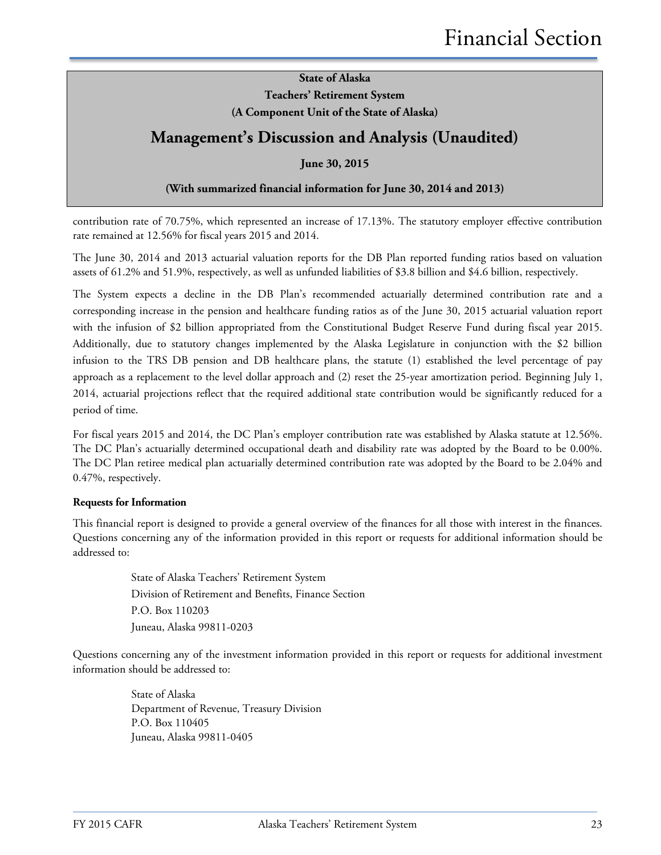# **Management's Discussion and Analysis (Unaudited)**

**June 30, 2015**

#### **(With summarized financial information for June 30, 2014 and 2013)**

contribution rate of 70.75%, which represented an increase of 17.13%. The statutory employer effective contribution rate remained at 12.56% for fiscal years 2015 and 2014.

The June 30, 2014 and 2013 actuarial valuation reports for the DB Plan reported funding ratios based on valuation assets of 61.2% and 51.9%, respectively, as well as unfunded liabilities of \$3.8 billion and \$4.6 billion, respectively.

The System expects a decline in the DB Plan's recommended actuarially determined contribution rate and a corresponding increase in the pension and healthcare funding ratios as of the June 30, 2015 actuarial valuation report with the infusion of \$2 billion appropriated from the Constitutional Budget Reserve Fund during fiscal year 2015. Additionally, due to statutory changes implemented by the Alaska Legislature in conjunction with the \$2 billion infusion to the TRS DB pension and DB healthcare plans, the statute (1) established the level percentage of pay approach as a replacement to the level dollar approach and (2) reset the 25-year amortization period. Beginning July 1, 2014, actuarial projections reflect that the required additional state contribution would be significantly reduced for a period of time.

For fiscal years 2015 and 2014, the DC Plan's employer contribution rate was established by Alaska statute at 12.56%. The DC Plan's actuarially determined occupational death and disability rate was adopted by the Board to be 0.00%. The DC Plan retiree medical plan actuarially determined contribution rate was adopted by the Board to be 2.04% and 0.47%, respectively.

#### **Requests for Information**

This financial report is designed to provide a general overview of the finances for all those with interest in the finances. Questions concerning any of the information provided in this report or requests for additional information should be addressed to:

> State of Alaska Teachers' Retirement System Division of Retirement and Benefits, Finance Section P.O. Box 110203 Juneau, Alaska 99811-0203

Questions concerning any of the investment information provided in this report or requests for additional investment information should be addressed to:

> State of Alaska Department of Revenue, Treasury Division P.O. Box 110405 Juneau, Alaska 99811-0405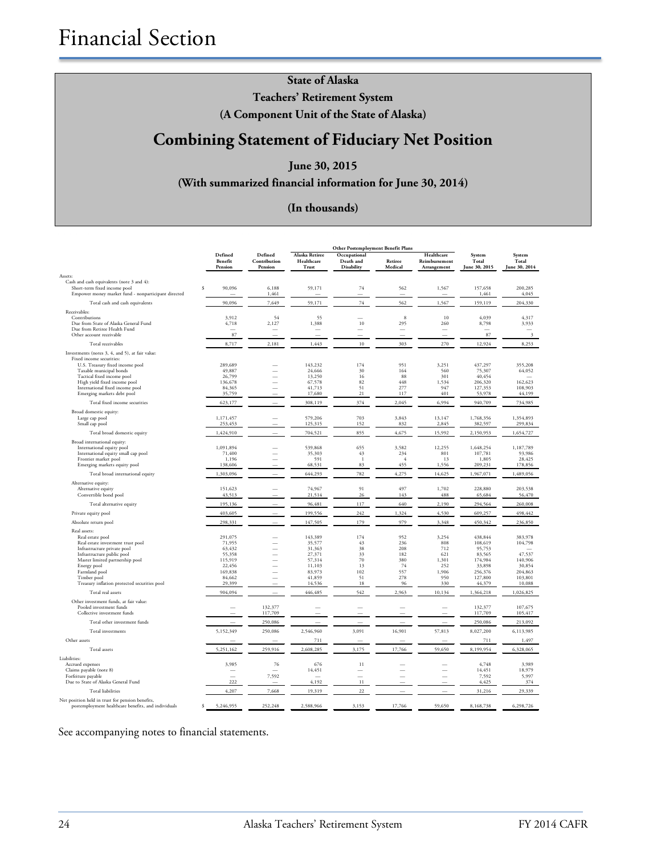**State of Alaska**

**Teachers' Retirement System**

**(A Component Unit of the State of Alaska)**

# **Combining Statement of Fiduciary Net Position**

**June 30, 2015**

**(With summarized financial information for June 30, 2014)**

**(In thousands)**

|                                                                           | Other Postemployment Benefit Plans |                                    |                                       |                                         |                          |                                            |                                  |                                  |
|---------------------------------------------------------------------------|------------------------------------|------------------------------------|---------------------------------------|-----------------------------------------|--------------------------|--------------------------------------------|----------------------------------|----------------------------------|
|                                                                           | Defined<br>Benefit<br>Pension      | Defined<br>Contribution<br>Pension | Alaska Retiree<br>Healthcare<br>Trust | Occupational<br>Death and<br>Disability | Retiree<br>Medical       | Healthcare<br>Reimbursement<br>Arrangement | System<br>Total<br>June 30, 2015 | System<br>Total<br>June 30, 2014 |
| Assets:                                                                   |                                    |                                    |                                       |                                         |                          |                                            |                                  |                                  |
| Cash and cash equivalents (note 3 and 4):<br>Short-term fixed income pool | $\hat{\mathbf{S}}$<br>90,096       | 6,188                              | 59,171                                | 74                                      | 562                      | 1,567                                      | 157,658                          | 200,285                          |
| Empower money market fund - nonparticipant directed                       |                                    | 1,461                              |                                       |                                         |                          |                                            | 1,461                            | 4,045                            |
| Total cash and cash equivalents                                           | 90,096                             | 7,649                              | 59,171                                | 74                                      | 562                      | 1,567                                      | 159,119                          | 204,330                          |
| Receivables:                                                              |                                    |                                    |                                       |                                         |                          |                                            |                                  |                                  |
| Contributions<br>Due from State of Alaska General Fund                    | 3,912<br>4,718                     | 54<br>2,127                        | 55<br>1,388                           | 10                                      | $\,$ 8 $\,$<br>295       | 10<br>260                                  | 4,039<br>8,798                   | 4,317<br>3,933                   |
| Due from Retiree Health Fund                                              |                                    |                                    |                                       |                                         |                          |                                            |                                  |                                  |
| Other account receivable                                                  | 87                                 | $\overline{\phantom{0}}$           | $\overline{\phantom{a}}$              | -                                       | L.                       | $\overline{\phantom{0}}$                   | 87                               | $\overline{\mathbf{3}}$          |
| Total receivables                                                         | 8,717                              | 2,181                              | 1,443                                 | 10                                      | 303                      | 270                                        | 12,924                           | 8,253                            |
| Investments (notes 3, 4, and 5), at fair value:                           |                                    |                                    |                                       |                                         |                          |                                            |                                  |                                  |
| Fixed income securities:<br>U.S. Treasury fixed income pool               | 289,689                            |                                    | 143,232                               | 174                                     | 951                      | 3,251                                      | 437,297                          | 355,208                          |
| Taxable municipal bonds                                                   | 49,887                             |                                    | 24,666                                | 30                                      | 164                      | 560                                        | 75,307                           | 64,052                           |
| Tactical fixed income pool                                                | 26,799                             |                                    | 13,250                                | 16                                      | 88                       | 301                                        | 40,454                           |                                  |
| High yield fixed income pool                                              | 136,678                            |                                    | 67,578                                | 82                                      | 448                      | 1,534                                      | 206,320                          | 162,623                          |
| International fixed income pool                                           | 84,365                             | $\overline{\phantom{0}}$           | 41,713                                | 51                                      | 277                      | 947                                        | 127,353                          | 108,903                          |
| Emerging markets debt pool                                                | 35,759                             | $\overline{\phantom{0}}$           | 17,680                                | 21                                      | 117                      | 401                                        | 53,978                           | 44,199                           |
| Total fixed income securities                                             | 623,177                            |                                    | 308,119                               | 374                                     | 2,045                    | 6,994                                      | 940,709                          | 734,985                          |
| Broad domestic equity:                                                    |                                    |                                    |                                       |                                         |                          |                                            |                                  |                                  |
| Large cap pool                                                            | 1,171,457                          | $\overline{\phantom{0}}$           | 579,206                               | 703                                     | 3,843                    | 13,147                                     | 1,768,356                        | 1,354,893                        |
| Small cap pool                                                            | 253,453                            |                                    | 125,315                               | 152                                     | 832                      | 2,845                                      | 382,597                          | 299,834                          |
| Total broad domestic equity                                               | 1,424,910                          |                                    | 704,521                               | 855                                     | 4,675                    | 15,992                                     | 2,150,953                        | 1,654,727                        |
| Broad international equity:                                               |                                    |                                    |                                       |                                         |                          |                                            |                                  |                                  |
| International equity pool                                                 | 1,091,894                          |                                    | 539,868                               | 655                                     | 3,582                    | 12,255                                     | 1,648,254                        | 1,187,789                        |
| International equity small cap pool                                       | 71,400<br>1.196                    | ÷.                                 | 35,303<br>591                         | 43                                      | 234<br>$\overline{4}$    | 801                                        | 107,781<br>1.805                 | 93,986<br>28.425                 |
| Frontier market pool<br>Emerging markets equity pool                      | 138,606                            | -                                  | 68,531                                | $\mathbf{1}$<br>83                      | 455                      | 13<br>1,556                                | 209,231                          | 178,856                          |
| Total broad international equity                                          | 1,303,096                          | ÷,                                 | 644,293                               | 782                                     | 4,275                    | 14,625                                     | 1,967,071                        | 1,489,056                        |
|                                                                           |                                    |                                    |                                       |                                         |                          |                                            |                                  |                                  |
| Alternative equity:<br>Alternative equity                                 | 151,623                            |                                    | 74,967                                | 91                                      | 497                      | 1,702                                      | 228,880                          | 203,538                          |
| Convertible bond pool                                                     | 43,513                             |                                    | 21,514                                | 26                                      | 143                      | 488                                        | 65,684                           | 56,470                           |
| Total alternative equity                                                  | 195,136                            |                                    | 96,481                                | 117                                     | 640                      | 2,190                                      | 294,564                          | 260,008                          |
| Private equity pool                                                       | 403,605                            |                                    | 199,556                               | 242                                     | 1,324                    | 4,530                                      | 609,257                          | 498,442                          |
|                                                                           |                                    |                                    | 147,505                               | 179                                     | 979                      |                                            |                                  |                                  |
| Absolute return pool                                                      | 298,331                            |                                    |                                       |                                         |                          | 3,348                                      | 450,342                          | 236,850                          |
| Real assets:<br>Real estate pool                                          | 291,075                            |                                    | 143,389                               | 174                                     | 952                      | 3,254                                      | 438,844                          | 383,978                          |
| Real estate investment trust pool                                         | 71,955                             |                                    | 35,577                                | 43                                      | 236                      | 808                                        | 108,619                          | 104,798                          |
| Infrastructure private pool                                               | 63,432                             |                                    | 31,363                                | 38                                      | 208                      | 712                                        | 95,753                           |                                  |
| Infrastructure public pool                                                | 55,358                             |                                    | 27,371                                | 33                                      | 182                      | 621                                        | 83,565                           | 47,537                           |
| Master limited partnership pool                                           | 115,919                            |                                    | 57,314                                | 70                                      | 380                      | 1,301                                      | 174,984                          | 140,906                          |
| Energy pool                                                               | 22,456                             |                                    | 11,103                                | 13                                      | 74                       | 252                                        | 33,898                           | 30,854                           |
| Farmland pool<br>Timber pool                                              | 169,838<br>84,662                  | -<br>$\overline{\phantom{0}}$      | 83,973<br>41,859                      | 102<br>51                               | 557<br>278               | 1,906<br>950                               | 256,376<br>127,800               | 204,863<br>103,801               |
| Treasury inflation protected securities pool                              | 29,399                             | $\overline{\phantom{0}}$           | 14,536                                | 18                                      | 96                       | 330                                        | 44,379                           | 10,088                           |
| Total real assets                                                         | 904,094                            |                                    | 446,485                               | 542                                     | 2,963                    | 10,134                                     | 1,364,218                        | 1,026,825                        |
| Other investment funds, at fair value:                                    |                                    |                                    |                                       |                                         |                          |                                            |                                  |                                  |
| Pooled investment funds                                                   |                                    | 132,377                            |                                       | $\overline{\phantom{0}}$                |                          |                                            | 132,377                          | 107,675                          |
| Collective investment funds                                               |                                    | 117,709                            |                                       |                                         |                          |                                            | 117,709                          | 105,417                          |
| Total other investment funds                                              |                                    | 250,086                            |                                       |                                         |                          |                                            | 250,086                          | 213,092                          |
| Total investments                                                         | 5,152,349                          | 250,086                            | 2,546,960                             | 3,091                                   | 16,901                   | 57,813                                     | 8,027,200                        | 6,113,985                        |
| Other assets                                                              |                                    |                                    | 711                                   |                                         |                          |                                            | 711                              | 1,497                            |
| Total assets                                                              | 5,251,162                          | 259,916                            | 2,608,285                             | 3,175                                   | 17,766                   | 59,650                                     | 8,199,954                        | 6,328,065                        |
|                                                                           |                                    |                                    |                                       |                                         |                          |                                            |                                  |                                  |
| Liabilities:                                                              |                                    |                                    |                                       |                                         |                          |                                            |                                  |                                  |
| Accrued expenses<br>Claims payable (note 8)                               | 3,985                              | 76                                 | 676<br>14,451                         | 11                                      |                          |                                            | 4,748<br>14,451                  | 3,989<br>18,979                  |
| Forfeiture payable                                                        | $\overline{\phantom{0}}$           | 7,592                              | $\overline{\phantom{a}}$              | $\overline{\phantom{0}}$                | $\overline{\phantom{0}}$ | $\overline{\phantom{0}}$                   | 7,592                            | 5,997                            |
| Due to State of Alaska General Fund                                       | 222                                |                                    | 4,192                                 | 11                                      |                          |                                            | 4,425                            | 374                              |
| <b>Total</b> liabilities                                                  | 4,207                              | 7,668                              | 19,319                                | 22                                      |                          |                                            | 31,216                           | 29,339                           |
| Net position held in trust for pension benefits,                          |                                    |                                    |                                       |                                         |                          |                                            |                                  |                                  |
| postemployment healthcare benefits, and individuals                       | 5,246,955                          | 252,248                            | 2,588,966                             | 3,153                                   | 17,766                   | 59,650                                     | 8,168,738                        | 6,298,726                        |

See accompanying notes to financial statements.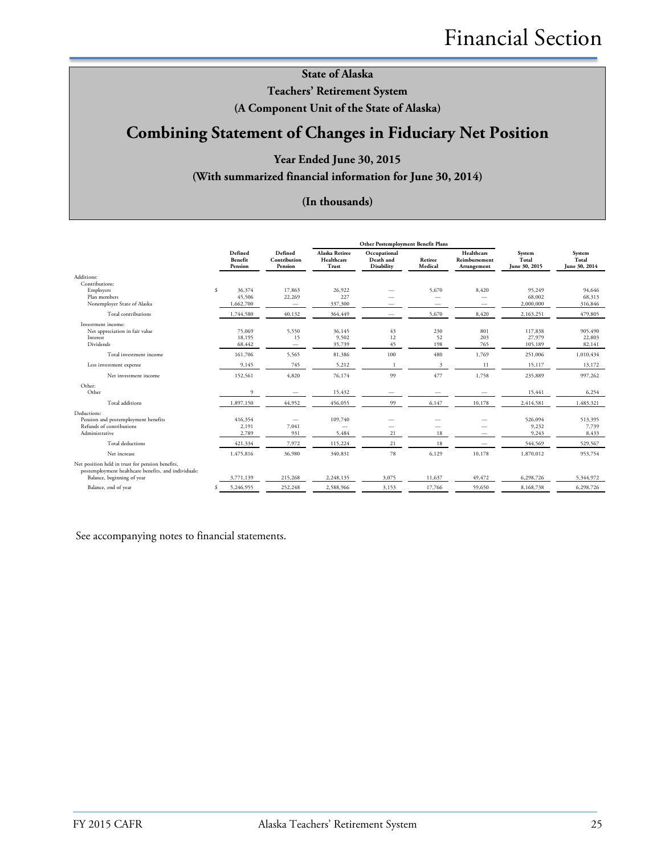### **State of Alaska**

**Teachers' Retirement System**

**(A Component Unit of the State of Alaska)**

# **Combining Statement of Changes in Fiduciary Net Position**

**Year Ended June 30, 2015**

**(With summarized financial information for June 30, 2014)**

**(In thousands)**

|                                                                                                          | Other Postemployment Benefit Plans |                               |                                    |                                       |                                                |                    |                                            |                                  |                                  |
|----------------------------------------------------------------------------------------------------------|------------------------------------|-------------------------------|------------------------------------|---------------------------------------|------------------------------------------------|--------------------|--------------------------------------------|----------------------------------|----------------------------------|
|                                                                                                          |                                    | Defined<br>Benefit<br>Pension | Defined<br>Contribution<br>Pension | Alaska Retiree<br>Healthcare<br>Trust | Occupational<br>Death and<br><b>Disability</b> | Retiree<br>Medical | Healthcare<br>Reimbursement<br>Arrangement | System<br>Total<br>June 30, 2015 | System<br>Total<br>June 30, 2014 |
| Additions:                                                                                               |                                    |                               |                                    |                                       |                                                |                    |                                            |                                  |                                  |
| Contributions:                                                                                           |                                    |                               |                                    |                                       |                                                |                    |                                            |                                  |                                  |
| Employers                                                                                                | s                                  | 36,374                        | 17,863                             | 26,922                                |                                                | 5,670              | 8,420                                      | 95,249                           | 94.646                           |
| Plan members                                                                                             |                                    | 45,506                        | 22,269                             | 227                                   |                                                |                    |                                            | 68,002                           | 68,313                           |
| Nonemployer State of Alaska                                                                              |                                    | 1,662,700                     |                                    | 337,300                               |                                                | $\hspace{0.05cm}$  | $\hspace{0.1mm}-\hspace{0.1mm}$            | 2,000,000                        | 316,846                          |
| Total contributions                                                                                      |                                    | 1,744,580                     | 40,132                             | 364,449                               |                                                | 5,670              | 8,420                                      | 2,163,251                        | 479,805                          |
| Investment income:                                                                                       |                                    |                               |                                    |                                       |                                                |                    |                                            |                                  |                                  |
| Net appreciation in fair value                                                                           |                                    | 75,069                        | 5,550                              | 36.145                                | 43                                             | 230                | 801                                        | 117,838                          | 905,490                          |
| Interest                                                                                                 |                                    | 18,195                        | 15                                 | 9,502                                 | 12                                             | 52                 | 203                                        | 27,979                           | 22,803                           |
| Dividends                                                                                                |                                    | 68,442                        | $\overbrace{\phantom{12332}}$      | 35,739                                | 45                                             | 198                | 765                                        | 105,189                          | 82,141                           |
| Total investment income                                                                                  |                                    | 161,706                       | 5,565                              | 81,386                                | 100                                            | 480                | 1,769                                      | 251,006                          | 1,010,434                        |
| Less investment expense                                                                                  |                                    | 9,145                         | 745                                | 5,212                                 |                                                | 3                  | 11                                         | 15,117                           | 13,172                           |
| Net investment income                                                                                    |                                    | 152,561                       | 4,820                              | 76,174                                | 99                                             | 477                | 1,758                                      | 235,889                          | 997,262                          |
| Other:                                                                                                   |                                    |                               |                                    |                                       |                                                |                    |                                            |                                  |                                  |
| Other                                                                                                    |                                    | 9                             |                                    | 15,432                                |                                                |                    |                                            | 15,441                           | 6,254                            |
| Total additions                                                                                          |                                    | 1,897,150                     | 44,952                             | 456,055                               | 99                                             | 6,147              | 10,178                                     | 2,414,581                        | 1,483,321                        |
| Deductions:                                                                                              |                                    |                               |                                    |                                       |                                                |                    |                                            |                                  |                                  |
| Pension and postemployment benefits                                                                      |                                    | 416,354                       |                                    | 109,740                               |                                                |                    |                                            | 526,094                          | 513,395                          |
| Refunds of contributions                                                                                 |                                    | 2,191                         | 7,041                              |                                       |                                                |                    |                                            | 9,232                            | 7,739                            |
| Administrative                                                                                           |                                    | 2,789                         | 931                                | 5,484                                 | 21                                             | 18                 | -                                          | 9,243                            | 8,433                            |
| Total deductions                                                                                         |                                    | 421,334                       | 7,972                              | 115,224                               | 21                                             | 18                 | -                                          | 544,569                          | 529,567                          |
| Net increase                                                                                             |                                    | 1,475,816                     | 36,980                             | 340,831                               | 78                                             | 6,129              | 10,178                                     | 1,870,012                        | 953,754                          |
| Net position held in trust for pension benefits,<br>postemployment healthcare benefits, and individuals: |                                    |                               |                                    |                                       |                                                |                    |                                            |                                  |                                  |
| Balance, beginning of year                                                                               |                                    | 3,771,139                     | 215,268                            | 2,248,135                             | 3,075                                          | 11,637             | 49,472                                     | 6,298,726                        | 5,344,972                        |
| Balance, end of year                                                                                     |                                    | 5,246,955                     | 252,248                            | 2,588,966                             | 3,153                                          | 17,766             | 59,650                                     | 8,168,738                        | 6,298,726                        |

See accompanying notes to financial statements.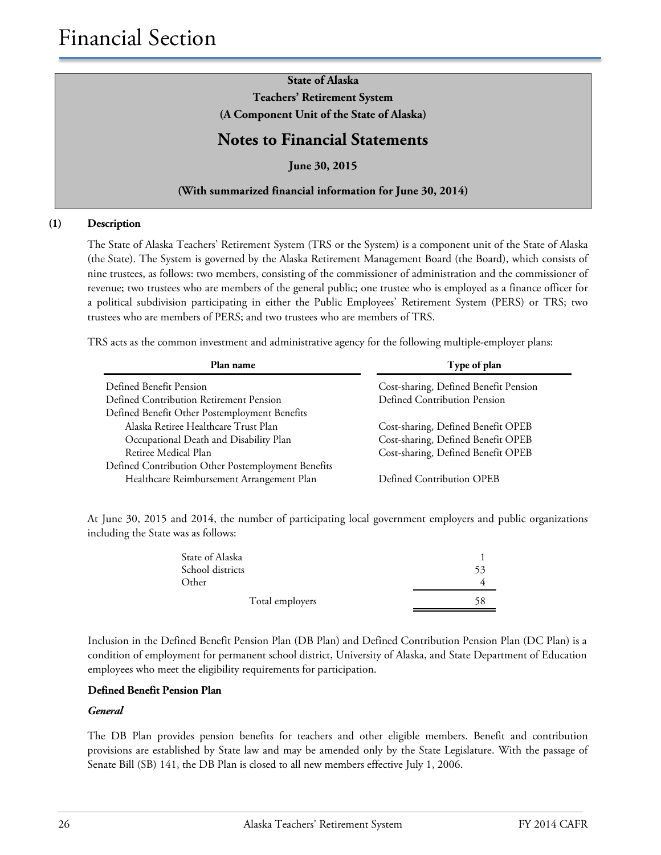# **Notes to Financial Statements**

**June 30, 2015**

#### **(With summarized financial information for June 30, 2014)**

#### **(1) Description**

The State of Alaska Teachers' Retirement System (TRS or the System) is a component unit of the State of Alaska (the State). The System is governed by the Alaska Retirement Management Board (the Board), which consists of nine trustees, as follows: two members, consisting of the commissioner of administration and the commissioner of revenue; two trustees who are members of the general public; one trustee who is employed as a finance officer for a political subdivision participating in either the Public Employees' Retirement System (PERS) or TRS; two trustees who are members of PERS; and two trustees who are members of TRS.

TRS acts as the common investment and administrative agency for the following multiple-employer plans:

| Plan name                                          | Type of plan                          |
|----------------------------------------------------|---------------------------------------|
| Defined Benefit Pension                            | Cost-sharing, Defined Benefit Pension |
| Defined Contribution Retirement Pension            | Defined Contribution Pension          |
| Defined Benefit Other Postemployment Benefits      |                                       |
| Alaska Retiree Healthcare Trust Plan               | Cost-sharing, Defined Benefit OPEB    |
| Occupational Death and Disability Plan             | Cost-sharing, Defined Benefit OPEB    |
| Retiree Medical Plan                               | Cost-sharing, Defined Benefit OPEB    |
| Defined Contribution Other Postemployment Benefits |                                       |
| Healthcare Reimbursement Arrangement Plan          | Defined Contribution OPEB             |
|                                                    |                                       |

At June 30, 2015 and 2014, the number of participating local government employers and public organizations including the State was as follows:

| State of Alaska  |     |
|------------------|-----|
| School districts | ר ר |
| Other            |     |
| Total employers  | 58  |

Inclusion in the Defined Benefit Pension Plan (DB Plan) and Defined Contribution Pension Plan (DC Plan) is a condition of employment for permanent school district, University of Alaska, and State Department of Education employees who meet the eligibility requirements for participation.

#### **Defined Benefit Pension Plan**

#### *General*

The DB Plan provides pension benefits for teachers and other eligible members. Benefit and contribution provisions are established by State law and may be amended only by the State Legislature. With the passage of Senate Bill (SB) 141, the DB Plan is closed to all new members effective July 1, 2006.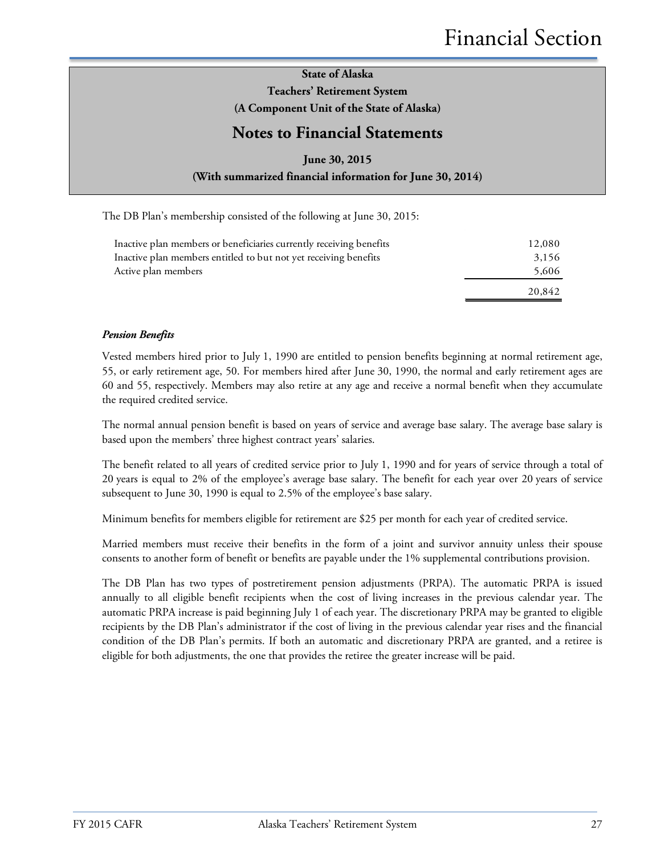### **Notes to Financial Statements**

**June 30, 2015**

**(With summarized financial information for June 30, 2014)**

The DB Plan's membership consisted of the following at June 30, 2015:

| Inactive plan members or beneficiaries currently receiving benefits | 12,080 |
|---------------------------------------------------------------------|--------|
| Inactive plan members entitled to but not yet receiving benefits    | 3.156  |
| Active plan members                                                 | 5,606  |
|                                                                     | 20,842 |

#### *Pension Benefits*

Vested members hired prior to July 1, 1990 are entitled to pension benefits beginning at normal retirement age, 55, or early retirement age, 50. For members hired after June 30, 1990, the normal and early retirement ages are 60 and 55, respectively. Members may also retire at any age and receive a normal benefit when they accumulate the required credited service.

The normal annual pension benefit is based on years of service and average base salary. The average base salary is based upon the members' three highest contract years' salaries.

The benefit related to all years of credited service prior to July 1, 1990 and for years of service through a total of 20 years is equal to 2% of the employee's average base salary. The benefit for each year over 20 years of service subsequent to June 30, 1990 is equal to 2.5% of the employee's base salary.

Minimum benefits for members eligible for retirement are \$25 per month for each year of credited service.

Married members must receive their benefits in the form of a joint and survivor annuity unless their spouse consents to another form of benefit or benefits are payable under the 1% supplemental contributions provision.

The DB Plan has two types of postretirement pension adjustments (PRPA). The automatic PRPA is issued annually to all eligible benefit recipients when the cost of living increases in the previous calendar year. The automatic PRPA increase is paid beginning July 1 of each year. The discretionary PRPA may be granted to eligible recipients by the DB Plan's administrator if the cost of living in the previous calendar year rises and the financial condition of the DB Plan's permits. If both an automatic and discretionary PRPA are granted, and a retiree is eligible for both adjustments, the one that provides the retiree the greater increase will be paid.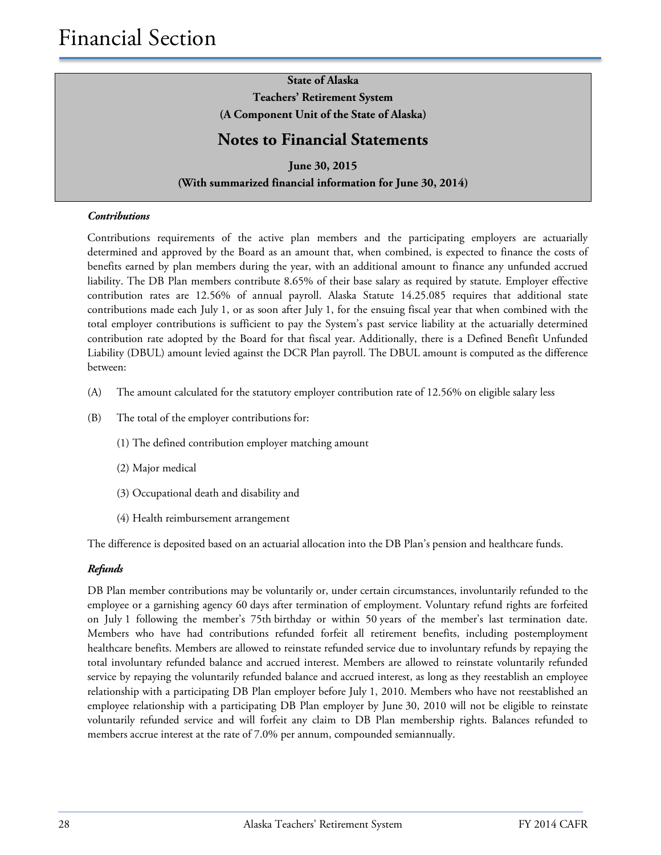# **Notes to Financial Statements**

**June 30, 2015 (With summarized financial information for June 30, 2014)**

#### *Contributions*

Contributions requirements of the active plan members and the participating employers are actuarially determined and approved by the Board as an amount that, when combined, is expected to finance the costs of benefits earned by plan members during the year, with an additional amount to finance any unfunded accrued liability. The DB Plan members contribute 8.65% of their base salary as required by statute. Employer effective contribution rates are 12.56% of annual payroll. Alaska Statute 14.25.085 requires that additional state contributions made each July 1, or as soon after July 1, for the ensuing fiscal year that when combined with the total employer contributions is sufficient to pay the System's past service liability at the actuarially determined contribution rate adopted by the Board for that fiscal year. Additionally, there is a Defined Benefit Unfunded Liability (DBUL) amount levied against the DCR Plan payroll. The DBUL amount is computed as the difference between:

- (A) The amount calculated for the statutory employer contribution rate of 12.56% on eligible salary less
- (B) The total of the employer contributions for:
	- (1) The defined contribution employer matching amount
	- (2) Major medical
	- (3) Occupational death and disability and
	- (4) Health reimbursement arrangement

The difference is deposited based on an actuarial allocation into the DB Plan's pension and healthcare funds.

#### *Refunds*

DB Plan member contributions may be voluntarily or, under certain circumstances, involuntarily refunded to the employee or a garnishing agency 60 days after termination of employment. Voluntary refund rights are forfeited on July 1 following the member's 75th birthday or within 50 years of the member's last termination date. Members who have had contributions refunded forfeit all retirement benefits, including postemployment healthcare benefits. Members are allowed to reinstate refunded service due to involuntary refunds by repaying the total involuntary refunded balance and accrued interest. Members are allowed to reinstate voluntarily refunded service by repaying the voluntarily refunded balance and accrued interest, as long as they reestablish an employee relationship with a participating DB Plan employer before July 1, 2010. Members who have not reestablished an employee relationship with a participating DB Plan employer by June 30, 2010 will not be eligible to reinstate voluntarily refunded service and will forfeit any claim to DB Plan membership rights. Balances refunded to members accrue interest at the rate of 7.0% per annum, compounded semiannually.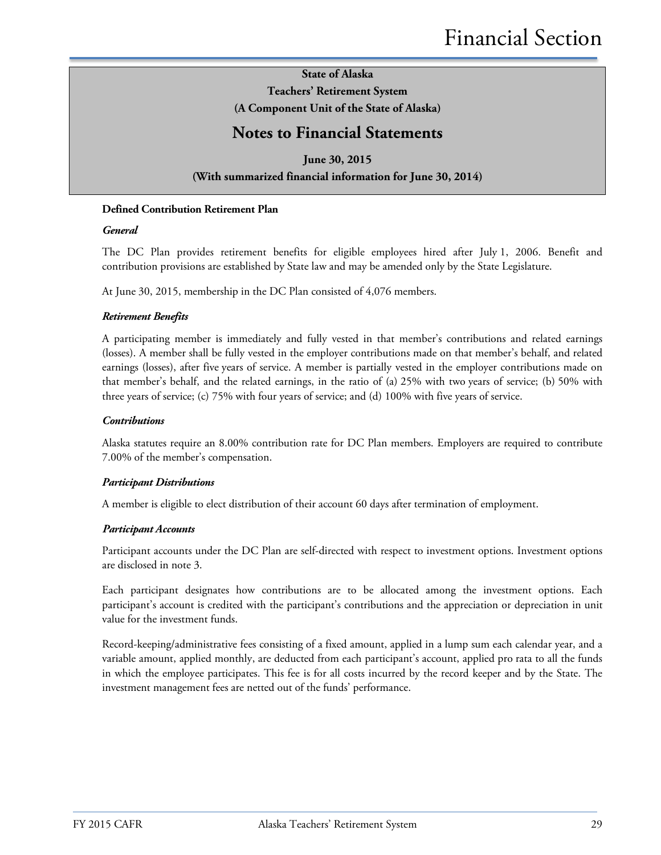#### **State of Alaska**

**Teachers' Retirement System**

**(A Component Unit of the State of Alaska)**

### **Notes to Financial Statements**

**June 30, 2015 (With summarized financial information for June 30, 2014)**

#### **Defined Contribution Retirement Plan**

#### *General*

The DC Plan provides retirement benefits for eligible employees hired after July 1, 2006. Benefit and contribution provisions are established by State law and may be amended only by the State Legislature.

At June 30, 2015, membership in the DC Plan consisted of 4,076 members.

#### *Retirement Benefits*

A participating member is immediately and fully vested in that member's contributions and related earnings (losses). A member shall be fully vested in the employer contributions made on that member's behalf, and related earnings (losses), after five years of service. A member is partially vested in the employer contributions made on that member's behalf, and the related earnings, in the ratio of (a) 25% with two years of service; (b) 50% with three years of service; (c) 75% with four years of service; and (d) 100% with five years of service.

#### *Contributions*

Alaska statutes require an 8.00% contribution rate for DC Plan members. Employers are required to contribute 7.00% of the member's compensation.

#### *Participant Distributions*

A member is eligible to elect distribution of their account 60 days after termination of employment.

#### *Participant Accounts*

Participant accounts under the DC Plan are self-directed with respect to investment options. Investment options are disclosed in note 3.

Each participant designates how contributions are to be allocated among the investment options. Each participant's account is credited with the participant's contributions and the appreciation or depreciation in unit value for the investment funds.

Record-keeping/administrative fees consisting of a fixed amount, applied in a lump sum each calendar year, and a variable amount, applied monthly, are deducted from each participant's account, applied pro rata to all the funds in which the employee participates. This fee is for all costs incurred by the record keeper and by the State. The investment management fees are netted out of the funds' performance.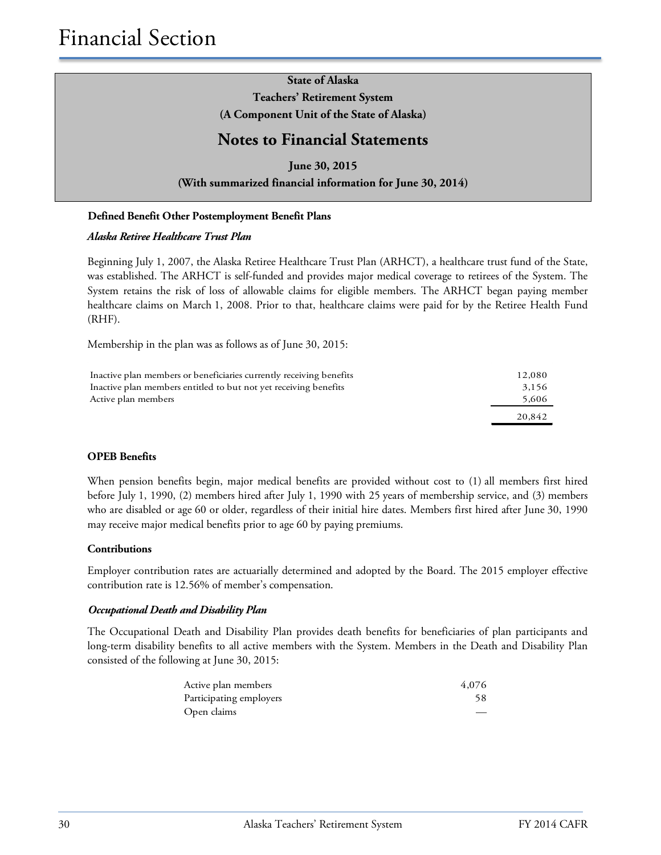### **Notes to Financial Statements**

**June 30, 2015 (With summarized financial information for June 30, 2014)**

#### **Defined Benefit Other Postemployment Benefit Plans**

#### *Alaska Retiree Healthcare Trust Plan*

Beginning July 1, 2007, the Alaska Retiree Healthcare Trust Plan (ARHCT), a healthcare trust fund of the State, was established. The ARHCT is self-funded and provides major medical coverage to retirees of the System. The System retains the risk of loss of allowable claims for eligible members. The ARHCT began paying member healthcare claims on March 1, 2008. Prior to that, healthcare claims were paid for by the Retiree Health Fund (RHF).

Membership in the plan was as follows as of June 30, 2015:

| Inactive plan members or beneficiaries currently receiving benefits | 12,080 |
|---------------------------------------------------------------------|--------|
| Inactive plan members entitled to but not yet receiving benefits    | 3.156  |
| Active plan members                                                 | 5.606  |
|                                                                     | 20,842 |

#### **OPEB Benefits**

When pension benefits begin, major medical benefits are provided without cost to (1) all members first hired before July 1, 1990, (2) members hired after July 1, 1990 with 25 years of membership service, and (3) members who are disabled or age 60 or older, regardless of their initial hire dates. Members first hired after June 30, 1990 may receive major medical benefits prior to age 60 by paying premiums.

#### **Contributions**

Employer contribution rates are actuarially determined and adopted by the Board. The 2015 employer effective contribution rate is 12.56% of member's compensation.

#### *Occupational Death and Disability Plan*

The Occupational Death and Disability Plan provides death benefits for beneficiaries of plan participants and long-term disability benefits to all active members with the System. Members in the Death and Disability Plan consisted of the following at June 30, 2015:

| Active plan members     | 4.076 |
|-------------------------|-------|
| Participating employers | 58    |
| Open claims             |       |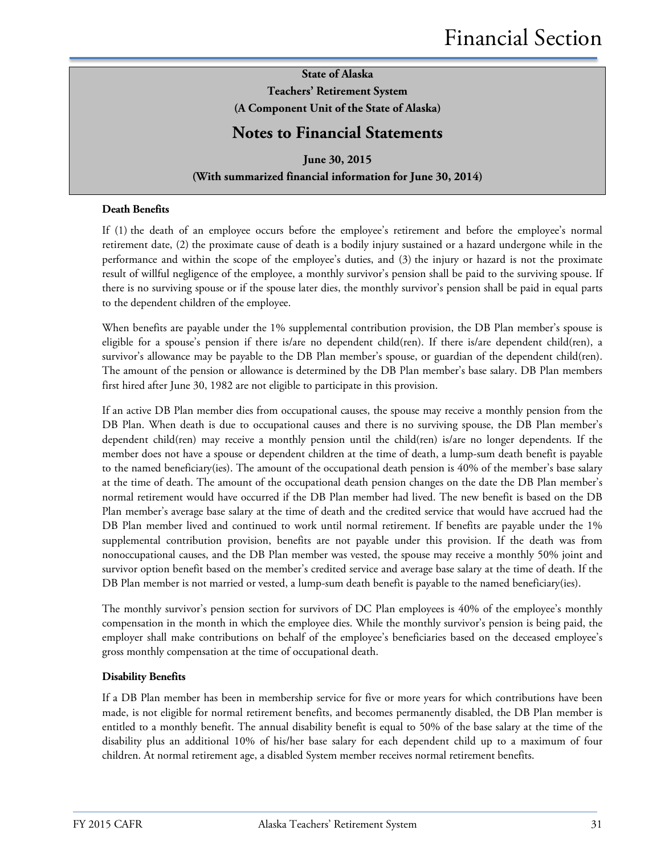# **Notes to Financial Statements**

**June 30, 2015 (With summarized financial information for June 30, 2014)**

#### **Death Benefits**

If (1) the death of an employee occurs before the employee's retirement and before the employee's normal retirement date, (2) the proximate cause of death is a bodily injury sustained or a hazard undergone while in the performance and within the scope of the employee's duties, and (3) the injury or hazard is not the proximate result of willful negligence of the employee, a monthly survivor's pension shall be paid to the surviving spouse. If there is no surviving spouse or if the spouse later dies, the monthly survivor's pension shall be paid in equal parts to the dependent children of the employee.

When benefits are payable under the 1% supplemental contribution provision, the DB Plan member's spouse is eligible for a spouse's pension if there is/are no dependent child(ren). If there is/are dependent child(ren), a survivor's allowance may be payable to the DB Plan member's spouse, or guardian of the dependent child(ren). The amount of the pension or allowance is determined by the DB Plan member's base salary. DB Plan members first hired after June 30, 1982 are not eligible to participate in this provision.

If an active DB Plan member dies from occupational causes, the spouse may receive a monthly pension from the DB Plan. When death is due to occupational causes and there is no surviving spouse, the DB Plan member's dependent child(ren) may receive a monthly pension until the child(ren) is/are no longer dependents. If the member does not have a spouse or dependent children at the time of death, a lump-sum death benefit is payable to the named beneficiary(ies). The amount of the occupational death pension is 40% of the member's base salary at the time of death. The amount of the occupational death pension changes on the date the DB Plan member's normal retirement would have occurred if the DB Plan member had lived. The new benefit is based on the DB Plan member's average base salary at the time of death and the credited service that would have accrued had the DB Plan member lived and continued to work until normal retirement. If benefits are payable under the 1% supplemental contribution provision, benefits are not payable under this provision. If the death was from nonoccupational causes, and the DB Plan member was vested, the spouse may receive a monthly 50% joint and survivor option benefit based on the member's credited service and average base salary at the time of death. If the DB Plan member is not married or vested, a lump-sum death benefit is payable to the named beneficiary(ies).

The monthly survivor's pension section for survivors of DC Plan employees is 40% of the employee's monthly compensation in the month in which the employee dies. While the monthly survivor's pension is being paid, the employer shall make contributions on behalf of the employee's beneficiaries based on the deceased employee's gross monthly compensation at the time of occupational death.

#### **Disability Benefits**

If a DB Plan member has been in membership service for five or more years for which contributions have been made, is not eligible for normal retirement benefits, and becomes permanently disabled, the DB Plan member is entitled to a monthly benefit. The annual disability benefit is equal to 50% of the base salary at the time of the disability plus an additional 10% of his/her base salary for each dependent child up to a maximum of four children. At normal retirement age, a disabled System member receives normal retirement benefits.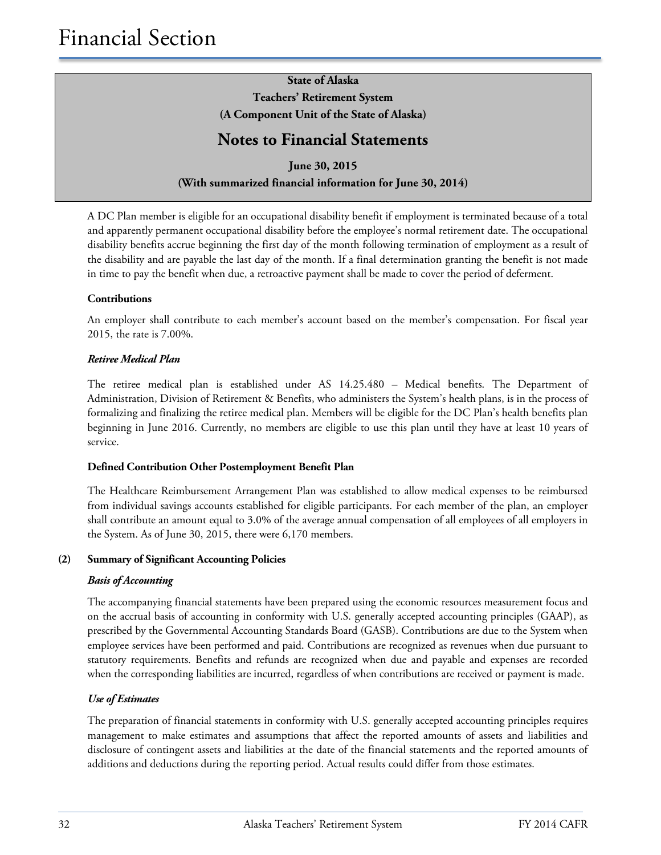# **Notes to Financial Statements**

**June 30, 2015 (With summarized financial information for June 30, 2014)**

A DC Plan member is eligible for an occupational disability benefit if employment is terminated because of a total and apparently permanent occupational disability before the employee's normal retirement date. The occupational disability benefits accrue beginning the first day of the month following termination of employment as a result of the disability and are payable the last day of the month. If a final determination granting the benefit is not made in time to pay the benefit when due, a retroactive payment shall be made to cover the period of deferment.

#### **Contributions**

An employer shall contribute to each member's account based on the member's compensation. For fiscal year 2015, the rate is 7.00%.

#### *Retiree Medical Plan*

The retiree medical plan is established under AS 14.25.480 – Medical benefits. The Department of Administration, Division of Retirement & Benefits, who administers the System's health plans, is in the process of formalizing and finalizing the retiree medical plan. Members will be eligible for the DC Plan's health benefits plan beginning in June 2016. Currently, no members are eligible to use this plan until they have at least 10 years of service.

#### **Defined Contribution Other Postemployment Benefit Plan**

The Healthcare Reimbursement Arrangement Plan was established to allow medical expenses to be reimbursed from individual savings accounts established for eligible participants. For each member of the plan, an employer shall contribute an amount equal to 3.0% of the average annual compensation of all employees of all employers in the System. As of June 30, 2015, there were 6,170 members.

#### **(2) Summary of Significant Accounting Policies**

#### *Basis of Accounting*

The accompanying financial statements have been prepared using the economic resources measurement focus and on the accrual basis of accounting in conformity with U.S. generally accepted accounting principles (GAAP), as prescribed by the Governmental Accounting Standards Board (GASB). Contributions are due to the System when employee services have been performed and paid. Contributions are recognized as revenues when due pursuant to statutory requirements. Benefits and refunds are recognized when due and payable and expenses are recorded when the corresponding liabilities are incurred, regardless of when contributions are received or payment is made.

#### *Use of Estimates*

The preparation of financial statements in conformity with U.S. generally accepted accounting principles requires management to make estimates and assumptions that affect the reported amounts of assets and liabilities and disclosure of contingent assets and liabilities at the date of the financial statements and the reported amounts of additions and deductions during the reporting period. Actual results could differ from those estimates.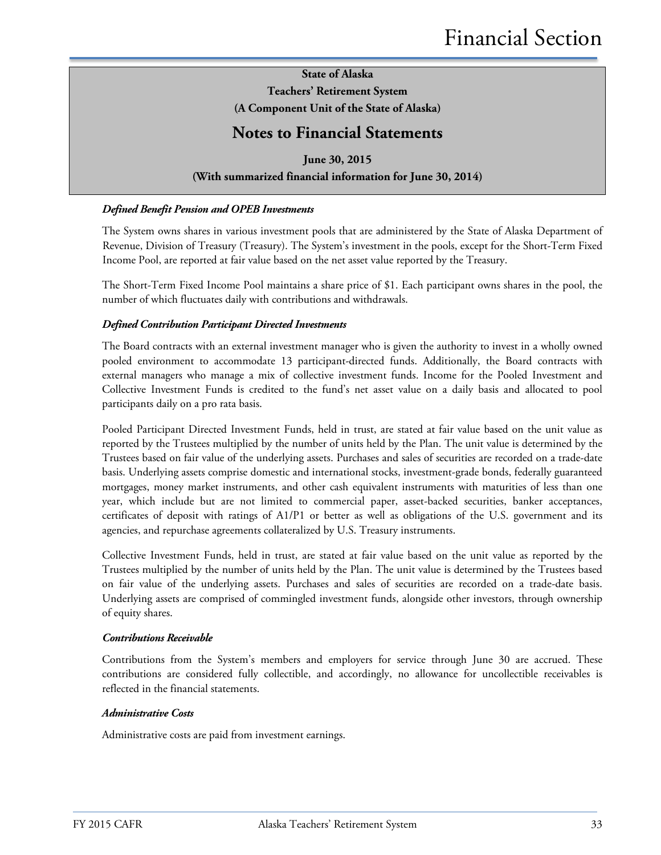# **Notes to Financial Statements**

**June 30, 2015 (With summarized financial information for June 30, 2014)**

#### *Defined Benefit Pension and OPEB Investments*

The System owns shares in various investment pools that are administered by the State of Alaska Department of Revenue, Division of Treasury (Treasury). The System's investment in the pools, except for the Short-Term Fixed Income Pool, are reported at fair value based on the net asset value reported by the Treasury.

The Short-Term Fixed Income Pool maintains a share price of \$1. Each participant owns shares in the pool, the number of which fluctuates daily with contributions and withdrawals.

#### *Defined Contribution Participant Directed Investments*

The Board contracts with an external investment manager who is given the authority to invest in a wholly owned pooled environment to accommodate 13 participant-directed funds. Additionally, the Board contracts with external managers who manage a mix of collective investment funds. Income for the Pooled Investment and Collective Investment Funds is credited to the fund's net asset value on a daily basis and allocated to pool participants daily on a pro rata basis.

Pooled Participant Directed Investment Funds, held in trust, are stated at fair value based on the unit value as reported by the Trustees multiplied by the number of units held by the Plan. The unit value is determined by the Trustees based on fair value of the underlying assets. Purchases and sales of securities are recorded on a trade-date basis. Underlying assets comprise domestic and international stocks, investment-grade bonds, federally guaranteed mortgages, money market instruments, and other cash equivalent instruments with maturities of less than one year, which include but are not limited to commercial paper, asset-backed securities, banker acceptances, certificates of deposit with ratings of A1/P1 or better as well as obligations of the U.S. government and its agencies, and repurchase agreements collateralized by U.S. Treasury instruments.

Collective Investment Funds, held in trust, are stated at fair value based on the unit value as reported by the Trustees multiplied by the number of units held by the Plan. The unit value is determined by the Trustees based on fair value of the underlying assets. Purchases and sales of securities are recorded on a trade-date basis. Underlying assets are comprised of commingled investment funds, alongside other investors, through ownership of equity shares.

#### *Contributions Receivable*

Contributions from the System's members and employers for service through June 30 are accrued. These contributions are considered fully collectible, and accordingly, no allowance for uncollectible receivables is reflected in the financial statements.

#### *Administrative Costs*

Administrative costs are paid from investment earnings.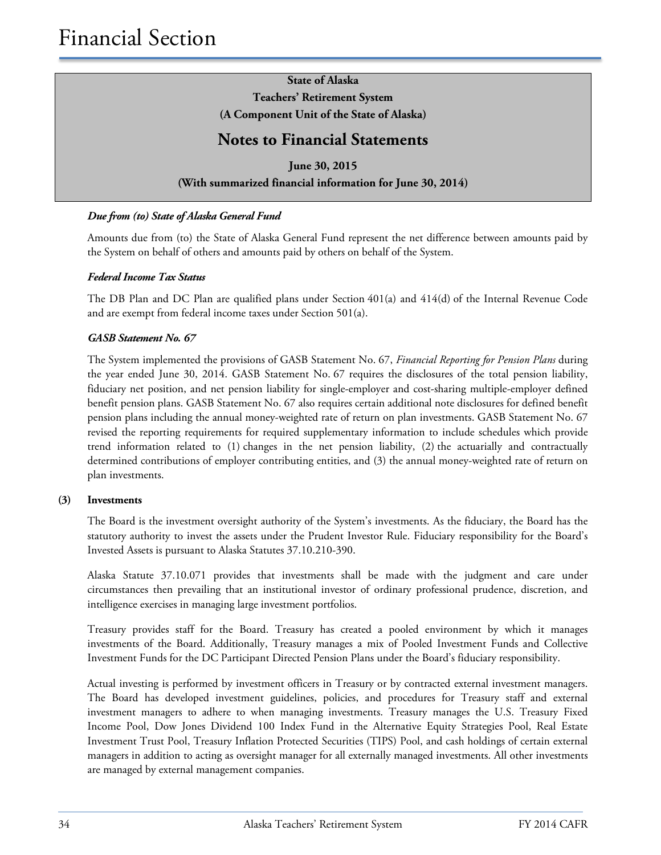# **Notes to Financial Statements**

**June 30, 2015 (With summarized financial information for June 30, 2014)**

#### *Due from (to) State of Alaska General Fund*

Amounts due from (to) the State of Alaska General Fund represent the net difference between amounts paid by the System on behalf of others and amounts paid by others on behalf of the System.

#### *Federal Income Tax Status*

The DB Plan and DC Plan are qualified plans under Section 401(a) and 414(d) of the Internal Revenue Code and are exempt from federal income taxes under Section 501(a).

#### *GASB Statement No. 67*

The System implemented the provisions of GASB Statement No. 67, *Financial Reporting for Pension Plans* during the year ended June 30, 2014. GASB Statement No. 67 requires the disclosures of the total pension liability, fiduciary net position, and net pension liability for single-employer and cost-sharing multiple-employer defined benefit pension plans. GASB Statement No. 67 also requires certain additional note disclosures for defined benefit pension plans including the annual money-weighted rate of return on plan investments. GASB Statement No. 67 revised the reporting requirements for required supplementary information to include schedules which provide trend information related to (1) changes in the net pension liability, (2) the actuarially and contractually determined contributions of employer contributing entities, and (3) the annual money-weighted rate of return on plan investments.

#### **(3) Investments**

The Board is the investment oversight authority of the System's investments. As the fiduciary, the Board has the statutory authority to invest the assets under the Prudent Investor Rule. Fiduciary responsibility for the Board's Invested Assets is pursuant to Alaska Statutes 37.10.210-390.

Alaska Statute 37.10.071 provides that investments shall be made with the judgment and care under circumstances then prevailing that an institutional investor of ordinary professional prudence, discretion, and intelligence exercises in managing large investment portfolios.

Treasury provides staff for the Board. Treasury has created a pooled environment by which it manages investments of the Board. Additionally, Treasury manages a mix of Pooled Investment Funds and Collective Investment Funds for the DC Participant Directed Pension Plans under the Board's fiduciary responsibility.

Actual investing is performed by investment officers in Treasury or by contracted external investment managers. The Board has developed investment guidelines, policies, and procedures for Treasury staff and external investment managers to adhere to when managing investments. Treasury manages the U.S. Treasury Fixed Income Pool, Dow Jones Dividend 100 Index Fund in the Alternative Equity Strategies Pool, Real Estate Investment Trust Pool, Treasury Inflation Protected Securities (TIPS) Pool, and cash holdings of certain external managers in addition to acting as oversight manager for all externally managed investments. All other investments are managed by external management companies.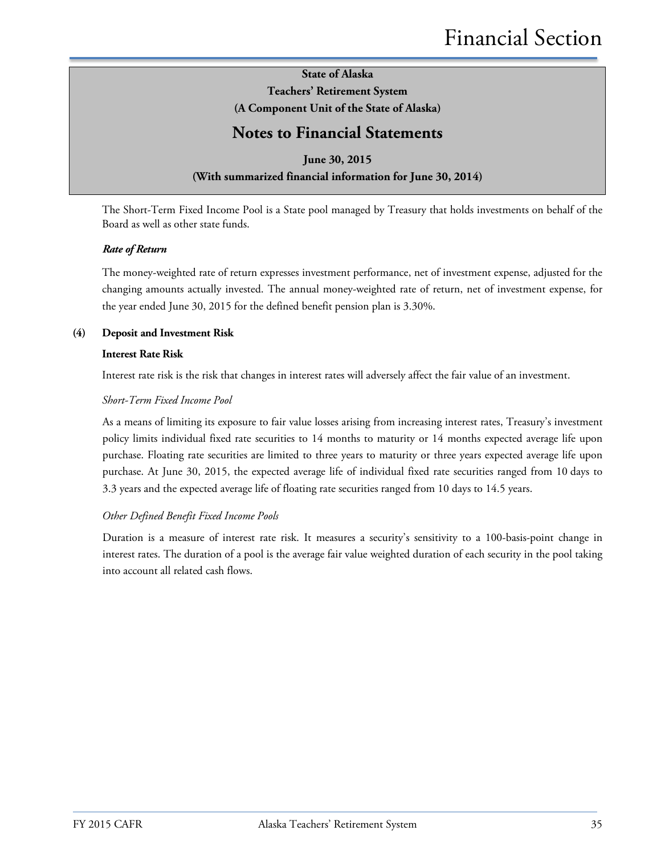# **Notes to Financial Statements**

**June 30, 2015 (With summarized financial information for June 30, 2014)**

The Short-Term Fixed Income Pool is a State pool managed by Treasury that holds investments on behalf of the Board as well as other state funds.

#### *Rate of Return*

The money-weighted rate of return expresses investment performance, net of investment expense, adjusted for the changing amounts actually invested. The annual money-weighted rate of return, net of investment expense, for the year ended June 30, 2015 for the defined benefit pension plan is 3.30%.

#### **(4) Deposit and Investment Risk**

#### **Interest Rate Risk**

Interest rate risk is the risk that changes in interest rates will adversely affect the fair value of an investment.

#### *Short-Term Fixed Income Pool*

As a means of limiting its exposure to fair value losses arising from increasing interest rates, Treasury's investment policy limits individual fixed rate securities to 14 months to maturity or 14 months expected average life upon purchase. Floating rate securities are limited to three years to maturity or three years expected average life upon purchase. At June 30, 2015, the expected average life of individual fixed rate securities ranged from 10 days to 3.3 years and the expected average life of floating rate securities ranged from 10 days to 14.5 years.

#### *Other Defined Benefit Fixed Income Pools*

Duration is a measure of interest rate risk. It measures a security's sensitivity to a 100-basis-point change in interest rates. The duration of a pool is the average fair value weighted duration of each security in the pool taking into account all related cash flows.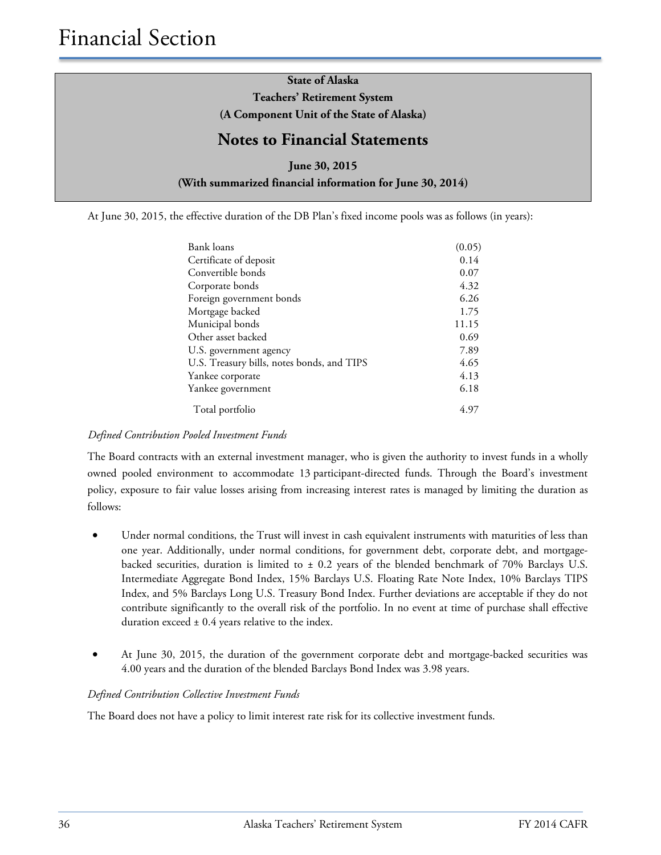| <b>State of Alaska</b>                    |  |
|-------------------------------------------|--|
| <b>Teachers' Retirement System</b>        |  |
| (A Component Unit of the State of Alaska) |  |
| <b>Notes to Financial Statements</b>      |  |
| Imes 30.2015                              |  |

**June 30, 2015**

**(With summarized financial information for June 30, 2014)**

At June 30, 2015, the effective duration of the DB Plan's fixed income pools was as follows (in years):

| Bank loans                                 | (0.05) |
|--------------------------------------------|--------|
| Certificate of deposit                     | 0.14   |
| Convertible bonds                          | 0.07   |
| Corporate bonds                            | 4.32   |
| Foreign government bonds                   | 6.26   |
| Mortgage backed                            | 1.75   |
| Municipal bonds                            | 11.15  |
| Other asset backed                         | 0.69   |
| U.S. government agency                     | 7.89   |
| U.S. Treasury bills, notes bonds, and TIPS | 4.65   |
| Yankee corporate                           | 4.13   |
| Yankee government                          | 6.18   |
| Total portfolio                            | 4.97   |

#### *Defined Contribution Pooled Investment Funds*

The Board contracts with an external investment manager, who is given the authority to invest funds in a wholly owned pooled environment to accommodate 13 participant-directed funds. Through the Board's investment policy, exposure to fair value losses arising from increasing interest rates is managed by limiting the duration as follows:

- Under normal conditions, the Trust will invest in cash equivalent instruments with maturities of less than one year. Additionally, under normal conditions, for government debt, corporate debt, and mortgagebacked securities, duration is limited to ± 0.2 years of the blended benchmark of 70% Barclays U.S. Intermediate Aggregate Bond Index, 15% Barclays U.S. Floating Rate Note Index, 10% Barclays TIPS Index, and 5% Barclays Long U.S. Treasury Bond Index. Further deviations are acceptable if they do not contribute significantly to the overall risk of the portfolio. In no event at time of purchase shall effective duration exceed  $\pm$  0.4 years relative to the index.
- At June 30, 2015, the duration of the government corporate debt and mortgage-backed securities was 4.00 years and the duration of the blended Barclays Bond Index was 3.98 years.

#### *Defined Contribution Collective Investment Funds*

The Board does not have a policy to limit interest rate risk for its collective investment funds.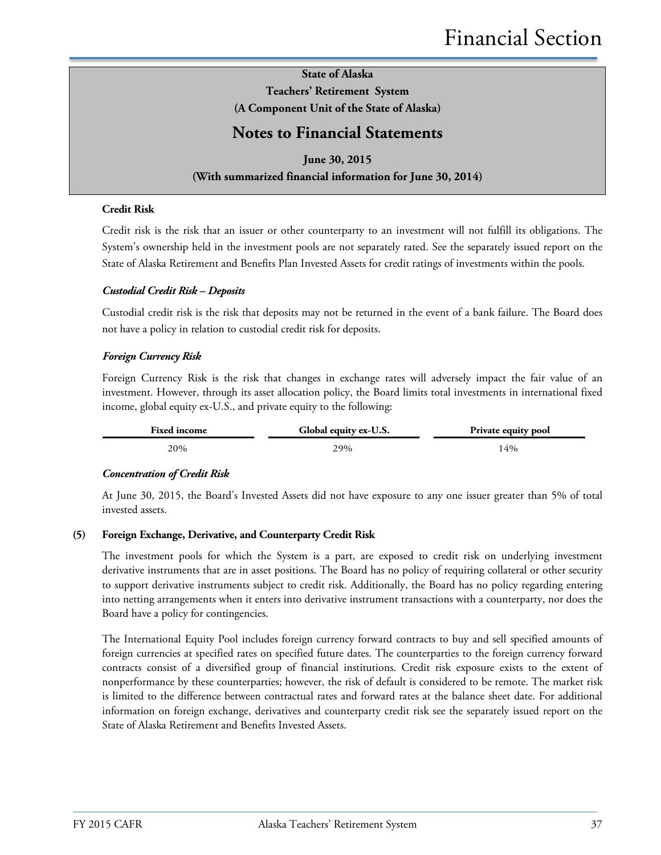# **Notes to Financial Statements**

**June 30, 2015 (With summarized financial information for June 30, 2014)**

#### **Credit Risk**

Credit risk is the risk that an issuer or other counterparty to an investment will not fulfill its obligations. The System's ownership held in the investment pools are not separately rated. See the separately issued report on the State of Alaska Retirement and Benefits Plan Invested Assets for credit ratings of investments within the pools.

#### *Custodial Credit Risk – Deposits*

Custodial credit risk is the risk that deposits may not be returned in the event of a bank failure. The Board does not have a policy in relation to custodial credit risk for deposits.

#### *Foreign Currency Risk*

Foreign Currency Risk is the risk that changes in exchange rates will adversely impact the fair value of an investment. However, through its asset allocation policy, the Board limits total investments in international fixed income, global equity ex-U.S., and private equity to the following:

| <b>Fixed income</b> | Global equity ex-U.S. | Private equity pool |
|---------------------|-----------------------|---------------------|
| 20%                 | 29%                   | 4%                  |

#### *Concentration of Credit Risk*

At June 30, 2015, the Board's Invested Assets did not have exposure to any one issuer greater than 5% of total invested assets.

#### **(5) Foreign Exchange, Derivative, and Counterparty Credit Risk**

The investment pools for which the System is a part, are exposed to credit risk on underlying investment derivative instruments that are in asset positions. The Board has no policy of requiring collateral or other security to support derivative instruments subject to credit risk. Additionally, the Board has no policy regarding entering into netting arrangements when it enters into derivative instrument transactions with a counterparty, nor does the Board have a policy for contingencies.

The International Equity Pool includes foreign currency forward contracts to buy and sell specified amounts of foreign currencies at specified rates on specified future dates. The counterparties to the foreign currency forward contracts consist of a diversified group of financial institutions. Credit risk exposure exists to the extent of nonperformance by these counterparties; however, the risk of default is considered to be remote. The market risk is limited to the difference between contractual rates and forward rates at the balance sheet date. For additional information on foreign exchange, derivatives and counterparty credit risk see the separately issued report on the State of Alaska Retirement and Benefits Invested Assets.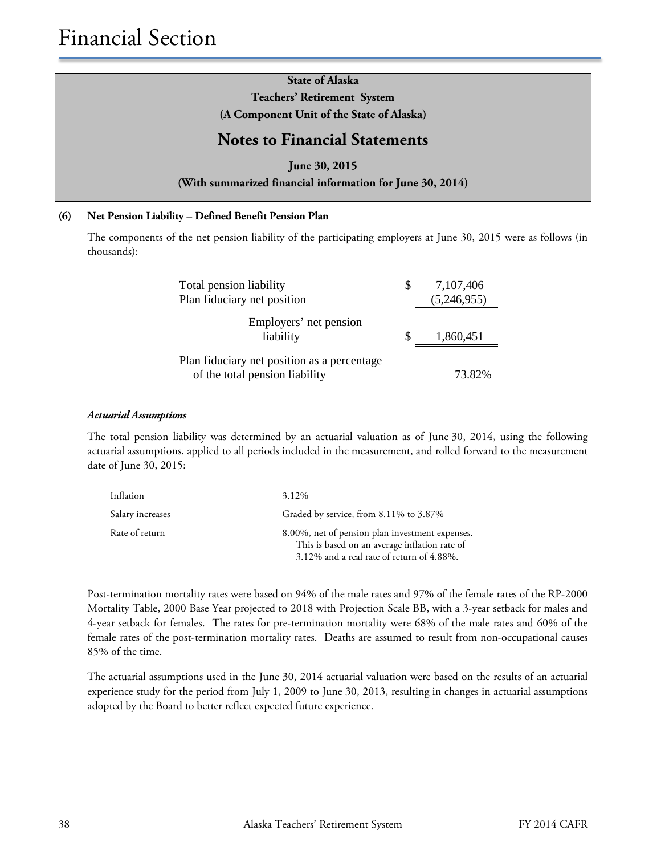| <b>State of Alaska</b>                    |
|-------------------------------------------|
| <b>Teachers' Retirement System</b>        |
| (A Component Unit of the State of Alaska) |
| <b>Notes to Financial Statements</b>      |

**June 30, 2015**

#### **(With summarized financial information for June 30, 2014)**

#### **(6) Net Pension Liability – Defined Benefit Pension Plan**

The components of the net pension liability of the participating employers at June 30, 2015 were as follows (in thousands):

| Total pension liability                                                       | 7,107,406   |
|-------------------------------------------------------------------------------|-------------|
| Plan fiduciary net position                                                   | (5,246,955) |
| Employers' net pension<br>liability                                           | 1,860,451   |
| Plan fiduciary net position as a percentage<br>of the total pension liability | 73.82%      |

#### *Actuarial Assumptions*

The total pension liability was determined by an actuarial valuation as of June 30, 2014, using the following actuarial assumptions, applied to all periods included in the measurement, and rolled forward to the measurement date of June 30, 2015:

| Inflation        | 3.12%                                                                                                                                         |
|------------------|-----------------------------------------------------------------------------------------------------------------------------------------------|
| Salary increases | Graded by service, from 8.11% to 3.87%                                                                                                        |
| Rate of return   | 8.00%, net of pension plan investment expenses.<br>This is based on an average inflation rate of<br>3.12% and a real rate of return of 4.88%. |

Post-termination mortality rates were based on 94% of the male rates and 97% of the female rates of the RP-2000 Mortality Table, 2000 Base Year projected to 2018 with Projection Scale BB, with a 3-year setback for males and 4-year setback for females. The rates for pre-termination mortality were 68% of the male rates and 60% of the female rates of the post-termination mortality rates. Deaths are assumed to result from non-occupational causes 85% of the time.

The actuarial assumptions used in the June 30, 2014 actuarial valuation were based on the results of an actuarial experience study for the period from July 1, 2009 to June 30, 2013, resulting in changes in actuarial assumptions adopted by the Board to better reflect expected future experience.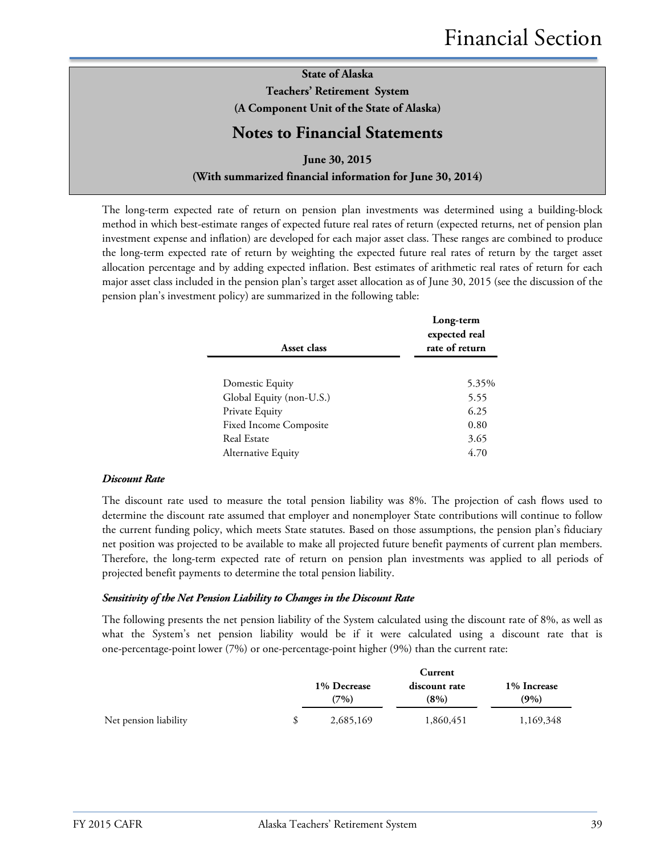### **Notes to Financial Statements**

**June 30, 2015**

#### **(With summarized financial information for June 30, 2014)**

The long-term expected rate of return on pension plan investments was determined using a building-block method in which best-estimate ranges of expected future real rates of return (expected returns, net of pension plan investment expense and inflation) are developed for each major asset class. These ranges are combined to produce the long-term expected rate of return by weighting the expected future real rates of return by the target asset allocation percentage and by adding expected inflation. Best estimates of arithmetic real rates of return for each major asset class included in the pension plan's target asset allocation as of June 30, 2015 (see the discussion of the pension plan's investment policy) are summarized in the following table:

| Asset class                   | Long-term<br>expected real<br>rate of return |  |
|-------------------------------|----------------------------------------------|--|
|                               |                                              |  |
| Domestic Equity               | 5.35%                                        |  |
| Global Equity (non-U.S.)      | 5.55                                         |  |
| Private Equity                | 6.25                                         |  |
| <b>Fixed Income Composite</b> | 0.80                                         |  |
| Real Estate                   | 3.65                                         |  |
| Alternative Equity            | 4.70                                         |  |

#### *Discount Rate*

The discount rate used to measure the total pension liability was 8%. The projection of cash flows used to determine the discount rate assumed that employer and nonemployer State contributions will continue to follow the current funding policy, which meets State statutes. Based on those assumptions, the pension plan's fiduciary net position was projected to be available to make all projected future benefit payments of current plan members. Therefore, the long-term expected rate of return on pension plan investments was applied to all periods of projected benefit payments to determine the total pension liability.

#### *Sensitivity of the Net Pension Liability to Changes in the Discount Rate*

The following presents the net pension liability of the System calculated using the discount rate of 8%, as well as what the System's net pension liability would be if it were calculated using a discount rate that is one-percentage-point lower (7%) or one-percentage-point higher (9%) than the current rate:

|                       |     |                     | Current                  |                        |  |
|-----------------------|-----|---------------------|--------------------------|------------------------|--|
|                       |     | 1% Decrease<br>(7%) | discount rate<br>$(8\%)$ | 1% Increase<br>$(9\%)$ |  |
| Net pension liability | \$. | 2,685,169           | 1,860,451                | 1,169,348              |  |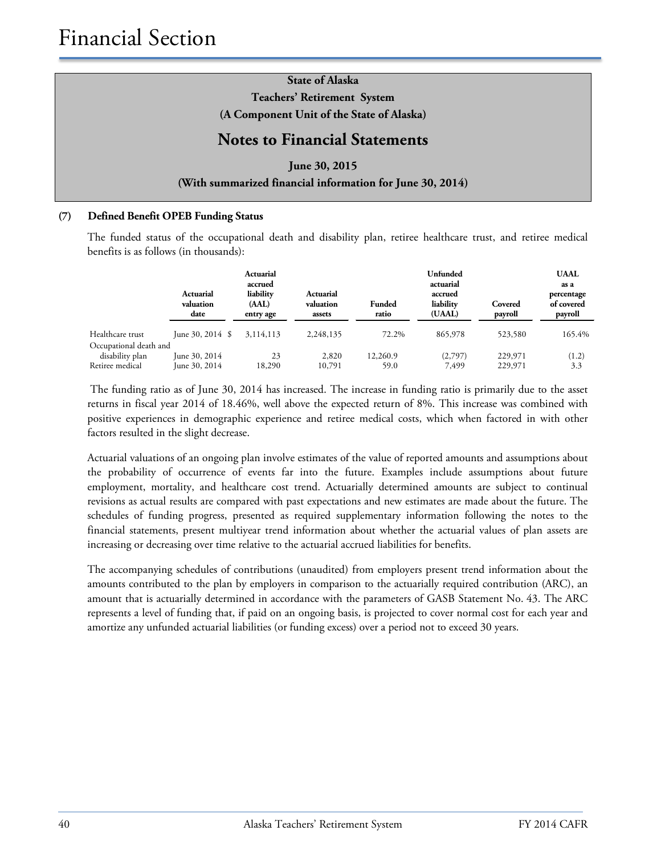### **Notes to Financial Statements**

**June 30, 2015**

#### **(With summarized financial information for June 30, 2014)**

#### **(7) Defined Benefit OPEB Funding Status**

The funded status of the occupational death and disability plan, retiree healthcare trust, and retiree medical benefits is as follows (in thousands):

|                        | Actuarial<br>valuation<br>date | Actuarial<br>accrued<br>liability<br>(AAL)<br>entry age | Actuarial<br>valuation<br>assets | Funded<br>ratio | Unfunded<br>actuarial<br>accrued<br>liability<br>(UAAL) | Covered<br>payroll | <b>UAAL</b><br>as a<br>percentage<br>of covered<br>payroll |
|------------------------|--------------------------------|---------------------------------------------------------|----------------------------------|-----------------|---------------------------------------------------------|--------------------|------------------------------------------------------------|
| Healthcare trust       | June 30, 2014 $$$              | 3,114,113                                               | 2,248,135                        | 72.2%           | 865,978                                                 | 523,580            | 165.4%                                                     |
| Occupational death and |                                |                                                         |                                  |                 |                                                         |                    |                                                            |
| disability plan        | June 30, 2014                  | 23                                                      | 2,820                            | 12,260.9        | (2,797)                                                 | 229,971            | (1.2)                                                      |
| Retiree medical        | June 30, 2014                  | 18,290                                                  | 10,791                           | 59.0            | 7.499                                                   | 229,971            | 3.3                                                        |

The funding ratio as of June 30, 2014 has increased. The increase in funding ratio is primarily due to the asset returns in fiscal year 2014 of 18.46%, well above the expected return of 8%. This increase was combined with positive experiences in demographic experience and retiree medical costs, which when factored in with other factors resulted in the slight decrease.

Actuarial valuations of an ongoing plan involve estimates of the value of reported amounts and assumptions about the probability of occurrence of events far into the future. Examples include assumptions about future employment, mortality, and healthcare cost trend. Actuarially determined amounts are subject to continual revisions as actual results are compared with past expectations and new estimates are made about the future. The schedules of funding progress, presented as required supplementary information following the notes to the financial statements, present multiyear trend information about whether the actuarial values of plan assets are increasing or decreasing over time relative to the actuarial accrued liabilities for benefits.

The accompanying schedules of contributions (unaudited) from employers present trend information about the amounts contributed to the plan by employers in comparison to the actuarially required contribution (ARC), an amount that is actuarially determined in accordance with the parameters of GASB Statement No. 43. The ARC represents a level of funding that, if paid on an ongoing basis, is projected to cover normal cost for each year and amortize any unfunded actuarial liabilities (or funding excess) over a period not to exceed 30 years.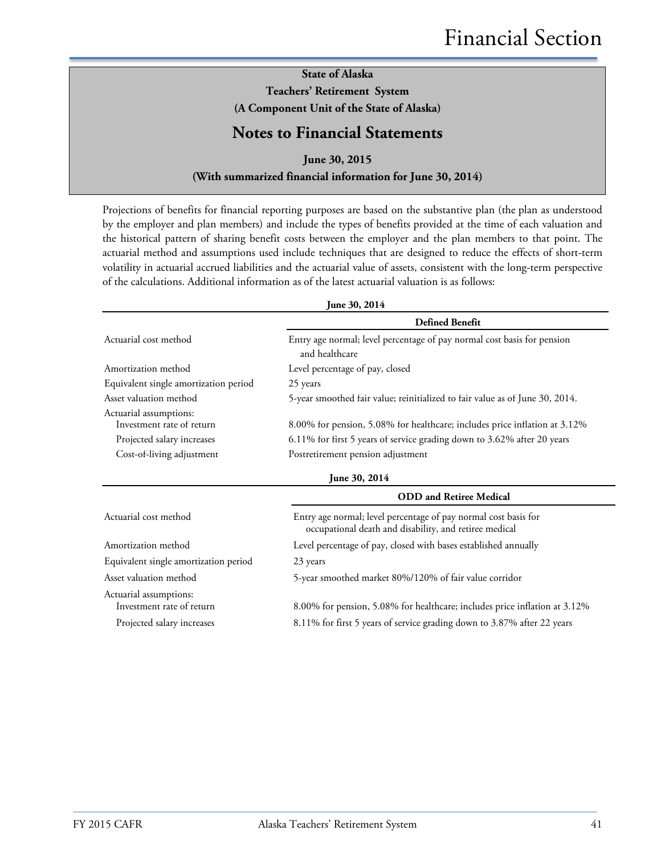# **Notes to Financial Statements**

**June 30, 2015**

**(With summarized financial information for June 30, 2014)**

Projections of benefits for financial reporting purposes are based on the substantive plan (the plan as understood by the employer and plan members) and include the types of benefits provided at the time of each valuation and the historical pattern of sharing benefit costs between the employer and the plan members to that point. The actuarial method and assumptions used include techniques that are designed to reduce the effects of short-term volatility in actuarial accrued liabilities and the actuarial value of assets, consistent with the long-term perspective of the calculations. Additional information as of the latest actuarial valuation is as follows:

| Entry age normal; level percentage of pay normal cost basis for pension      |
|------------------------------------------------------------------------------|
|                                                                              |
|                                                                              |
|                                                                              |
|                                                                              |
| 5-year smoothed fair value; reinitialized to fair value as of June 30, 2014. |
| 8.00% for pension, 5.08% for healthcare; includes price inflation at 3.12%   |
| 6.11% for first 5 years of service grading down to 3.62% after 20 years      |
|                                                                              |
|                                                                              |
|                                                                              |
| Entry age normal; level percentage of pay normal cost basis for              |
| Level percentage of pay, closed with bases established annually              |
|                                                                              |
|                                                                              |
|                                                                              |
| 8.00% for pension, 5.08% for healthcare; includes price inflation at 3.12%   |
|                                                                              |

**June 30, 2014**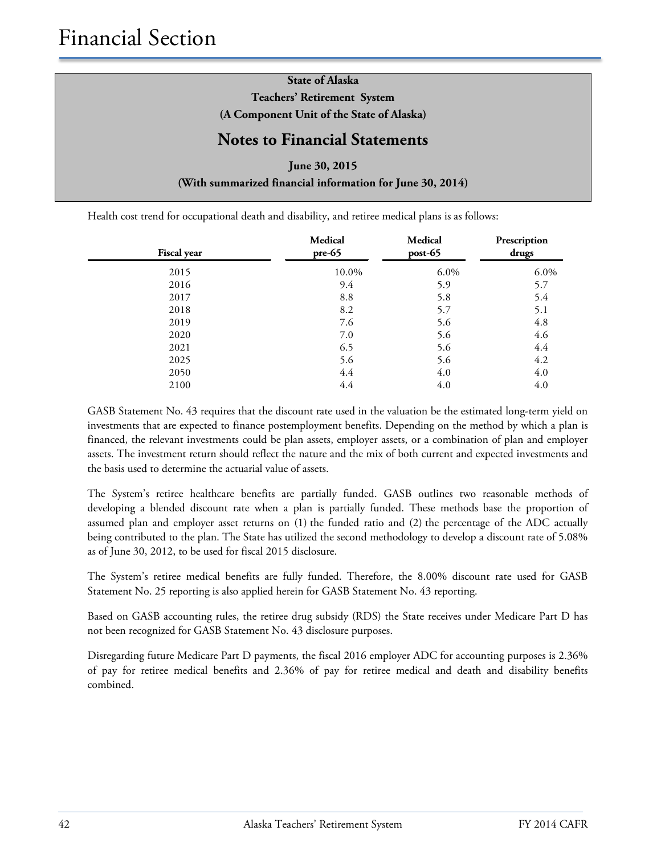| <b>State of Alaska</b>                    |
|-------------------------------------------|
| <b>Teachers' Retirement System</b>        |
| (A Component Unit of the State of Alaska) |
| <b>Notes to Financial Statements</b>      |

**June 30, 2015**

#### **(With summarized financial information for June 30, 2014)**

Health cost trend for occupational death and disability, and retiree medical plans is as follows:

| <b>Fiscal year</b> | Medical<br>$pre-65$ | <b>Medical</b><br>$post-65$ | Prescription<br>drugs |
|--------------------|---------------------|-----------------------------|-----------------------|
| 2015               | 10.0%               | 6.0%                        | 6.0%                  |
| 2016               | 9.4                 | 5.9                         | 5.7                   |
| 2017               | 8.8                 | 5.8                         | 5.4                   |
| 2018               | 8.2                 | 5.7                         | 5.1                   |
| 2019               | 7.6                 | 5.6                         | 4.8                   |
| 2020               | 7.0                 | 5.6                         | 4.6                   |
| 2021               | 6.5                 | 5.6                         | 4.4                   |
| 2025               | 5.6                 | 5.6                         | 4.2                   |
| 2050               | 4.4                 | 4.0                         | 4.0                   |
| 2100               | 4.4                 | 4.0                         | 4.0                   |

GASB Statement No. 43 requires that the discount rate used in the valuation be the estimated long-term yield on investments that are expected to finance postemployment benefits. Depending on the method by which a plan is financed, the relevant investments could be plan assets, employer assets, or a combination of plan and employer assets. The investment return should reflect the nature and the mix of both current and expected investments and the basis used to determine the actuarial value of assets.

The System's retiree healthcare benefits are partially funded. GASB outlines two reasonable methods of developing a blended discount rate when a plan is partially funded. These methods base the proportion of assumed plan and employer asset returns on (1) the funded ratio and (2) the percentage of the ADC actually being contributed to the plan. The State has utilized the second methodology to develop a discount rate of 5.08% as of June 30, 2012, to be used for fiscal 2015 disclosure.

The System's retiree medical benefits are fully funded. Therefore, the 8.00% discount rate used for GASB Statement No. 25 reporting is also applied herein for GASB Statement No. 43 reporting.

Based on GASB accounting rules, the retiree drug subsidy (RDS) the State receives under Medicare Part D has not been recognized for GASB Statement No. 43 disclosure purposes.

Disregarding future Medicare Part D payments, the fiscal 2016 employer ADC for accounting purposes is 2.36% of pay for retiree medical benefits and 2.36% of pay for retiree medical and death and disability benefits combined.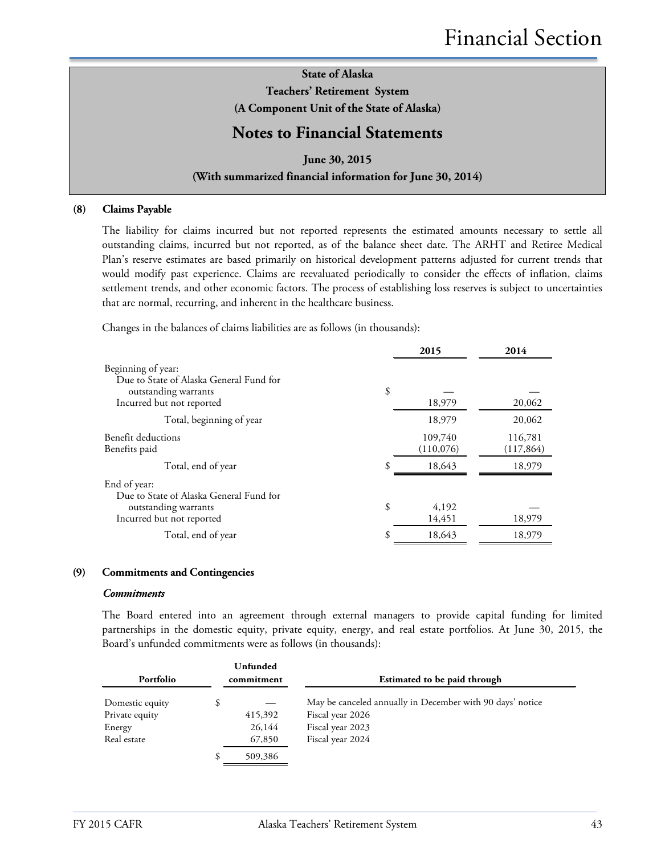### **Notes to Financial Statements**

**June 30, 2015 (With summarized financial information for June 30, 2014)**

#### **(8) Claims Payable**

The liability for claims incurred but not reported represents the estimated amounts necessary to settle all outstanding claims, incurred but not reported, as of the balance sheet date. The ARHT and Retiree Medical Plan's reserve estimates are based primarily on historical development patterns adjusted for current trends that would modify past experience. Claims are reevaluated periodically to consider the effects of inflation, claims settlement trends, and other economic factors. The process of establishing loss reserves is subject to uncertainties that are normal, recurring, and inherent in the healthcare business.

Changes in the balances of claims liabilities are as follows (in thousands):

|                                                                                                              |    | 2015                 | 2014                  |
|--------------------------------------------------------------------------------------------------------------|----|----------------------|-----------------------|
| Beginning of year:<br>Due to State of Alaska General Fund for<br>outstanding warrants                        | \$ |                      |                       |
| Incurred but not reported                                                                                    |    | 18,979               | 20,062                |
| Total, beginning of year                                                                                     |    | 18,979               | 20,062                |
| Benefit deductions<br>Benefits paid                                                                          |    | 109,740<br>(110,076) | 116,781<br>(117, 864) |
| Total, end of year                                                                                           | S  | 18,643               | 18,979                |
| End of year:<br>Due to State of Alaska General Fund for<br>outstanding warrants<br>Incurred but not reported | \$ | 4,192<br>14,451      | 18,979                |
| Total, end of year                                                                                           | \$ | 18,643               | 18,979                |
|                                                                                                              |    |                      |                       |

#### **(9) Commitments and Contingencies**

#### *Commitments*

The Board entered into an agreement through external managers to provide capital funding for limited partnerships in the domestic equity, private equity, energy, and real estate portfolios. At June 30, 2015, the Board's unfunded commitments were as follows (in thousands):

| Portfolio       | Unfunded<br>commitment | Estimated to be paid through                              |
|-----------------|------------------------|-----------------------------------------------------------|
| Domestic equity | \$                     | May be canceled annually in December with 90 days' notice |
| Private equity  | 415,392                | Fiscal year 2026                                          |
| Energy          | 26,144                 | Fiscal year 2023                                          |
| Real estate     | 67,850                 | Fiscal year 2024                                          |
|                 | \$<br>509,386          |                                                           |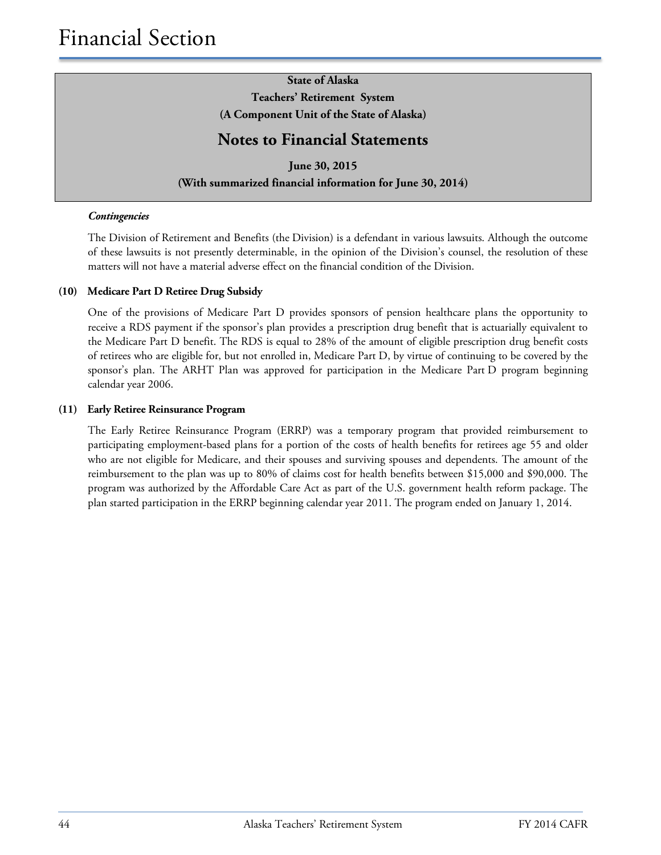# **Notes to Financial Statements**

**June 30, 2015 (With summarized financial information for June 30, 2014)**

#### *Contingencies*

The Division of Retirement and Benefits (the Division) is a defendant in various lawsuits. Although the outcome of these lawsuits is not presently determinable, in the opinion of the Division's counsel, the resolution of these matters will not have a material adverse effect on the financial condition of the Division.

#### **(10) Medicare Part D Retiree Drug Subsidy**

One of the provisions of Medicare Part D provides sponsors of pension healthcare plans the opportunity to receive a RDS payment if the sponsor's plan provides a prescription drug benefit that is actuarially equivalent to the Medicare Part D benefit. The RDS is equal to 28% of the amount of eligible prescription drug benefit costs of retirees who are eligible for, but not enrolled in, Medicare Part D, by virtue of continuing to be covered by the sponsor's plan. The ARHT Plan was approved for participation in the Medicare Part D program beginning calendar year 2006.

#### **(11) Early Retiree Reinsurance Program**

The Early Retiree Reinsurance Program (ERRP) was a temporary program that provided reimbursement to participating employment-based plans for a portion of the costs of health benefits for retirees age 55 and older who are not eligible for Medicare, and their spouses and surviving spouses and dependents. The amount of the reimbursement to the plan was up to 80% of claims cost for health benefits between \$15,000 and \$90,000. The program was authorized by the Affordable Care Act as part of the U.S. government health reform package. The plan started participation in the ERRP beginning calendar year 2011. The program ended on January 1, 2014.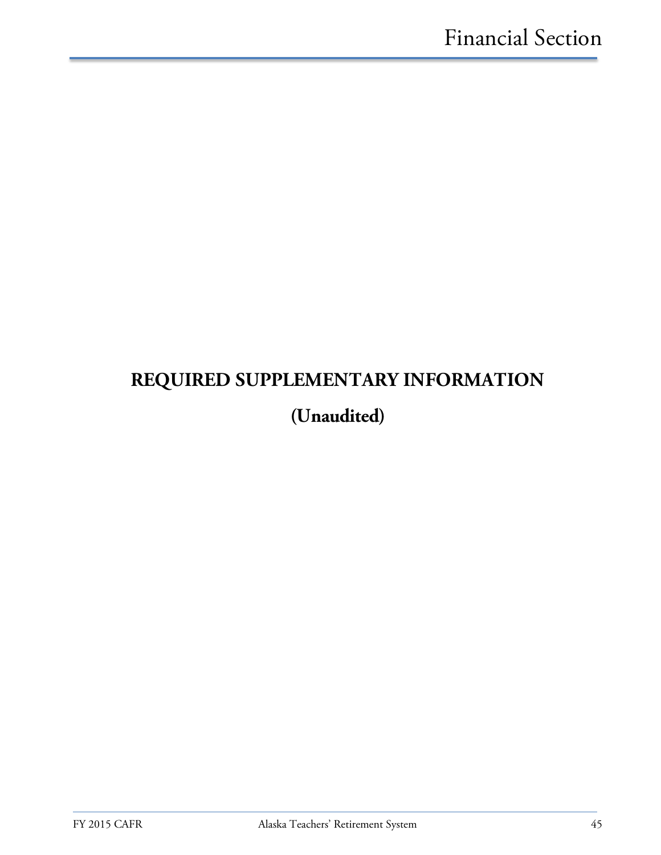# **REQUIRED SUPPLEMENTARY INFORMATION (Unaudited)**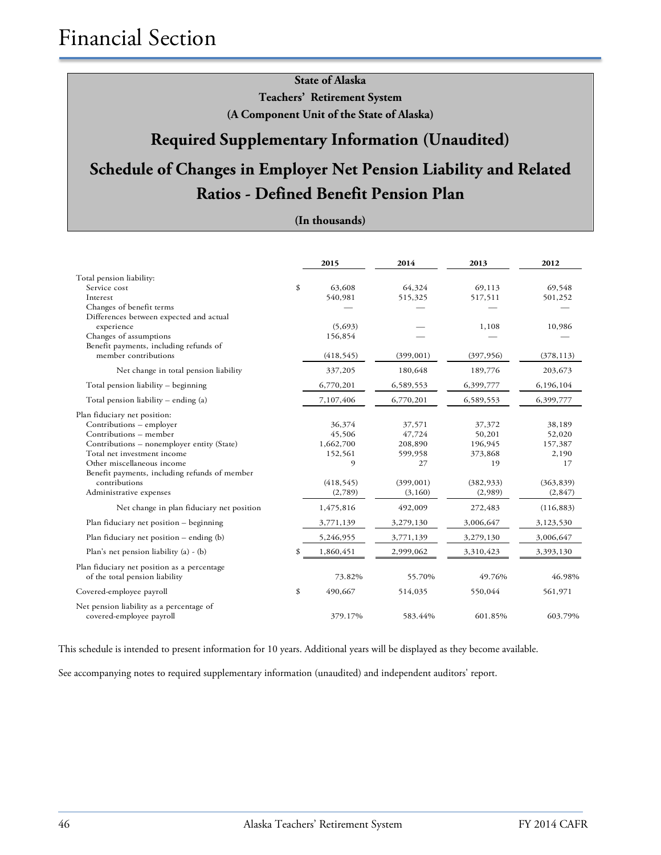# **Required Supplementary Information (Unaudited)**

# **Schedule of Changes in Employer Net Pension Liability and Related Ratios - Defined Benefit Pension Plan**

|                                               | (In thousands)  |           |            |            |
|-----------------------------------------------|-----------------|-----------|------------|------------|
|                                               |                 |           |            |            |
|                                               | 2015            | 2014      | 2013       | 2012       |
| Total pension liability:                      |                 |           |            |            |
| Service cost                                  | \$<br>63,608    | 64,324    | 69,113     | 69,548     |
| Interest                                      | 540,981         | 515,325   | 517,511    | 501,252    |
| Changes of benefit terms                      |                 |           |            |            |
| Differences between expected and actual       |                 |           |            |            |
| experience                                    | (5,693)         |           | 1,108      | 10,986     |
| Changes of assumptions                        | 156,854         |           |            |            |
| Benefit payments, including refunds of        |                 |           |            |            |
| member contributions                          | (418, 545)      | (399,001) | (397, 956) | (378, 113) |
| Net change in total pension liability         | 337,205         | 180,648   | 189,776    | 203,673    |
| Total pension liability - beginning           | 6,770,201       | 6,589,553 | 6,399,777  | 6,196,104  |
| Total pension liability – ending (a)          | 7,107,406       | 6,770,201 | 6,589,553  | 6,399,777  |
| Plan fiduciary net position:                  |                 |           |            |            |
| Contributions - employer                      | 36,374          | 37,571    | 37,372     | 38,189     |
| Contributions - member                        | 45,506          | 47,724    | 50,201     | 52,020     |
| Contributions - nonemployer entity (State)    | 1,662,700       | 208,890   | 196,945    | 157,387    |
| Total net investment income                   | 152,561         | 599,958   | 373,868    | 2,190      |
| Other miscellaneous income                    | 9               | 27        | 19         | 17         |
| Benefit payments, including refunds of member |                 |           |            |            |
| contributions                                 | (418, 545)      | (399,001) | (382, 933) | (363, 839) |
| Administrative expenses                       | (2,789)         | (3,160)   | (2,989)    | (2, 847)   |
| Net change in plan fiduciary net position     | 1,475,816       | 492,009   | 272,483    | (116, 883) |
| Plan fiduciary net position - beginning       | 3,771,139       | 3,279,130 | 3,006,647  | 3,123,530  |
| Plan fiduciary net position – ending (b)      | 5,246,955       | 3,771,139 | 3,279,130  | 3,006,647  |
| Plan's net pension liability (a) - (b)        | \$<br>1,860,451 | 2,999,062 | 3,310,423  | 3,393,130  |
| Plan fiduciary net position as a percentage   |                 |           |            |            |
| of the total pension liability                | 73.82%          | 55.70%    | 49.76%     | 46.98%     |
| Covered-employee payroll                      | \$<br>490,667   | 514,035   | 550,044    | 561,971    |
| Net pension liability as a percentage of      |                 |           |            |            |
| covered-employee payroll                      | 379.17%         | 583.44%   | 601.85%    | 603.79%    |
|                                               |                 |           |            |            |

This schedule is intended to present information for 10 years. Additional years will be displayed as they become available.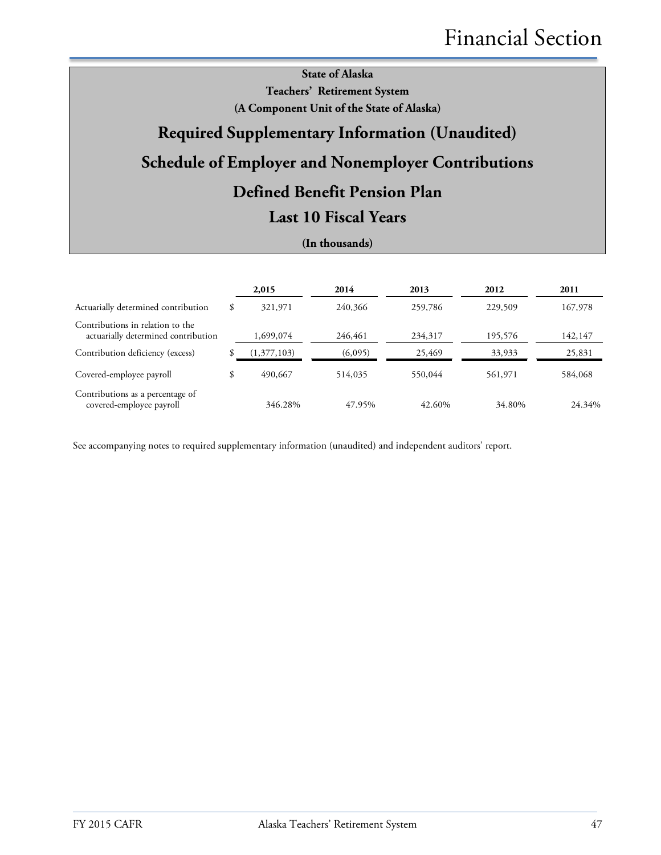# **Required Supplementary Information (Unaudited) Schedule of Employer and Nonemployer Contributions Defined Benefit Pension Plan**

# **Last 10 Fiscal Years**

**(In thousands)**

|                                                                         | 2,015         | 2014    | 2013    | 2012    | 2011    |
|-------------------------------------------------------------------------|---------------|---------|---------|---------|---------|
| Actuarially determined contribution                                     | \$<br>321,971 | 240,366 | 259,786 | 229,509 | 167,978 |
| Contributions in relation to the<br>actuarially determined contribution | 1,699,074     | 246,461 | 234,317 | 195,576 | 142,147 |
| Contribution deficiency (excess)                                        | (1,377,103)   | (6,095) | 25,469  | 33,933  | 25,831  |
| Covered-employee payroll                                                | \$<br>490,667 | 514,035 | 550,044 | 561,971 | 584,068 |
| Contributions as a percentage of<br>covered-employee payroll            | 346.28%       | 47.95%  | 42.60%  | 34.80%  | 24.34%  |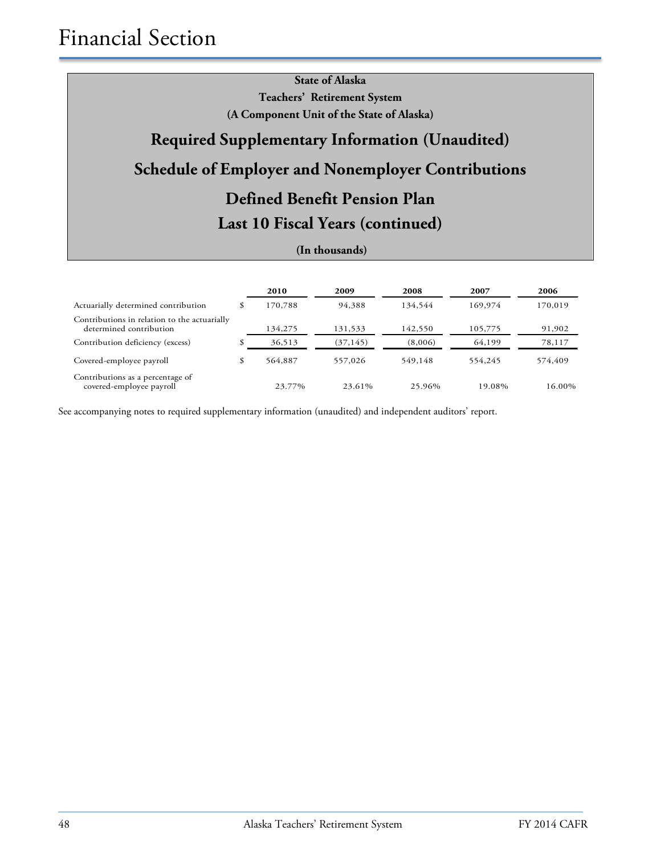# **Required Supplementary Information (Unaudited) Schedule of Employer and Nonemployer Contributions Defined Benefit Pension Plan**

# **Last 10 Fiscal Years (continued)**

|  | (In thousands) |  |
|--|----------------|--|
|--|----------------|--|

|                                                                         | 2010    | 2009      | 2008    | 2007    | 2006    |
|-------------------------------------------------------------------------|---------|-----------|---------|---------|---------|
| Actuarially determined contribution                                     | 170,788 | 94,388    | 134,544 | 169,974 | 170,019 |
| Contributions in relation to the actuarially<br>determined contribution | 134,275 | 131,533   | 142,550 | 105,775 | 91,902  |
| Contribution deficiency (excess)                                        | 36,513  | (37, 145) | (8,006) | 64,199  | 78,117  |
| Covered-employee payroll                                                | 564,887 | 557,026   | 549,148 | 554,245 | 574,409 |
| Contributions as a percentage of<br>covered-employee payroll            | 23.77%  | 23.61%    | 25.96%  | 19.08%  | 16.00%  |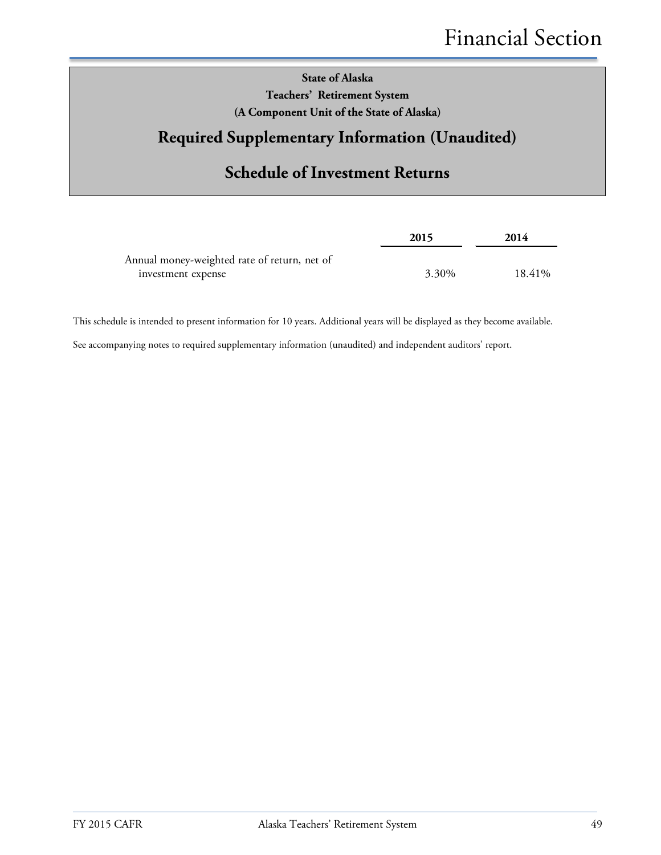# **Required Supplementary Information (Unaudited)**

# **Schedule of Investment Returns**

|                                              | 2015  | 2014   |
|----------------------------------------------|-------|--------|
| Annual money-weighted rate of return, net of |       |        |
| investment expense                           | 3.30% | 18.41% |

This schedule is intended to present information for 10 years. Additional years will be displayed as they become available.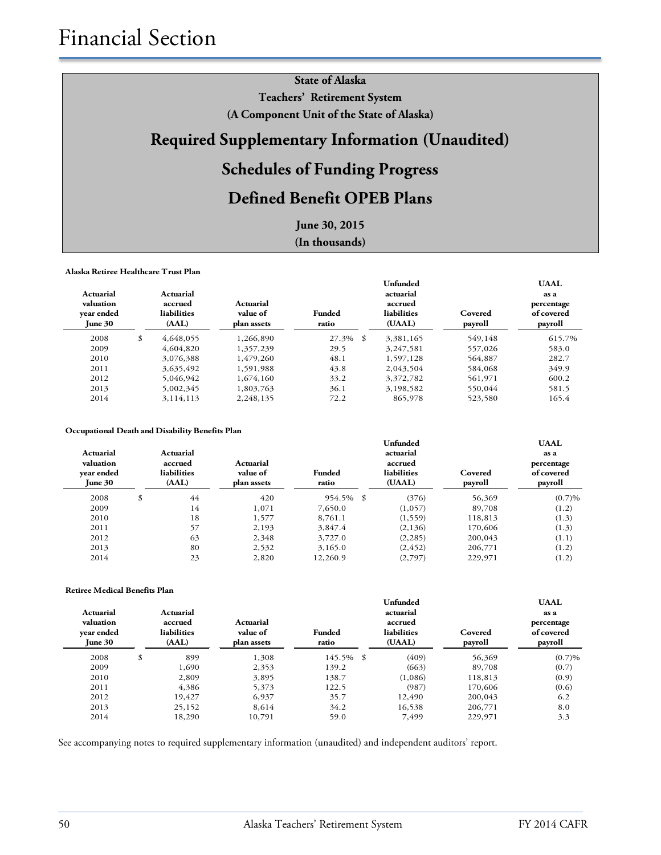# **Required Supplementary Information (Unaudited)**

# **Schedules of Funding Progress**

# **Defined Benefit OPEB Plans**

**June 30, 2015**

#### **(In thousands)**

**Alaska Retiree Healthcare Trust Plan**

| Actuarial<br>valuation<br>year ended<br>June 30 | Actuarial<br>accrued<br>liabilities<br>(AAL) | Actuarial<br>value of<br>plan assets | Funded<br>ratio | <b>Unfunded</b><br>actuarial<br>accrued<br>liabilities<br>(UAAL) | Covered<br>payroll | <b>UAAL</b><br>as a<br>percentage<br>of covered<br>payroll |
|-------------------------------------------------|----------------------------------------------|--------------------------------------|-----------------|------------------------------------------------------------------|--------------------|------------------------------------------------------------|
| 2008                                            | \$<br>4,648,055                              | 1,266,890                            | 27.3%<br>- \$   | 3,381,165                                                        | 549,148            | 615.7%                                                     |
| 2009                                            | 4,604,820                                    | 1,357,239                            | 29.5            | 3,247,581                                                        | 557,026            | 583.0                                                      |
| 2010                                            | 3,076,388                                    | 1,479,260                            | 48.1            | 1,597,128                                                        | 564,887            | 282.7                                                      |
| 2011                                            | 3,635,492                                    | 1,591,988                            | 43.8            | 2,043,504                                                        | 584,068            | 349.9                                                      |
| 2012                                            | 5,046,942                                    | 1,674,160                            | 33.2            | 3,372,782                                                        | 561,971            | 600.2                                                      |
| 2013                                            | 5,002,345                                    | 1,803,763                            | 36.1            | 3,198,582                                                        | 550,044            | 581.5                                                      |
| 2014                                            | 3,114,113                                    | 2,248,135                            | 72.2            | 865,978                                                          | 523,580            | 165.4                                                      |

#### **Occupational Death and Disability Benefits Plan**

| Actuarial<br>valuation<br>year ended<br>June 30 | Actuarial<br>accrued<br>liabilities<br>(AAL) | Actuarial<br>value of<br>plan assets | Funded<br>ratio | <b>Unfunded</b><br>actuarial<br>accrued<br>liabilities<br>(UAAL) | Covered<br>payroll | <b>UAAL</b><br>as a<br>percentage<br>of covered<br>payroll |
|-------------------------------------------------|----------------------------------------------|--------------------------------------|-----------------|------------------------------------------------------------------|--------------------|------------------------------------------------------------|
| \$<br>2008                                      | 44                                           | 420                                  | 954.5% \$       | (376)                                                            | 56,369             | (0.7)%                                                     |
| 2009                                            | 14                                           | 1,071                                | 7,650.0         | (1,057)                                                          | 89,708             | (1.2)                                                      |
| 2010                                            | 18                                           | 1,577                                | 8,761.1         | (1, 559)                                                         | 118,813            | (1.3)                                                      |
| 2011                                            | 57                                           | 2,193                                | 3,847.4         | (2, 136)                                                         | 170,606            | (1.3)                                                      |
| 2012                                            | 63                                           | 2,348                                | 3,727.0         | (2, 285)                                                         | 200,043            | (1.1)                                                      |
| 2013                                            | 80                                           | 2,532                                | 3,165.0         | (2, 452)                                                         | 206,771            | (1.2)                                                      |
| 2014                                            | 23                                           | 2,820                                | 12,260.9        | (2,797)                                                          | 229,971            | (1.2)                                                      |

#### **Retiree Medical Benefits Plan**

| Actuarial<br>valuation<br>vear ended<br>June 30 | Actuarial<br>accrued<br>liabilities<br>(AAL) | Actuarial<br>value of<br>plan assets | <b>Funded</b><br>ratio | Unfunded<br>actuarial<br>accrued<br>liabilities<br>(UAAL) | Covered<br>payroll | <b>UAAL</b><br>as a<br>percentage<br>of covered<br>payroll |
|-------------------------------------------------|----------------------------------------------|--------------------------------------|------------------------|-----------------------------------------------------------|--------------------|------------------------------------------------------------|
| 2008                                            | \$<br>899                                    | 1,308                                | 145.5%<br>\$           | (409)                                                     | 56,369             | (0.7)%                                                     |
| 2009                                            | 1,690                                        | 2,353                                | 139.2                  | (663)                                                     | 89,708             | (0.7)                                                      |
| 2010                                            | 2,809                                        | 3,895                                | 138.7                  | (1,086)                                                   | 118,813            | (0.9)                                                      |
| 2011                                            | 4,386                                        | 5,373                                | 122.5                  | (987)                                                     | 170,606            | (0.6)                                                      |
| 2012                                            | 19,427                                       | 6.937                                | 35.7                   | 12,490                                                    | 200,043            | 6.2                                                        |
| 2013                                            | 25,152                                       | 8.614                                | 34.2                   | 16,538                                                    | 206,771            | 8.0                                                        |
| 2014                                            | 18,290                                       | 10,791                               | 59.0                   | 7.499                                                     | 229,971            | 3.3                                                        |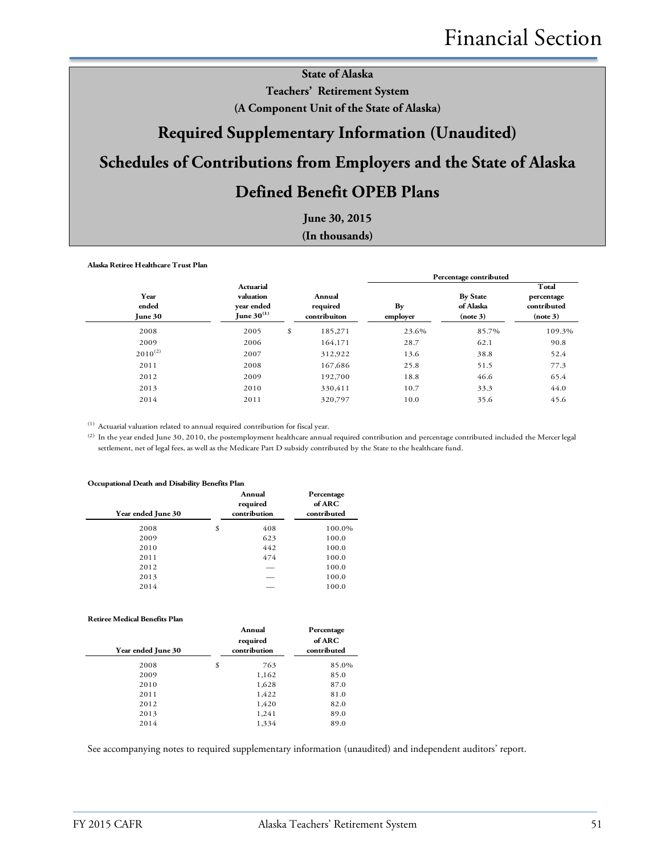# **Required Supplementary Information (Unaudited)**

# **Schedules of Contributions from Employers and the State of Alaska**

# **Defined Benefit OPEB Plans**

**June 30, 2015**

**(In thousands)**

| Alaska Retiree Healthcare Trust Plan |                                                                |    |                                    |                |                                          |                                                |
|--------------------------------------|----------------------------------------------------------------|----|------------------------------------|----------------|------------------------------------------|------------------------------------------------|
|                                      |                                                                |    |                                    |                | Percentage contributed                   |                                                |
| Year<br>ended<br>June 30             | <b>Actuarial</b><br>valuation<br>vear ended<br>June $30^{(1)}$ |    | Annual<br>required<br>contribuiton | By<br>employer | <b>By State</b><br>of Alaska<br>(note 3) | Total<br>percentage<br>contributed<br>(note 3) |
| 2008                                 | 2005                                                           | \$ | 185,271                            | 23.6%          | 85.7%                                    | 109.3%                                         |
| 2009                                 | 2006                                                           |    | 164,171                            | 28.7           | 62.1                                     | 90.8                                           |
| $2010^{(2)}$                         | 2007                                                           |    | 312,922                            | 13.6           | 38.8                                     | 52.4                                           |
| 2011                                 | 2008                                                           |    | 167,686                            | 25.8           | 51.5                                     | 77.3                                           |
| 2012                                 | 2009                                                           |    | 192,700                            | 18.8           | 46.6                                     | 65.4                                           |
| 2013                                 | 2010                                                           |    | 330,411                            | 10.7           | 33.3                                     | 44.0                                           |
| 2014                                 | 2011                                                           |    | 320,797                            | 10.0           | 35.6                                     | 45.6                                           |

 $(1)$  Actuarial valuation related to annual required contribution for fiscal year.

 $^{(2)}$  In the year ended June 30, 2010, the postemployment healthcare annual required contribution and percentage contributed included the Mercer legal settlement, net of legal fees, as well as the Medicare Part D subsidy contributed by the State to the healthcare fund.

#### **Occupational Death and Disability Benefits Plan**

| Year ended June 30 | Annual<br>required<br>contribution | Percentage<br>of ARC<br>contributed |
|--------------------|------------------------------------|-------------------------------------|
| 2008               | \$<br>408                          | 100.0%                              |
| 2009               | 623                                | 100.0                               |
| 2010               | 442                                | 100.0                               |
| 2011               | 474                                | 100.0                               |
| 2012               |                                    | 100.0                               |
| 2013               |                                    | 100.0                               |
| 2014               |                                    | 100.0                               |

#### **Retiree Medical Benefits Plan**

| Year ended June 30 | Annual<br>required<br>contribution | Percentage<br>of ARC<br>contributed |
|--------------------|------------------------------------|-------------------------------------|
| 2008               | \$<br>763                          | 85.0%                               |
| 2009               | 1,162                              | 85.0                                |
| 2010               | 1,628                              | 87.0                                |
| 2011               | 1,422                              | 81.0                                |
| 2012               | 1,420                              | 82.0                                |
| 2013               | 1,241                              | 89.0                                |
| 2014               | 1,334                              | 89.0                                |
|                    |                                    |                                     |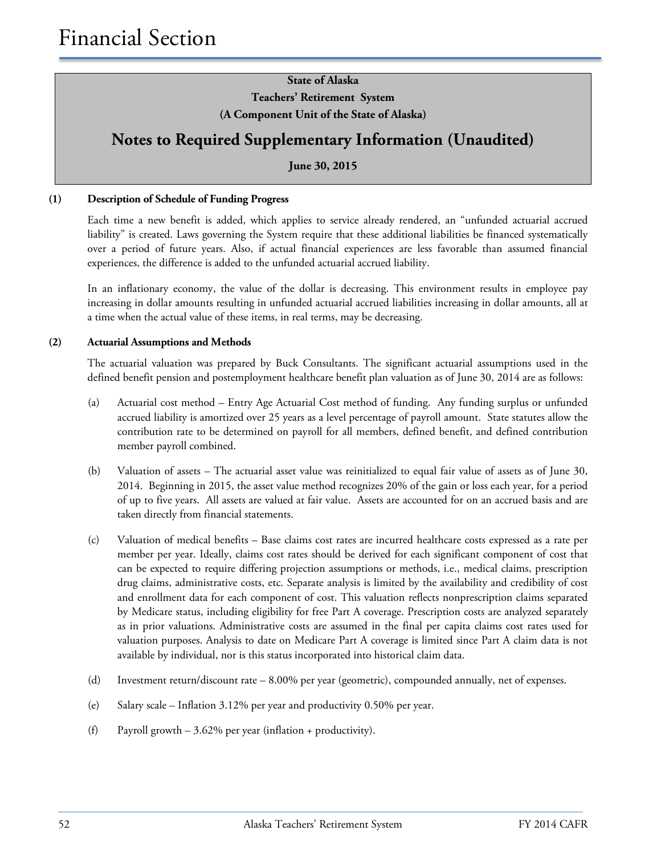# **Notes to Required Supplementary Information (Unaudited)**

**June 30, 2015**

#### **(1) Description of Schedule of Funding Progress**

Each time a new benefit is added, which applies to service already rendered, an "unfunded actuarial accrued liability" is created. Laws governing the System require that these additional liabilities be financed systematically over a period of future years. Also, if actual financial experiences are less favorable than assumed financial experiences, the difference is added to the unfunded actuarial accrued liability.

In an inflationary economy, the value of the dollar is decreasing. This environment results in employee pay increasing in dollar amounts resulting in unfunded actuarial accrued liabilities increasing in dollar amounts, all at a time when the actual value of these items, in real terms, may be decreasing.

#### **(2) Actuarial Assumptions and Methods**

The actuarial valuation was prepared by Buck Consultants. The significant actuarial assumptions used in the defined benefit pension and postemployment healthcare benefit plan valuation as of June 30, 2014 are as follows:

- (a) Actuarial cost method Entry Age Actuarial Cost method of funding. Any funding surplus or unfunded accrued liability is amortized over 25 years as a level percentage of payroll amount. State statutes allow the contribution rate to be determined on payroll for all members, defined benefit, and defined contribution member payroll combined.
- (b) Valuation of assets The actuarial asset value was reinitialized to equal fair value of assets as of June 30, 2014. Beginning in 2015, the asset value method recognizes 20% of the gain or loss each year, for a period of up to five years. All assets are valued at fair value. Assets are accounted for on an accrued basis and are taken directly from financial statements.
- (c) Valuation of medical benefits Base claims cost rates are incurred healthcare costs expressed as a rate per member per year. Ideally, claims cost rates should be derived for each significant component of cost that can be expected to require differing projection assumptions or methods, i.e., medical claims, prescription drug claims, administrative costs, etc. Separate analysis is limited by the availability and credibility of cost and enrollment data for each component of cost. This valuation reflects nonprescription claims separated by Medicare status, including eligibility for free Part A coverage. Prescription costs are analyzed separately as in prior valuations. Administrative costs are assumed in the final per capita claims cost rates used for valuation purposes. Analysis to date on Medicare Part A coverage is limited since Part A claim data is not available by individual, nor is this status incorporated into historical claim data.
- (d) Investment return/discount rate 8.00% per year (geometric), compounded annually, net of expenses.
- (e) Salary scale Inflation 3.12% per year and productivity 0.50% per year.
- (f) Payroll growth  $-3.62\%$  per year (inflation + productivity).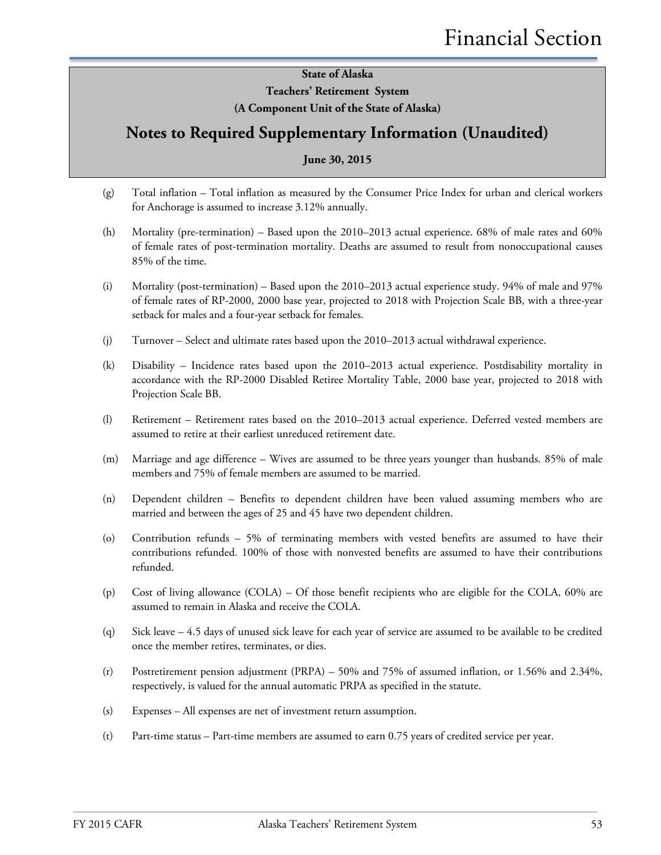### **State of Alaska**

#### **Teachers' Retirement System**

**(A Component Unit of the State of Alaska)**

# **Notes to Required Supplementary Information (Unaudited)**

#### **June 30, 2015**

- (g) Total inflation Total inflation as measured by the Consumer Price Index for urban and clerical workers for Anchorage is assumed to increase 3.12% annually.
- (h) Mortality (pre-termination) Based upon the 2010–2013 actual experience. 68% of male rates and 60% of female rates of post-termination mortality. Deaths are assumed to result from nonoccupational causes 85% of the time.
- (i) Mortality (post-termination) Based upon the 2010–2013 actual experience study. 94% of male and 97% of female rates of RP-2000, 2000 base year, projected to 2018 with Projection Scale BB, with a three-year setback for males and a four-year setback for females.
- (j) Turnover Select and ultimate rates based upon the 2010–2013 actual withdrawal experience.
- (k) Disability Incidence rates based upon the 2010–2013 actual experience. Postdisability mortality in accordance with the RP-2000 Disabled Retiree Mortality Table, 2000 base year, projected to 2018 with Projection Scale BB.
- (l) Retirement Retirement rates based on the 2010–2013 actual experience. Deferred vested members are assumed to retire at their earliest unreduced retirement date.
- (m) Marriage and age difference Wives are assumed to be three years younger than husbands. 85% of male members and 75% of female members are assumed to be married.
- (n) Dependent children Benefits to dependent children have been valued assuming members who are married and between the ages of 25 and 45 have two dependent children.
- (o) Contribution refunds 5% of terminating members with vested benefits are assumed to have their contributions refunded. 100% of those with nonvested benefits are assumed to have their contributions refunded.
- (p) Cost of living allowance (COLA) Of those benefit recipients who are eligible for the COLA, 60% are assumed to remain in Alaska and receive the COLA.
- (q) Sick leave 4.5 days of unused sick leave for each year of service are assumed to be available to be credited once the member retires, terminates, or dies.
- (r) Postretirement pension adjustment (PRPA) 50% and 75% of assumed inflation, or 1.56% and 2.34%, respectively, is valued for the annual automatic PRPA as specified in the statute.
- (s) Expenses All expenses are net of investment return assumption.
- (t) Part-time status Part-time members are assumed to earn 0.75 years of credited service per year.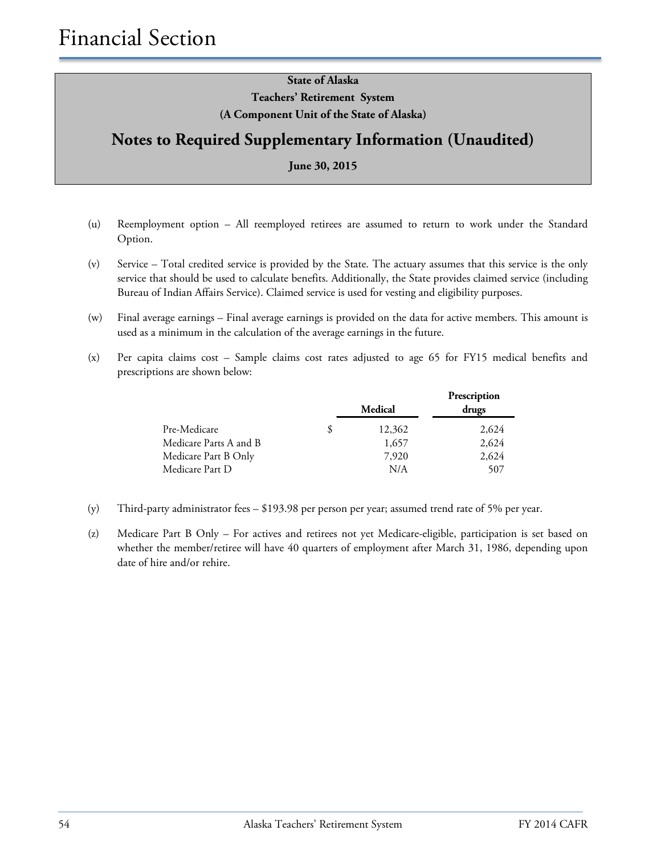# **Notes to Required Supplementary Information (Unaudited)**

**June 30, 2015**

- (u) Reemployment option All reemployed retirees are assumed to return to work under the Standard Option.
- (v) Service Total credited service is provided by the State. The actuary assumes that this service is the only service that should be used to calculate benefits. Additionally, the State provides claimed service (including Bureau of Indian Affairs Service). Claimed service is used for vesting and eligibility purposes.
- (w) Final average earnings Final average earnings is provided on the data for active members. This amount is used as a minimum in the calculation of the average earnings in the future.
- (x) Per capita claims cost Sample claims cost rates adjusted to age 65 for FY15 medical benefits and prescriptions are shown below:

|                        | Medical | Prescription<br>drugs |
|------------------------|---------|-----------------------|
| Pre-Medicare           | 12,362  | 2,624                 |
| Medicare Parts A and B | 1,657   | 2,624                 |
| Medicare Part B Only   | 7,920   | 2,624                 |
| Medicare Part D        | N/A     | 507                   |

- (y) Third-party administrator fees \$193.98 per person per year; assumed trend rate of 5% per year.
- (z) Medicare Part B Only For actives and retirees not yet Medicare-eligible, participation is set based on whether the member/retiree will have 40 quarters of employment after March 31, 1986, depending upon date of hire and/or rehire.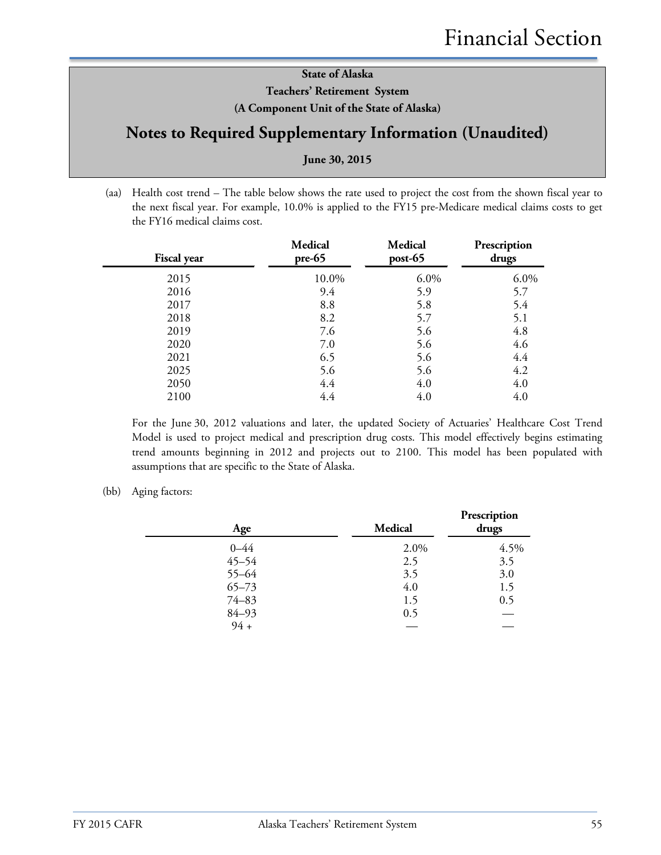# **Notes to Required Supplementary Information (Unaudited)**

**June 30, 2015**

(aa) Health cost trend – The table below shows the rate used to project the cost from the shown fiscal year to the next fiscal year. For example, 10.0% is applied to the FY15 pre-Medicare medical claims costs to get the FY16 medical claims cost.

| <b>Fiscal year</b> | Medical<br>$pre-65$ | <b>Medical</b><br>post-65 | Prescription<br>drugs |
|--------------------|---------------------|---------------------------|-----------------------|
| 2015               | 10.0%               | 6.0%                      | 6.0%                  |
| 2016               | 9.4                 | 5.9                       | 5.7                   |
| 2017               | 8.8                 | 5.8                       | 5.4                   |
| 2018               | 8.2                 | 5.7                       | 5.1                   |
| 2019               | 7.6                 | 5.6                       | 4.8                   |
| 2020               | 7.0                 | 5.6                       | 4.6                   |
| 2021               | 6.5                 | 5.6                       | 4.4                   |
| 2025               | 5.6                 | 5.6                       | 4.2                   |
| 2050               | 4.4                 | 4.0                       | 4.0                   |
| 2100               | 4.4                 | 4.0                       | 4.0                   |

For the June 30, 2012 valuations and later, the updated Society of Actuaries' Healthcare Cost Trend Model is used to project medical and prescription drug costs. This model effectively begins estimating trend amounts beginning in 2012 and projects out to 2100. This model has been populated with assumptions that are specific to the State of Alaska.

(bb) Aging factors:

| Age       | <b>Medical</b> | Prescription<br>drugs    |
|-----------|----------------|--------------------------|
| $0 - 44$  | 2.0%           | 4.5%                     |
| $45 - 54$ | 2.5            | 3.5                      |
| $55 - 64$ | 3.5            | 3.0                      |
| $65 - 73$ | 4.0            | 1.5                      |
| $74 - 83$ | 1.5            | 0.5                      |
| $84 - 93$ | 0.5            | $\overline{\phantom{a}}$ |
| $94 +$    |                |                          |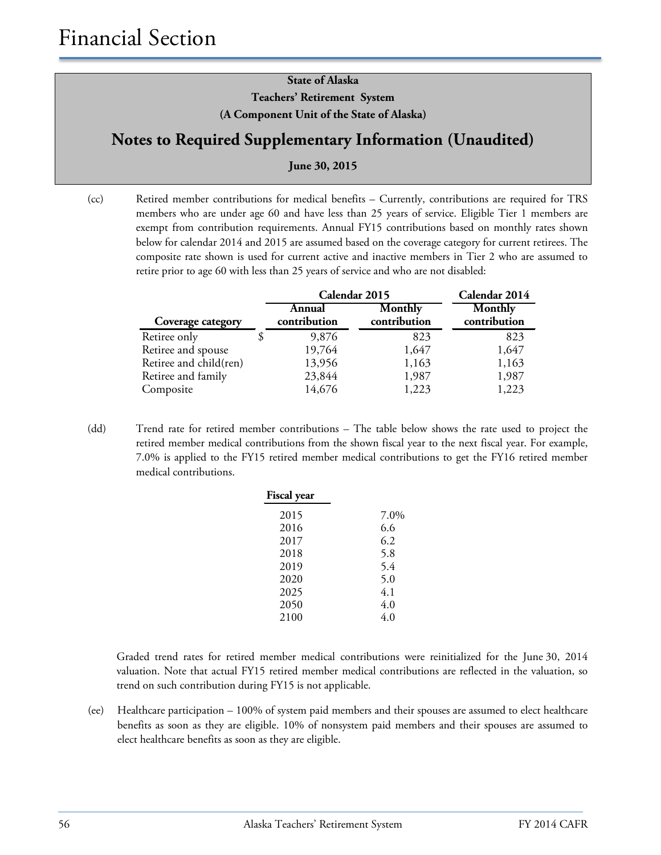# **Notes to Required Supplementary Information (Unaudited)**

**June 30, 2015**

(cc) Retired member contributions for medical benefits – Currently, contributions are required for TRS members who are under age 60 and have less than 25 years of service. Eligible Tier 1 members are exempt from contribution requirements. Annual FY15 contributions based on monthly rates shown below for calendar 2014 and 2015 are assumed based on the coverage category for current retirees. The composite rate shown is used for current active and inactive members in Tier 2 who are assumed to retire prior to age 60 with less than 25 years of service and who are not disabled:

|                        | Calendar 2015          |                         | Calendar 2014           |
|------------------------|------------------------|-------------------------|-------------------------|
| Coverage category      | Annual<br>contribution | Monthly<br>contribution | Monthly<br>contribution |
| Retiree only           | 9,876                  | 823                     | 823                     |
| Retiree and spouse     | 19,764                 | 1,647                   | 1,647                   |
| Retiree and child(ren) | 13,956                 | 1,163                   | 1,163                   |
| Retiree and family     | 23,844                 | 1,987                   | 1,987                   |
| Composite              | 14,676                 | 1,223                   | 1,223                   |

(dd) Trend rate for retired member contributions – The table below shows the rate used to project the retired member medical contributions from the shown fiscal year to the next fiscal year. For example, 7.0% is applied to the FY15 retired member medical contributions to get the FY16 retired member medical contributions.

| 7.0% |
|------|
| 6.6  |
| 6.2  |
| 5.8  |
| 5.4  |
| 5.0  |
| 4.1  |
| 4.0  |
| 4.0  |
|      |

Graded trend rates for retired member medical contributions were reinitialized for the June 30, 2014 valuation. Note that actual FY15 retired member medical contributions are reflected in the valuation, so trend on such contribution during FY15 is not applicable.

(ee) Healthcare participation – 100% of system paid members and their spouses are assumed to elect healthcare benefits as soon as they are eligible. 10% of nonsystem paid members and their spouses are assumed to elect healthcare benefits as soon as they are eligible.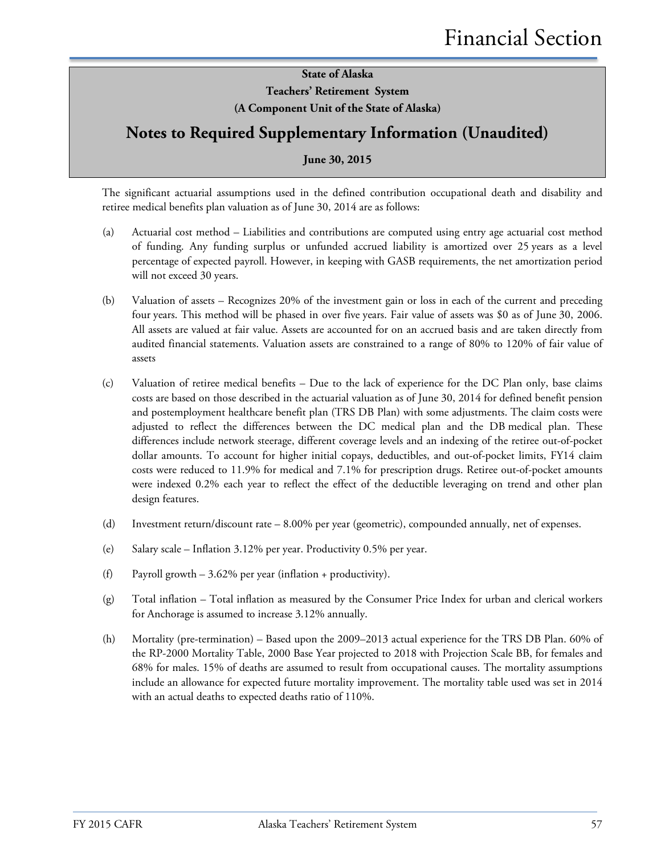# **Notes to Required Supplementary Information (Unaudited)**

**June 30, 2015**

The significant actuarial assumptions used in the defined contribution occupational death and disability and retiree medical benefits plan valuation as of June 30, 2014 are as follows:

- (a) Actuarial cost method Liabilities and contributions are computed using entry age actuarial cost method of funding. Any funding surplus or unfunded accrued liability is amortized over 25 years as a level percentage of expected payroll. However, in keeping with GASB requirements, the net amortization period will not exceed 30 years.
- (b) Valuation of assets Recognizes 20% of the investment gain or loss in each of the current and preceding four years. This method will be phased in over five years. Fair value of assets was \$0 as of June 30, 2006. All assets are valued at fair value. Assets are accounted for on an accrued basis and are taken directly from audited financial statements. Valuation assets are constrained to a range of 80% to 120% of fair value of assets
- (c) Valuation of retiree medical benefits Due to the lack of experience for the DC Plan only, base claims costs are based on those described in the actuarial valuation as of June 30, 2014 for defined benefit pension and postemployment healthcare benefit plan (TRS DB Plan) with some adjustments. The claim costs were adjusted to reflect the differences between the DC medical plan and the DB medical plan. These differences include network steerage, different coverage levels and an indexing of the retiree out-of-pocket dollar amounts. To account for higher initial copays, deductibles, and out-of-pocket limits, FY14 claim costs were reduced to 11.9% for medical and 7.1% for prescription drugs. Retiree out-of-pocket amounts were indexed 0.2% each year to reflect the effect of the deductible leveraging on trend and other plan design features.
- (d) Investment return/discount rate 8.00% per year (geometric), compounded annually, net of expenses.
- (e) Salary scale Inflation 3.12% per year. Productivity 0.5% per year.
- (f) Payroll growth  $-3.62\%$  per year (inflation + productivity).
- (g) Total inflation Total inflation as measured by the Consumer Price Index for urban and clerical workers for Anchorage is assumed to increase 3.12% annually.
- (h) Mortality (pre-termination) Based upon the 2009–2013 actual experience for the TRS DB Plan. 60% of the RP-2000 Mortality Table, 2000 Base Year projected to 2018 with Projection Scale BB, for females and 68% for males. 15% of deaths are assumed to result from occupational causes. The mortality assumptions include an allowance for expected future mortality improvement. The mortality table used was set in 2014 with an actual deaths to expected deaths ratio of 110%.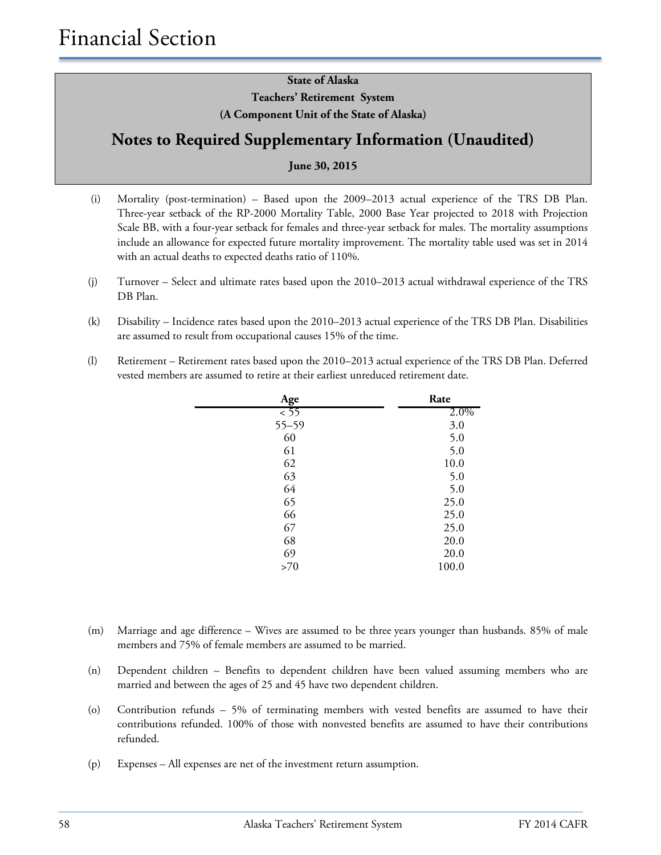# **Notes to Required Supplementary Information (Unaudited)**

**June 30, 2015**

- (i) Mortality (post-termination) Based upon the 2009–2013 actual experience of the TRS DB Plan. Three-year setback of the RP-2000 Mortality Table, 2000 Base Year projected to 2018 with Projection Scale BB, with a four-year setback for females and three-year setback for males. The mortality assumptions include an allowance for expected future mortality improvement. The mortality table used was set in 2014 with an actual deaths to expected deaths ratio of 110%.
- (j) Turnover Select and ultimate rates based upon the 2010–2013 actual withdrawal experience of the TRS DB Plan.
- (k) Disability Incidence rates based upon the 2010–2013 actual experience of the TRS DB Plan. Disabilities are assumed to result from occupational causes 15% of the time.
- (l) Retirement Retirement rates based upon the 2010–2013 actual experience of the TRS DB Plan. Deferred vested members are assumed to retire at their earliest unreduced retirement date.

| Age       | Rate  |
|-----------|-------|
| $\leq 55$ | 2.0%  |
| $55 - 59$ | 3.0   |
| 60        | 5.0   |
| 61        | 5.0   |
| 62        | 10.0  |
| 63        | 5.0   |
| 64        | 5.0   |
| 65        | 25.0  |
| 66        | 25.0  |
| 67        | 25.0  |
| 68        | 20.0  |
| 69        | 20.0  |
| >70       | 100.0 |

- (m) Marriage and age difference Wives are assumed to be three years younger than husbands. 85% of male members and 75% of female members are assumed to be married.
- (n) Dependent children Benefits to dependent children have been valued assuming members who are married and between the ages of 25 and 45 have two dependent children.
- (o) Contribution refunds 5% of terminating members with vested benefits are assumed to have their contributions refunded. 100% of those with nonvested benefits are assumed to have their contributions refunded.
- (p) Expenses All expenses are net of the investment return assumption.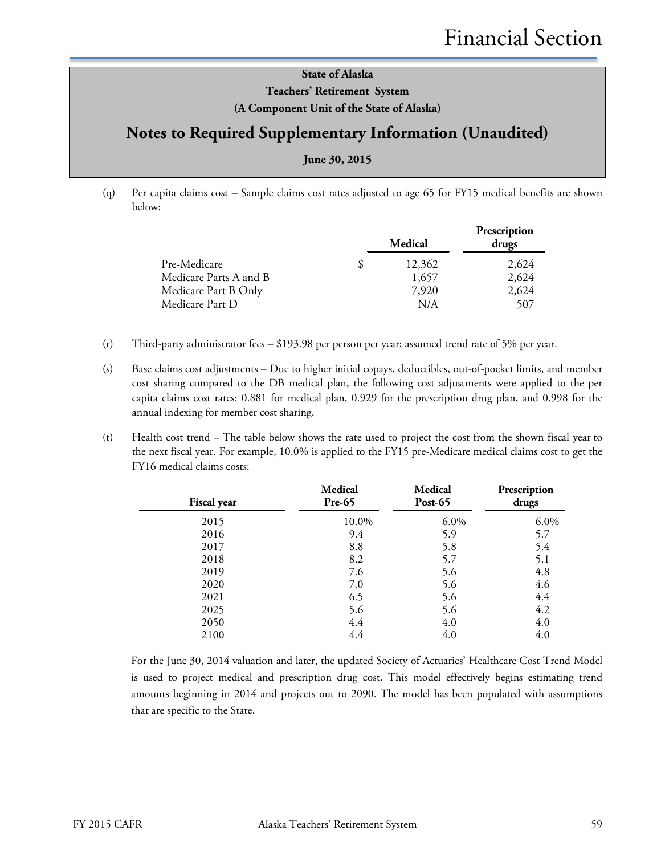# **Notes to Required Supplementary Information (Unaudited)**

#### **June 30, 2015**

(q) Per capita claims cost – Sample claims cost rates adjusted to age 65 for FY15 medical benefits are shown below:

|                        | Medical | Prescription<br>drugs |
|------------------------|---------|-----------------------|
| Pre-Medicare           | 12,362  | 2,624                 |
| Medicare Parts A and B | 1,657   | 2,624                 |
| Medicare Part B Only   | 7,920   | 2,624                 |
| Medicare Part D        | N/A     | 507                   |
|                        |         |                       |

- (r) Third-party administrator fees \$193.98 per person per year; assumed trend rate of 5% per year.
- (s) Base claims cost adjustments Due to higher initial copays, deductibles, out-of-pocket limits, and member cost sharing compared to the DB medical plan, the following cost adjustments were applied to the per capita claims cost rates: 0.881 for medical plan, 0.929 for the prescription drug plan, and 0.998 for the annual indexing for member cost sharing.
- (t) Health cost trend The table below shows the rate used to project the cost from the shown fiscal year to the next fiscal year. For example, 10.0% is applied to the FY15 pre-Medicare medical claims cost to get the FY16 medical claims costs:

| <b>Fiscal year</b> | Medical<br>Pre-65 | <b>Medical</b><br>Post- $65$ | Prescription<br>drugs |
|--------------------|-------------------|------------------------------|-----------------------|
| 2015               | 10.0%             | 6.0%                         | 6.0%                  |
| 2016               | 9.4               | 5.9                          | 5.7                   |
| 2017               | 8.8               | 5.8                          | 5.4                   |
| 2018               | 8.2               | 5.7                          | 5.1                   |
| 2019               | 7.6               | 5.6                          | 4.8                   |
| 2020               | 7.0               | 5.6                          | 4.6                   |
| 2021               | 6.5               | 5.6                          | 4.4                   |
| 2025               | 5.6               | 5.6                          | 4.2                   |
| 2050               | 4.4               | 4.0                          | 4.0                   |
| 2100               | 4.4               | 4.0                          | 4.0                   |

For the June 30, 2014 valuation and later, the updated Society of Actuaries' Healthcare Cost Trend Model is used to project medical and prescription drug cost. This model effectively begins estimating trend amounts beginning in 2014 and projects out to 2090. The model has been populated with assumptions that are specific to the State.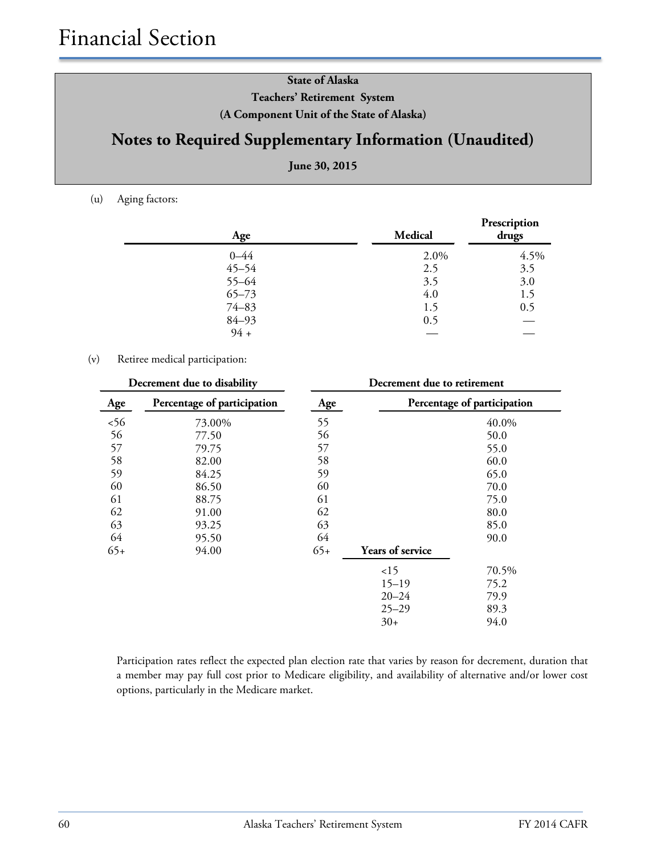# **Notes to Required Supplementary Information (Unaudited)**

**June 30, 2015**

(u) Aging factors:

| Age       | Medical | Prescription<br>drugs |
|-----------|---------|-----------------------|
| $0 - 44$  | 2.0%    | 4.5%                  |
| $45 - 54$ | 2.5     | 3.5                   |
| $55 - 64$ | 3.5     | 3.0                   |
| $65 - 73$ | 4.0     | 1.5                   |
| $74 - 83$ | 1.5     | 0.5                   |
| $84 - 93$ | 0.5     |                       |
| $94 +$    |         |                       |

#### (v) Retiree medical participation:

| Decrement due to disability |                             | Decrement due to retirement |                             |       |  |
|-----------------------------|-----------------------------|-----------------------------|-----------------------------|-------|--|
| Age                         | Percentage of participation | Age                         | Percentage of participation |       |  |
| 56                          | 73.00%                      | 55                          |                             | 40.0% |  |
| 56                          | 77.50                       | 56                          |                             | 50.0  |  |
| 57                          | 79.75                       | 57                          |                             | 55.0  |  |
| 58                          | 82.00                       | 58                          |                             | 60.0  |  |
| 59                          | 84.25                       | 59                          |                             | 65.0  |  |
| 60                          | 86.50                       | 60                          |                             | 70.0  |  |
| 61                          | 88.75                       | 61                          |                             | 75.0  |  |
| 62                          | 91.00                       | 62                          |                             | 80.0  |  |
| 63                          | 93.25                       | 63                          |                             | 85.0  |  |
| 64                          | 95.50                       | 64                          |                             | 90.0  |  |
| $65+$                       | 94.00                       | $65+$                       | Years of service            |       |  |
|                             |                             |                             | <15                         | 70.5% |  |
|                             |                             |                             | $15 - 19$                   | 75.2  |  |
|                             |                             |                             | $20 - 24$                   | 79.9  |  |
|                             |                             |                             | $25 - 29$                   | 89.3  |  |
|                             |                             |                             | $30+$                       | 94.0  |  |

Participation rates reflect the expected plan election rate that varies by reason for decrement, duration that a member may pay full cost prior to Medicare eligibility, and availability of alternative and/or lower cost options, particularly in the Medicare market.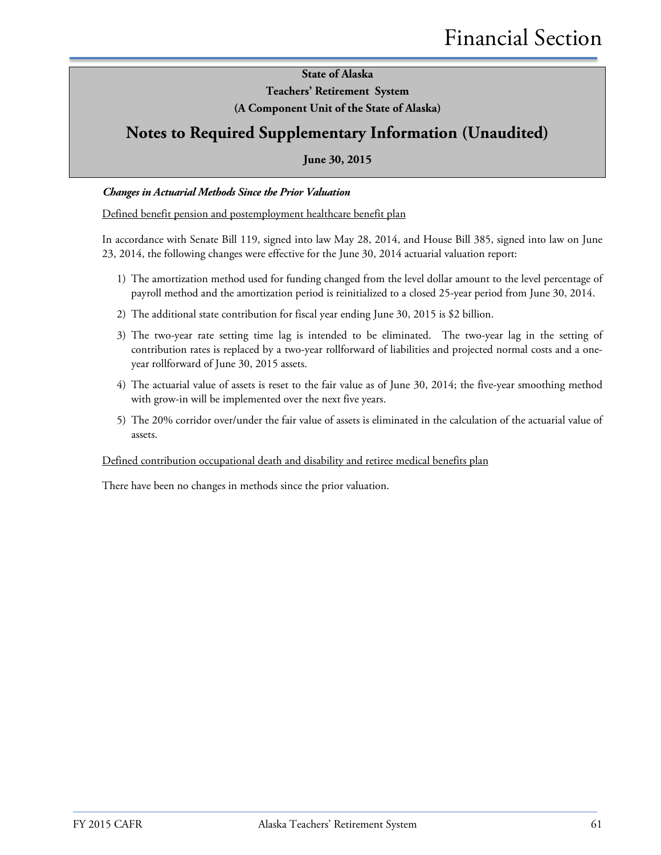### **State of Alaska**

#### **Teachers' Retirement System**

**(A Component Unit of the State of Alaska)**

# **Notes to Required Supplementary Information (Unaudited)**

**June 30, 2015**

#### *Changes in Actuarial Methods Since the Prior Valuation*

Defined benefit pension and postemployment healthcare benefit plan

In accordance with Senate Bill 119, signed into law May 28, 2014, and House Bill 385, signed into law on June 23, 2014, the following changes were effective for the June 30, 2014 actuarial valuation report:

- 1) The amortization method used for funding changed from the level dollar amount to the level percentage of payroll method and the amortization period is reinitialized to a closed 25-year period from June 30, 2014.
- 2) The additional state contribution for fiscal year ending June 30, 2015 is \$2 billion.
- 3) The two-year rate setting time lag is intended to be eliminated. The two-year lag in the setting of contribution rates is replaced by a two-year rollforward of liabilities and projected normal costs and a oneyear rollforward of June 30, 2015 assets.
- 4) The actuarial value of assets is reset to the fair value as of June 30, 2014; the five-year smoothing method with grow-in will be implemented over the next five years.
- 5) The 20% corridor over/under the fair value of assets is eliminated in the calculation of the actuarial value of assets.

#### Defined contribution occupational death and disability and retiree medical benefits plan

There have been no changes in methods since the prior valuation.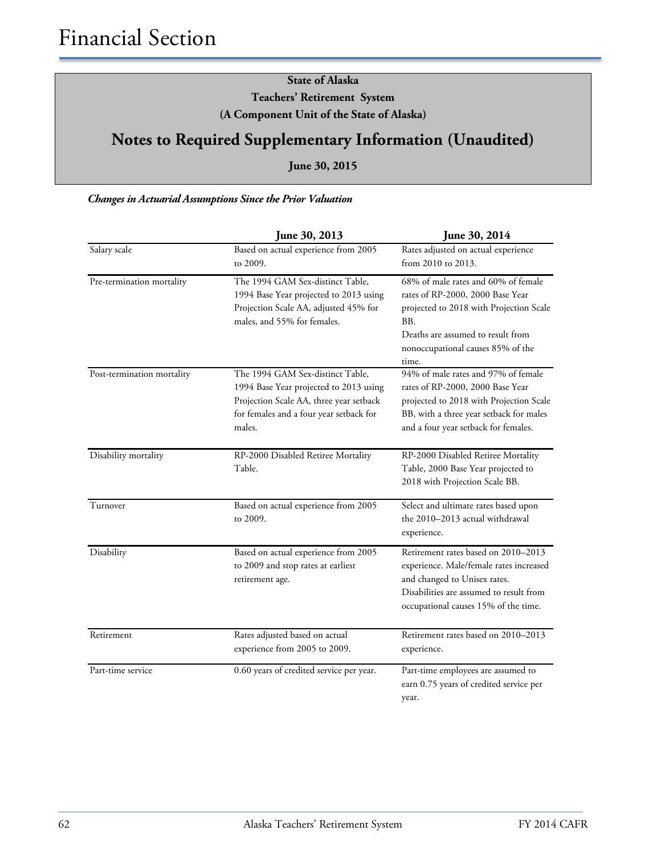# **Notes to Required Supplementary Information (Unaudited)**

**June 30, 2015**

#### *Changes in Actuarial Assumptions Since the Prior Valuation*

|                            | June 30, 2013                                                                                                                                                              | June 30, 2014                                                                                                                                                                                                |
|----------------------------|----------------------------------------------------------------------------------------------------------------------------------------------------------------------------|--------------------------------------------------------------------------------------------------------------------------------------------------------------------------------------------------------------|
| Salary scale               | Based on actual experience from 2005<br>to 2009.                                                                                                                           | Rates adjusted on actual experience<br>from 2010 to 2013.                                                                                                                                                    |
| Pre-termination mortality  | The 1994 GAM Sex-distinct Table,<br>1994 Base Year projected to 2013 using<br>Projection Scale AA, adjusted 45% for<br>males, and 55% for females.                         | 68% of male rates and 60% of female<br>rates of RP-2000, 2000 Base Year<br>projected to 2018 with Projection Scale<br>BB.<br>Deaths are assumed to result from<br>nonoccupational causes 85% of the<br>time. |
| Post-termination mortality | The 1994 GAM Sex-distinct Table,<br>1994 Base Year projected to 2013 using<br>Projection Scale AA, three year setback<br>for females and a four year setback for<br>males. | 94% of male rates and 97% of female<br>rates of RP-2000, 2000 Base Year<br>projected to 2018 with Projection Scale<br>BB, with a three year setback for males<br>and a four year setback for females.        |
| Disability mortality       | RP-2000 Disabled Retiree Mortality<br>Table.                                                                                                                               | RP-2000 Disabled Retiree Mortality<br>Table, 2000 Base Year projected to<br>2018 with Projection Scale BB.                                                                                                   |
| Turnover                   | Based on actual experience from 2005<br>to 2009.                                                                                                                           | Select and ultimate rates based upon<br>the 2010-2013 actual withdrawal<br>experience.                                                                                                                       |
| Disability                 | Based on actual experience from 2005<br>to 2009 and stop rates at earliest<br>retirement age.                                                                              | Retirement rates based on 2010-2013<br>experience. Male/female rates increased<br>and changed to Unisex rates.<br>Disabilities are assumed to result from<br>occupational causes 15% of the time.            |
| Retirement                 | Rates adjusted based on actual<br>experience from 2005 to 2009.                                                                                                            | Retirement rates based on 2010-2013<br>experience.                                                                                                                                                           |
| Part-time service          | 0.60 years of credited service per year.                                                                                                                                   | Part-time employees are assumed to<br>earn 0.75 years of credited service per<br>year.                                                                                                                       |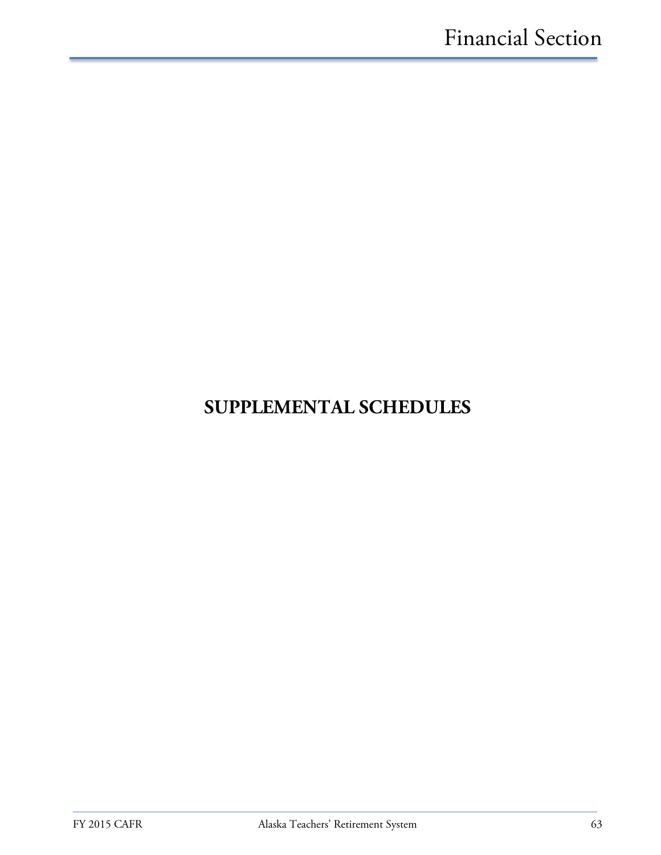# **SUPPLEMENTAL SCHEDULES**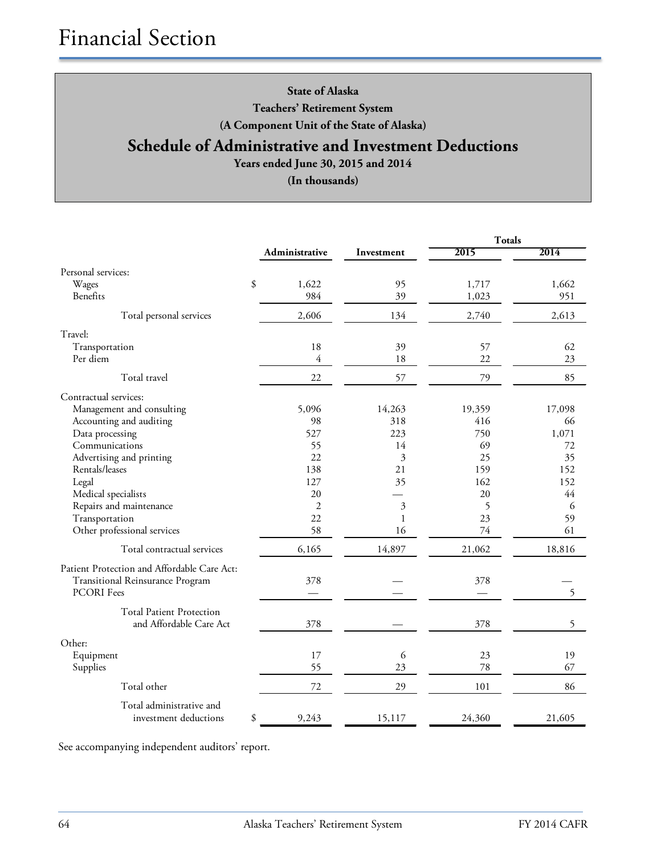**State of Alaska**

**Teachers' Retirement System**

**(A Component Unit of the State of Alaska)**

# **Schedule of Administrative and Investment Deductions**

**Years ended June 30, 2015 and 2014**

**(In thousands)**

|                                             |                       |            |        | <b>Totals</b> |  |  |
|---------------------------------------------|-----------------------|------------|--------|---------------|--|--|
|                                             | <b>Administrative</b> | Investment | 2015   | 2014          |  |  |
| Personal services:                          |                       |            |        |               |  |  |
| \$<br>Wages                                 | 1,622                 | 95         | 1,717  | 1,662         |  |  |
| Benefits                                    | 984                   | 39         | 1,023  | 951           |  |  |
|                                             |                       |            |        |               |  |  |
| Total personal services                     | 2,606                 | 134        | 2,740  | 2,613         |  |  |
| Travel:                                     |                       |            |        |               |  |  |
| Transportation                              | 18                    | 39         | 57     | 62            |  |  |
| Per diem                                    | 4                     | 18         | 22     | 23            |  |  |
|                                             |                       |            |        |               |  |  |
| Total travel                                | 22                    | 57         | 79     | 85            |  |  |
| Contractual services:                       |                       |            |        |               |  |  |
| Management and consulting                   | 5,096                 | 14,263     | 19,359 | 17,098        |  |  |
| Accounting and auditing                     | 98                    | 318        | 416    | 66            |  |  |
| Data processing                             | 527                   | 223        | 750    | 1,071         |  |  |
| Communications                              | 55                    | 14         | 69     | 72            |  |  |
| Advertising and printing                    | 22                    | 3          | 25     | 35            |  |  |
| Rentals/leases                              | 138                   | 21         | 159    | 152           |  |  |
| Legal                                       | 127                   | 35         | 162    | 152           |  |  |
| Medical specialists                         | 20                    |            | 20     | 44            |  |  |
| Repairs and maintenance                     | 2                     | 3          | 5      | 6             |  |  |
| Transportation                              | 22                    | 1          | 23     | 59            |  |  |
| Other professional services                 | 58                    | 16         | 74     | 61            |  |  |
| Total contractual services                  | 6,165                 | 14,897     | 21,062 | 18,816        |  |  |
|                                             |                       |            |        |               |  |  |
| Patient Protection and Affordable Care Act: |                       |            |        |               |  |  |
| Transitional Reinsurance Program            | 378                   |            | 378    |               |  |  |
| <b>PCORI Fees</b>                           |                       |            |        | 5             |  |  |
| <b>Total Patient Protection</b>             |                       |            |        |               |  |  |
| and Affordable Care Act                     | 378                   |            | 378    | 5             |  |  |
|                                             |                       |            |        |               |  |  |
| Other:                                      |                       |            |        |               |  |  |
| Equipment                                   | 17                    | 6          | 23     | 19            |  |  |
| Supplies                                    | 55                    | 23         | 78     | 67            |  |  |
| Total other                                 | 72                    | 29         | 101    | 86            |  |  |
| Total administrative and                    |                       |            |        |               |  |  |
| \$<br>investment deductions                 | 9,243                 | 15,117     | 24,360 | 21,605        |  |  |

See accompanying independent auditors' report.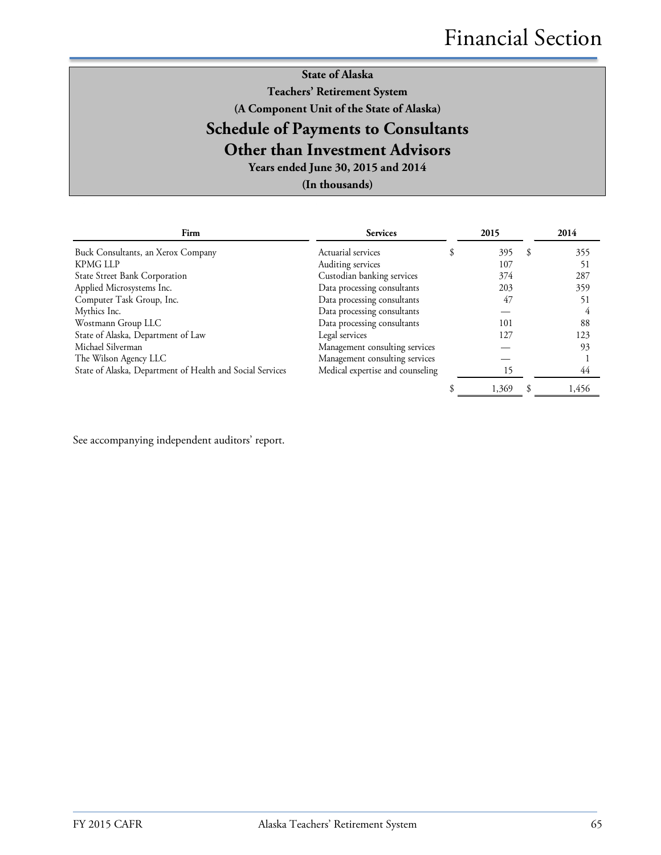**State of Alaska**

**Teachers' Retirement System**

**(A Component Unit of the State of Alaska)**

# **Schedule of Payments to Consultants**

# **Other than Investment Advisors**

**Years ended June 30, 2015 and 2014**

**(In thousands)**

| Firm                                                                                          | <b>Services</b>             |  | 2015  |   | 2014  |
|-----------------------------------------------------------------------------------------------|-----------------------------|--|-------|---|-------|
| Buck Consultants, an Xerox Company                                                            | Actuarial services          |  | 395   | S | 355   |
| <b>KPMG LLP</b><br>Auditing services                                                          |                             |  | 107   |   | 51    |
| Custodian banking services<br>State Street Bank Corporation                                   |                             |  | 374   |   | 287   |
| Data processing consultants<br>Applied Microsystems Inc.                                      |                             |  | 203   |   | 359   |
| Data processing consultants<br>Computer Task Group, Inc.                                      |                             |  | 47    |   | 51    |
| Mythics Inc.                                                                                  | Data processing consultants |  |       |   |       |
| Wostmann Group LLC                                                                            | Data processing consultants |  | 101   |   | 88    |
| State of Alaska, Department of Law                                                            | Legal services              |  | 127   |   | 123   |
| Michael Silverman<br>Management consulting services                                           |                             |  |       |   | 93    |
| Management consulting services<br>The Wilson Agency LLC                                       |                             |  |       |   |       |
| State of Alaska, Department of Health and Social Services<br>Medical expertise and counseling |                             |  | 15    |   | 44    |
|                                                                                               |                             |  | 1,369 |   | 1.456 |

See accompanying independent auditors' report.